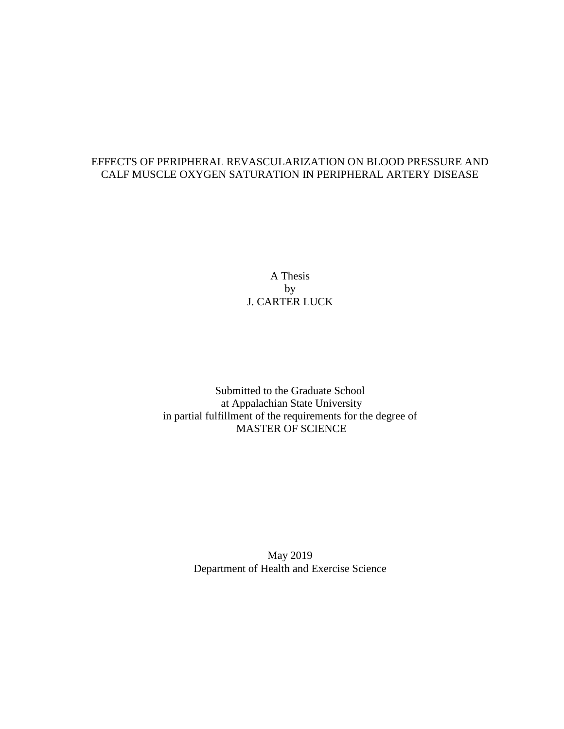# EFFECTS OF PERIPHERAL REVASCULARIZATION ON BLOOD PRESSURE AND CALF MUSCLE OXYGEN SATURATION IN PERIPHERAL ARTERY DISEASE

A Thesis by J. CARTER LUCK

Submitted to the Graduate School at Appalachian State University in partial fulfillment of the requirements for the degree of MASTER OF SCIENCE

> May 2019 Department of Health and Exercise Science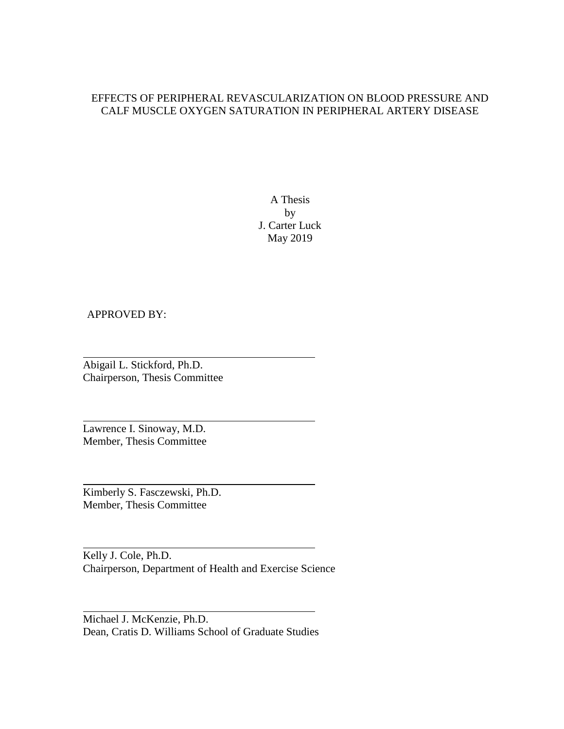## EFFECTS OF PERIPHERAL REVASCULARIZATION ON BLOOD PRESSURE AND CALF MUSCLE OXYGEN SATURATION IN PERIPHERAL ARTERY DISEASE

A Thesis by J. Carter Luck May 2019

## APPROVED BY:

Abigail L. Stickford, Ph.D. Chairperson, Thesis Committee

Lawrence I. Sinoway, M.D. Member, Thesis Committee

Kimberly S. Fasczewski, Ph.D. Member, Thesis Committee

Kelly J. Cole, Ph.D. Chairperson, Department of Health and Exercise Science

Michael J. McKenzie, Ph.D. Dean, Cratis D. Williams School of Graduate Studies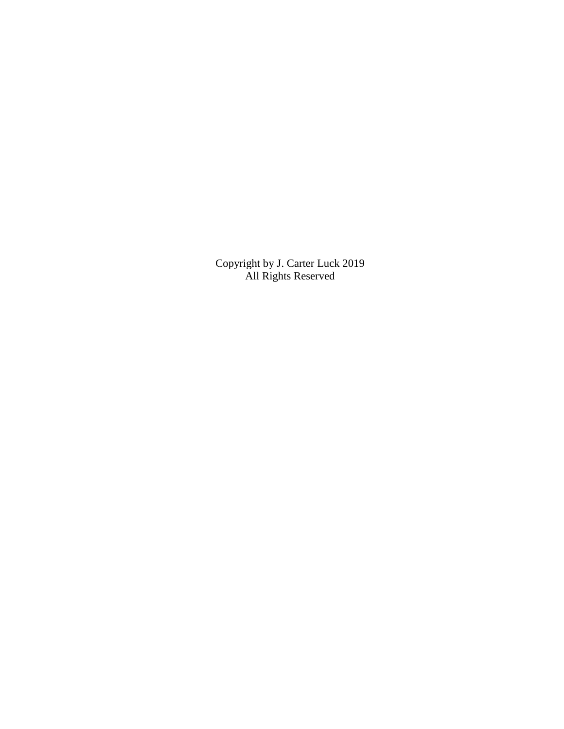Copyright by J. Carter Luck 2019 All Rights Reserved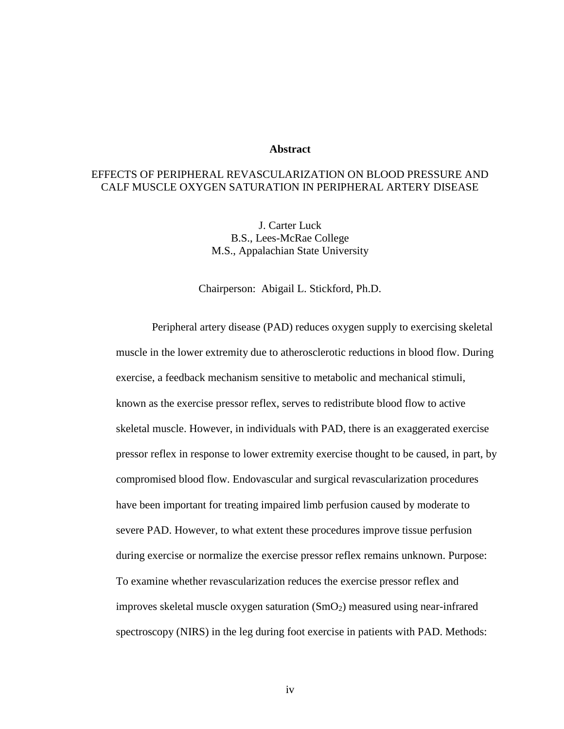#### **Abstract**

# EFFECTS OF PERIPHERAL REVASCULARIZATION ON BLOOD PRESSURE AND CALF MUSCLE OXYGEN SATURATION IN PERIPHERAL ARTERY DISEASE

J. Carter Luck B.S., Lees-McRae College M.S., Appalachian State University

Chairperson: Abigail L. Stickford, Ph.D.

Peripheral artery disease (PAD) reduces oxygen supply to exercising skeletal muscle in the lower extremity due to atherosclerotic reductions in blood flow. During exercise, a feedback mechanism sensitive to metabolic and mechanical stimuli, known as the exercise pressor reflex, serves to redistribute blood flow to active skeletal muscle. However, in individuals with PAD, there is an exaggerated exercise pressor reflex in response to lower extremity exercise thought to be caused, in part, by compromised blood flow. Endovascular and surgical revascularization procedures have been important for treating impaired limb perfusion caused by moderate to severe PAD. However, to what extent these procedures improve tissue perfusion during exercise or normalize the exercise pressor reflex remains unknown. Purpose: To examine whether revascularization reduces the exercise pressor reflex and improves skeletal muscle oxygen saturation  $(SmO<sub>2</sub>)$  measured using near-infrared spectroscopy (NIRS) in the leg during foot exercise in patients with PAD. Methods:

iv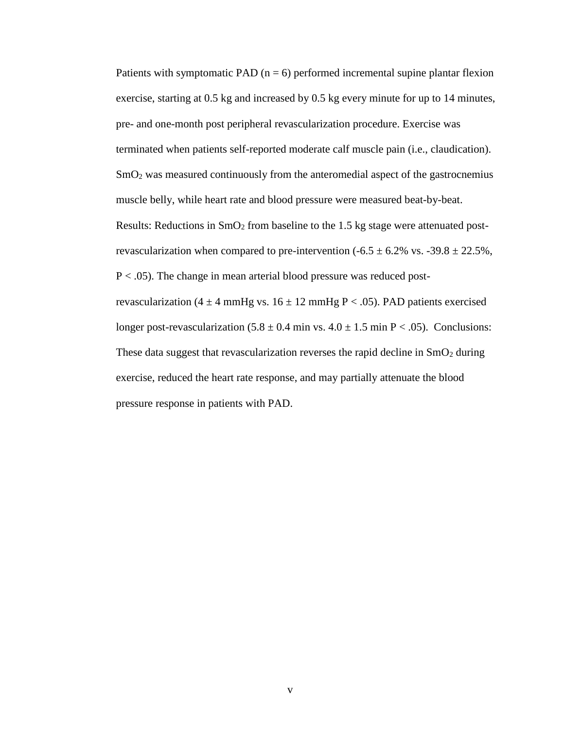Patients with symptomatic PAD  $(n = 6)$  performed incremental supine plantar flexion exercise, starting at 0.5 kg and increased by 0.5 kg every minute for up to 14 minutes, pre- and one-month post peripheral revascularization procedure. Exercise was terminated when patients self-reported moderate calf muscle pain (i.e., claudication).  $\text{SmO}_2$  was measured continuously from the anteromedial aspect of the gastrocnemius muscle belly, while heart rate and blood pressure were measured beat-by-beat. Results: Reductions in  $SmO<sub>2</sub>$  from baseline to the 1.5 kg stage were attenuated postrevascularization when compared to pre-intervention  $(-6.5 \pm 6.2\% \text{ vs. } -39.8 \pm 22.5\%$ ,  $P < .05$ ). The change in mean arterial blood pressure was reduced postrevascularization (4  $\pm$  4 mmHg vs. 16  $\pm$  12 mmHg P < .05). PAD patients exercised longer post-revascularization  $(5.8 \pm 0.4 \text{ min vs. } 4.0 \pm 1.5 \text{ min P} < .05)$ . Conclusions: These data suggest that revascularization reverses the rapid decline in  $SmO<sub>2</sub>$  during exercise, reduced the heart rate response, and may partially attenuate the blood pressure response in patients with PAD.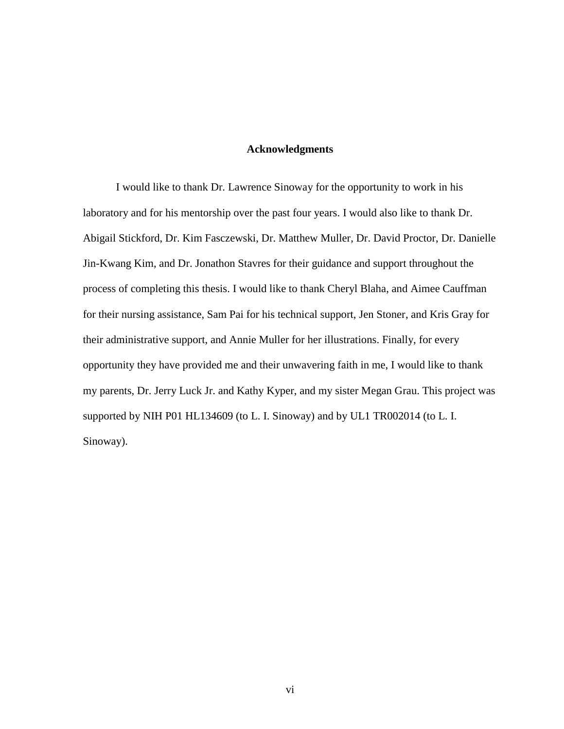#### **Acknowledgments**

I would like to thank Dr. Lawrence Sinoway for the opportunity to work in his laboratory and for his mentorship over the past four years. I would also like to thank Dr. Abigail Stickford, Dr. Kim Fasczewski, Dr. Matthew Muller, Dr. David Proctor, Dr. Danielle Jin-Kwang Kim, and Dr. Jonathon Stavres for their guidance and support throughout the process of completing this thesis. I would like to thank Cheryl Blaha, and Aimee Cauffman for their nursing assistance, Sam Pai for his technical support, Jen Stoner, and Kris Gray for their administrative support, and Annie Muller for her illustrations. Finally, for every opportunity they have provided me and their unwavering faith in me, I would like to thank my parents, Dr. Jerry Luck Jr. and Kathy Kyper, and my sister Megan Grau. This project was supported by NIH P01 HL134609 (to L. I. Sinoway) and by UL1 TR002014 (to L. I. Sinoway).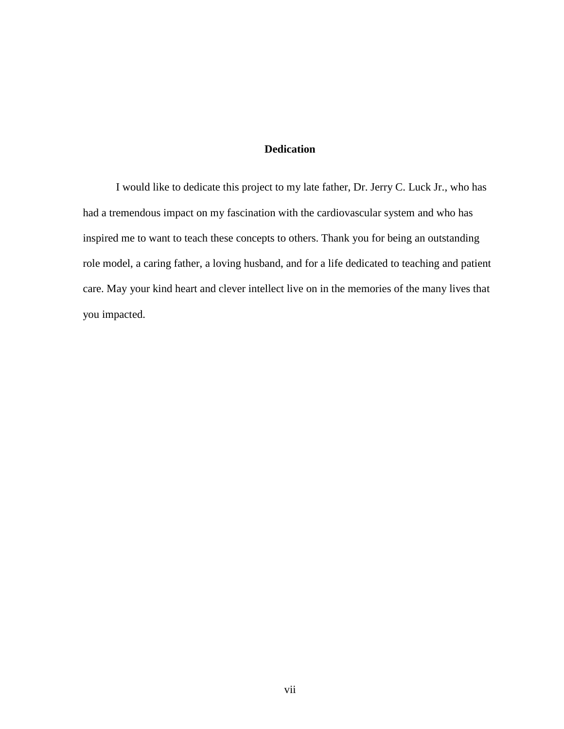# **Dedication**

I would like to dedicate this project to my late father, Dr. Jerry C. Luck Jr., who has had a tremendous impact on my fascination with the cardiovascular system and who has inspired me to want to teach these concepts to others. Thank you for being an outstanding role model, a caring father, a loving husband, and for a life dedicated to teaching and patient care. May your kind heart and clever intellect live on in the memories of the many lives that you impacted.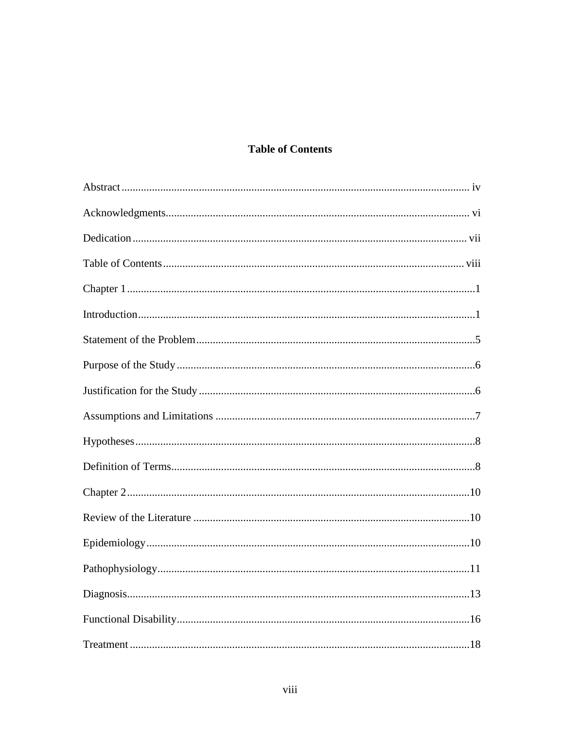# **Table of Contents**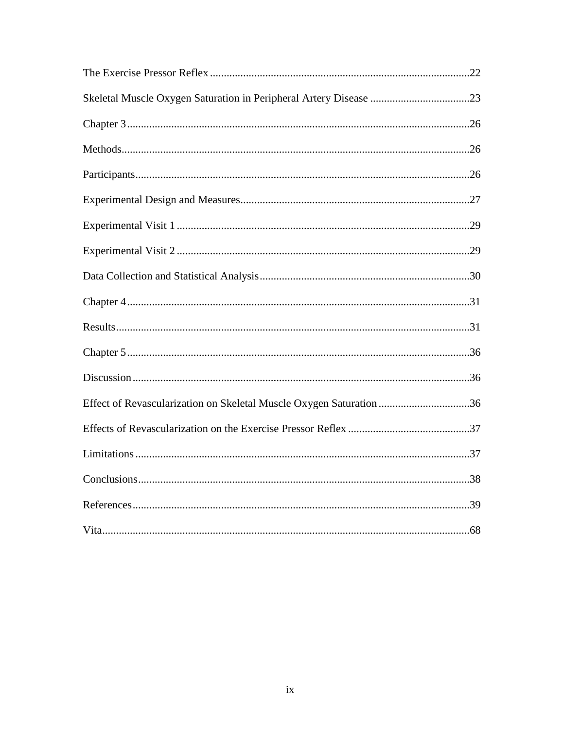| Effect of Revascularization on Skeletal Muscle Oxygen Saturation 36 |      |
|---------------------------------------------------------------------|------|
|                                                                     |      |
|                                                                     |      |
|                                                                     |      |
|                                                                     |      |
| Vita<br>.                                                           | . 68 |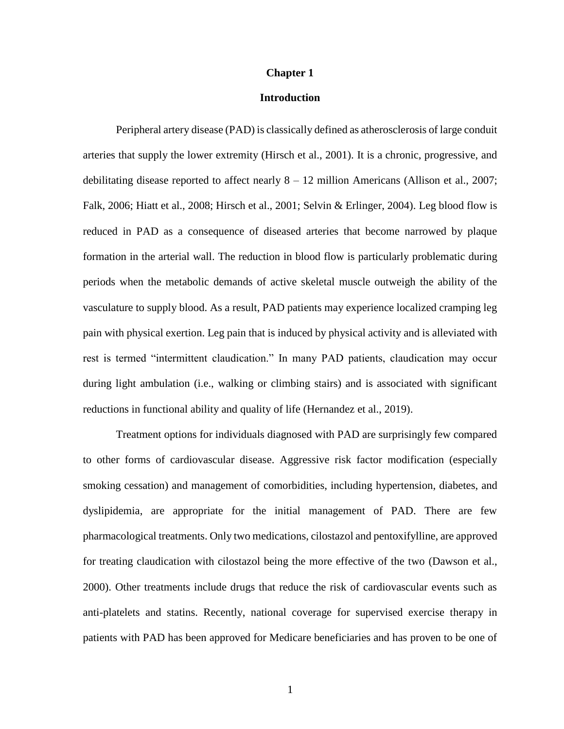#### **Chapter 1**

#### **Introduction**

Peripheral artery disease (PAD) is classically defined as atherosclerosis of large conduit arteries that supply the lower extremity (Hirsch et al., 2001). It is a chronic, progressive, and debilitating disease reported to affect nearly  $8 - 12$  million Americans (Allison et al., 2007; Falk, 2006; Hiatt et al., 2008; Hirsch et al., 2001; Selvin & Erlinger, 2004). Leg blood flow is reduced in PAD as a consequence of diseased arteries that become narrowed by plaque formation in the arterial wall. The reduction in blood flow is particularly problematic during periods when the metabolic demands of active skeletal muscle outweigh the ability of the vasculature to supply blood. As a result, PAD patients may experience localized cramping leg pain with physical exertion. Leg pain that is induced by physical activity and is alleviated with rest is termed "intermittent claudication." In many PAD patients, claudication may occur during light ambulation (i.e., walking or climbing stairs) and is associated with significant reductions in functional ability and quality of life (Hernandez et al., 2019).

Treatment options for individuals diagnosed with PAD are surprisingly few compared to other forms of cardiovascular disease. Aggressive risk factor modification (especially smoking cessation) and management of comorbidities, including hypertension, diabetes, and dyslipidemia, are appropriate for the initial management of PAD. There are few pharmacological treatments. Only two medications, cilostazol and pentoxifylline, are approved for treating claudication with cilostazol being the more effective of the two (Dawson et al., 2000). Other treatments include drugs that reduce the risk of cardiovascular events such as anti-platelets and statins. Recently, national coverage for supervised exercise therapy in patients with PAD has been approved for Medicare beneficiaries and has proven to be one of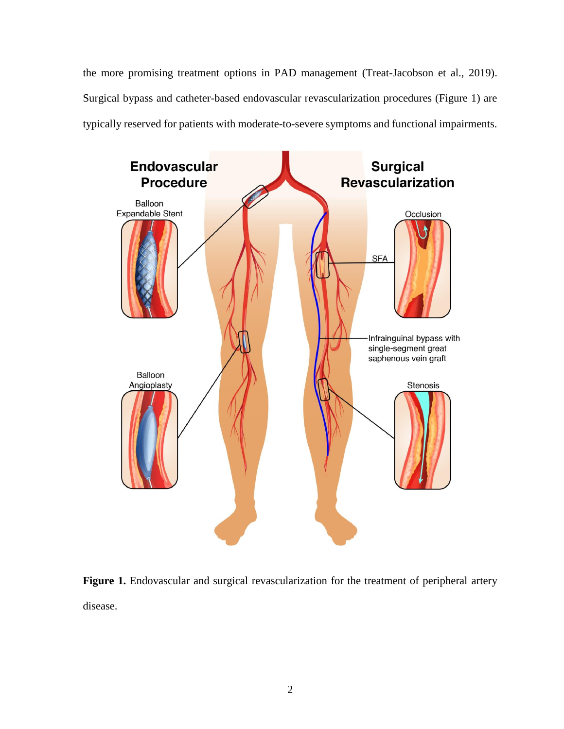the more promising treatment options in PAD management (Treat-Jacobson et al., 2019). Surgical bypass and catheter-based endovascular revascularization procedures (Figure 1) are typically reserved for patients with moderate-to-severe symptoms and functional impairments.



Figure 1. Endovascular and surgical revascularization for the treatment of peripheral artery disease.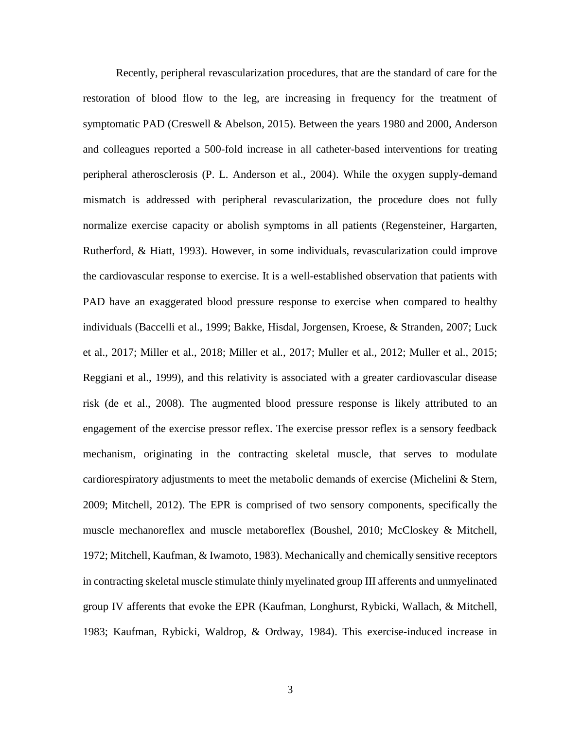Recently, peripheral revascularization procedures, that are the standard of care for the restoration of blood flow to the leg, are increasing in frequency for the treatment of symptomatic PAD (Creswell & Abelson, 2015). Between the years 1980 and 2000, Anderson and colleagues reported a 500-fold increase in all catheter-based interventions for treating peripheral atherosclerosis (P. L. Anderson et al., 2004). While the oxygen supply-demand mismatch is addressed with peripheral revascularization, the procedure does not fully normalize exercise capacity or abolish symptoms in all patients (Regensteiner, Hargarten, Rutherford, & Hiatt, 1993). However, in some individuals, revascularization could improve the cardiovascular response to exercise. It is a well-established observation that patients with PAD have an exaggerated blood pressure response to exercise when compared to healthy individuals (Baccelli et al., 1999; Bakke, Hisdal, Jorgensen, Kroese, & Stranden, 2007; Luck et al., 2017; Miller et al., 2018; Miller et al., 2017; Muller et al., 2012; Muller et al., 2015; Reggiani et al., 1999), and this relativity is associated with a greater cardiovascular disease risk (de et al., 2008). The augmented blood pressure response is likely attributed to an engagement of the exercise pressor reflex. The exercise pressor reflex is a sensory feedback mechanism, originating in the contracting skeletal muscle, that serves to modulate cardiorespiratory adjustments to meet the metabolic demands of exercise (Michelini & Stern, 2009; Mitchell, 2012). The EPR is comprised of two sensory components, specifically the muscle mechanoreflex and muscle metaboreflex (Boushel, 2010; McCloskey & Mitchell, 1972; Mitchell, Kaufman, & Iwamoto, 1983). Mechanically and chemically sensitive receptors in contracting skeletal muscle stimulate thinly myelinated group III afferents and unmyelinated group IV afferents that evoke the EPR (Kaufman, Longhurst, Rybicki, Wallach, & Mitchell, 1983; Kaufman, Rybicki, Waldrop, & Ordway, 1984). This exercise-induced increase in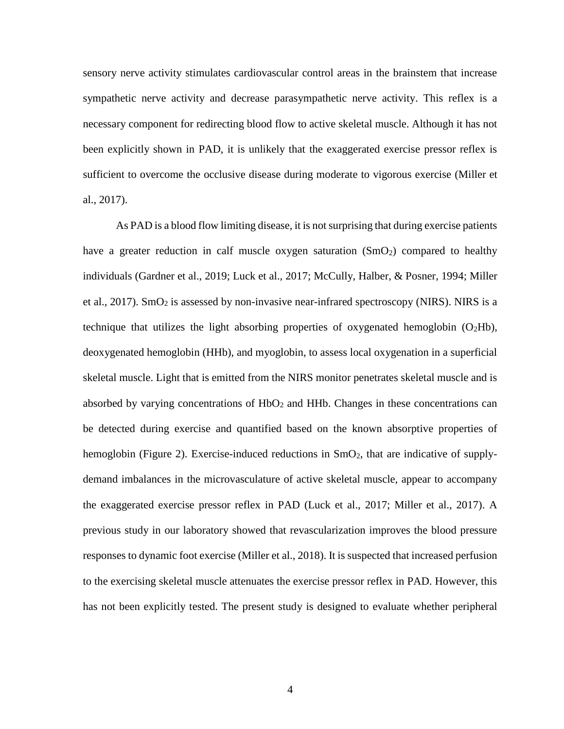sensory nerve activity stimulates cardiovascular control areas in the brainstem that increase sympathetic nerve activity and decrease parasympathetic nerve activity. This reflex is a necessary component for redirecting blood flow to active skeletal muscle. Although it has not been explicitly shown in PAD, it is unlikely that the exaggerated exercise pressor reflex is sufficient to overcome the occlusive disease during moderate to vigorous exercise (Miller et al., 2017).

As PAD is a blood flow limiting disease, it is not surprising that during exercise patients have a greater reduction in calf muscle oxygen saturation  $(SmO<sub>2</sub>)$  compared to healthy individuals (Gardner et al., 2019; Luck et al., 2017; McCully, Halber, & Posner, 1994; Miller et al., 2017). SmO<sub>2</sub> is assessed by non-invasive near-infrared spectroscopy (NIRS). NIRS is a technique that utilizes the light absorbing properties of oxygenated hemoglobin  $(O_2Hb)$ , deoxygenated hemoglobin (HHb), and myoglobin, to assess local oxygenation in a superficial skeletal muscle. Light that is emitted from the NIRS monitor penetrates skeletal muscle and is absorbed by varying concentrations of  $HbO<sub>2</sub>$  and  $HHb$ . Changes in these concentrations can be detected during exercise and quantified based on the known absorptive properties of hemoglobin (Figure 2). Exercise-induced reductions in  $SmO<sub>2</sub>$ , that are indicative of supplydemand imbalances in the microvasculature of active skeletal muscle, appear to accompany the exaggerated exercise pressor reflex in PAD (Luck et al., 2017; Miller et al., 2017). A previous study in our laboratory showed that revascularization improves the blood pressure responses to dynamic foot exercise (Miller et al., 2018). It is suspected that increased perfusion to the exercising skeletal muscle attenuates the exercise pressor reflex in PAD. However, this has not been explicitly tested. The present study is designed to evaluate whether peripheral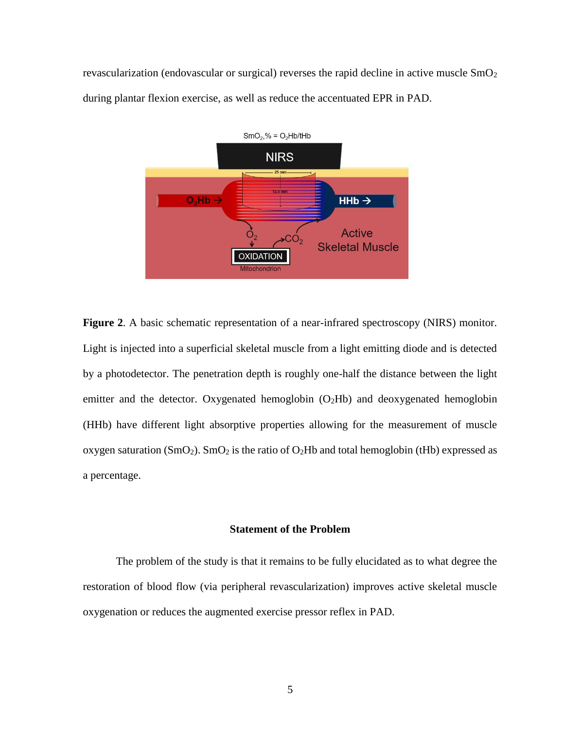revascularization (endovascular or surgical) reverses the rapid decline in active muscle  $SmO<sub>2</sub>$ during plantar flexion exercise, as well as reduce the accentuated EPR in PAD.



**Figure 2**. A basic schematic representation of a near-infrared spectroscopy (NIRS) monitor. Light is injected into a superficial skeletal muscle from a light emitting diode and is detected by a photodetector. The penetration depth is roughly one-half the distance between the light emitter and the detector. Oxygenated hemoglobin (O<sub>2</sub>Hb) and deoxygenated hemoglobin (HHb) have different light absorptive properties allowing for the measurement of muscle oxygen saturation (SmO<sub>2</sub>). SmO<sub>2</sub> is the ratio of O<sub>2</sub>Hb and total hemoglobin (tHb) expressed as a percentage.

#### **Statement of the Problem**

The problem of the study is that it remains to be fully elucidated as to what degree the restoration of blood flow (via peripheral revascularization) improves active skeletal muscle oxygenation or reduces the augmented exercise pressor reflex in PAD.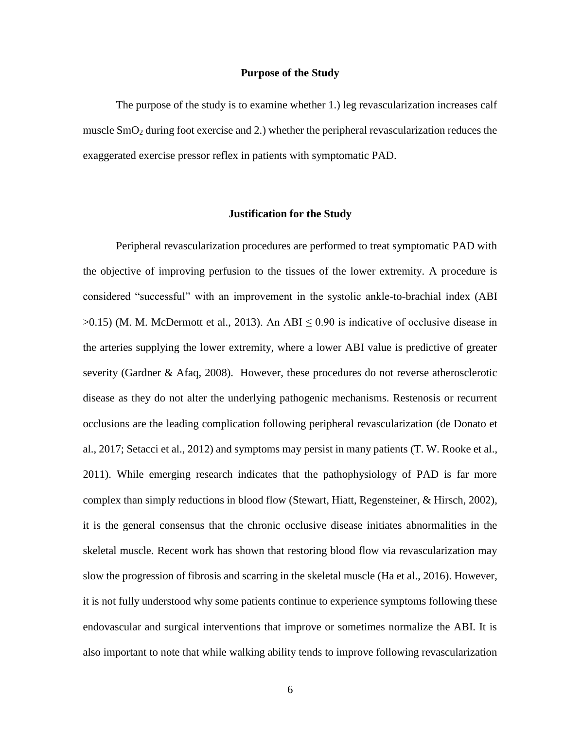#### **Purpose of the Study**

The purpose of the study is to examine whether 1.) leg revascularization increases calf muscle SmO<sup>2</sup> during foot exercise and 2.) whether the peripheral revascularization reduces the exaggerated exercise pressor reflex in patients with symptomatic PAD.

#### **Justification for the Study**

Peripheral revascularization procedures are performed to treat symptomatic PAD with the objective of improving perfusion to the tissues of the lower extremity. A procedure is considered "successful" with an improvement in the systolic ankle-to-brachial index (ABI  $>0.15$ ) (M. M. McDermott et al., 2013). An ABI  $\leq 0.90$  is indicative of occlusive disease in the arteries supplying the lower extremity, where a lower ABI value is predictive of greater severity (Gardner & Afaq, 2008). However, these procedures do not reverse atherosclerotic disease as they do not alter the underlying pathogenic mechanisms. Restenosis or recurrent occlusions are the leading complication following peripheral revascularization (de Donato et al., 2017; Setacci et al., 2012) and symptoms may persist in many patients (T. W. Rooke et al., 2011). While emerging research indicates that the pathophysiology of PAD is far more complex than simply reductions in blood flow (Stewart, Hiatt, Regensteiner, & Hirsch, 2002), it is the general consensus that the chronic occlusive disease initiates abnormalities in the skeletal muscle. Recent work has shown that restoring blood flow via revascularization may slow the progression of fibrosis and scarring in the skeletal muscle (Ha et al., 2016). However, it is not fully understood why some patients continue to experience symptoms following these endovascular and surgical interventions that improve or sometimes normalize the ABI. It is also important to note that while walking ability tends to improve following revascularization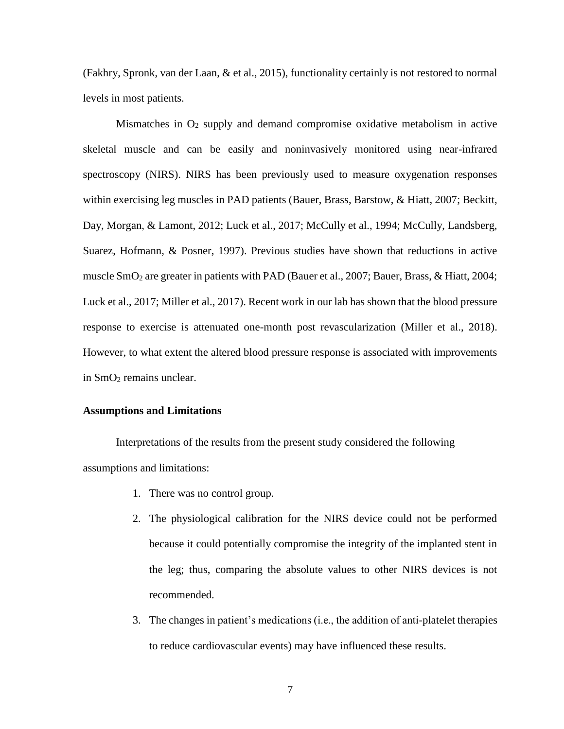(Fakhry, Spronk, van der Laan, & et al., 2015), functionality certainly is not restored to normal levels in most patients.

Mismatches in  $O_2$  supply and demand compromise oxidative metabolism in active skeletal muscle and can be easily and noninvasively monitored using near-infrared spectroscopy (NIRS). NIRS has been previously used to measure oxygenation responses within exercising leg muscles in PAD patients (Bauer, Brass, Barstow, & Hiatt, 2007; Beckitt, Day, Morgan, & Lamont, 2012; Luck et al., 2017; McCully et al., 1994; McCully, Landsberg, Suarez, Hofmann, & Posner, 1997). Previous studies have shown that reductions in active muscle SmO<sup>2</sup> are greater in patients with PAD (Bauer et al., 2007; Bauer, Brass, & Hiatt, 2004; Luck et al., 2017; Miller et al., 2017). Recent work in our lab has shown that the blood pressure response to exercise is attenuated one-month post revascularization (Miller et al., 2018). However, to what extent the altered blood pressure response is associated with improvements in SmO<sub>2</sub> remains unclear.

#### **Assumptions and Limitations**

Interpretations of the results from the present study considered the following assumptions and limitations:

- 1. There was no control group.
- 2. The physiological calibration for the NIRS device could not be performed because it could potentially compromise the integrity of the implanted stent in the leg; thus, comparing the absolute values to other NIRS devices is not recommended.
- 3. The changes in patient's medications (i.e., the addition of anti-platelet therapies to reduce cardiovascular events) may have influenced these results.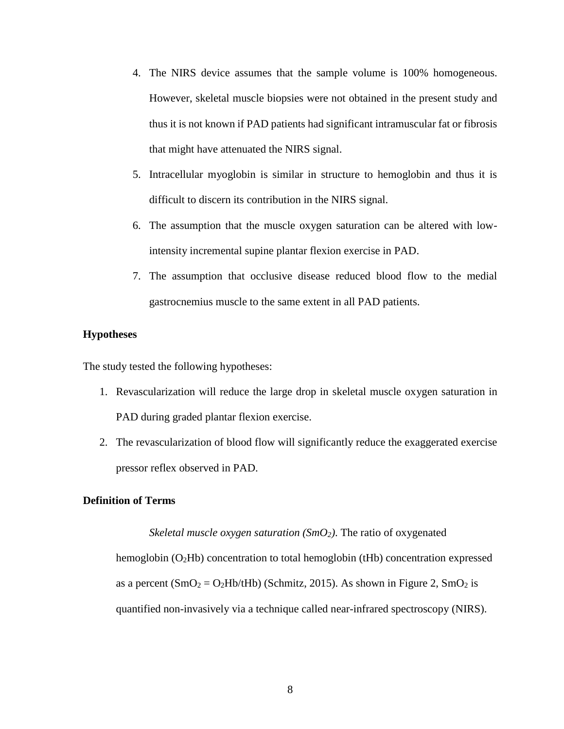- 4. The NIRS device assumes that the sample volume is 100% homogeneous. However, skeletal muscle biopsies were not obtained in the present study and thus it is not known if PAD patients had significant intramuscular fat or fibrosis that might have attenuated the NIRS signal.
- 5. Intracellular myoglobin is similar in structure to hemoglobin and thus it is difficult to discern its contribution in the NIRS signal.
- 6. The assumption that the muscle oxygen saturation can be altered with lowintensity incremental supine plantar flexion exercise in PAD.
- 7. The assumption that occlusive disease reduced blood flow to the medial gastrocnemius muscle to the same extent in all PAD patients.

### **Hypotheses**

The study tested the following hypotheses:

- 1. Revascularization will reduce the large drop in skeletal muscle oxygen saturation in PAD during graded plantar flexion exercise.
- 2. The revascularization of blood flow will significantly reduce the exaggerated exercise pressor reflex observed in PAD.

#### **Definition of Terms**

*Skeletal muscle oxygen saturation (SmO2)*. The ratio of oxygenated

hemoglobin (O2Hb) concentration to total hemoglobin (tHb) concentration expressed as a percent  $(SmO_2 = O_2Hb/Hb)$  (Schmitz, 2015). As shown in Figure 2, SmO<sub>2</sub> is quantified non-invasively via a technique called near-infrared spectroscopy (NIRS).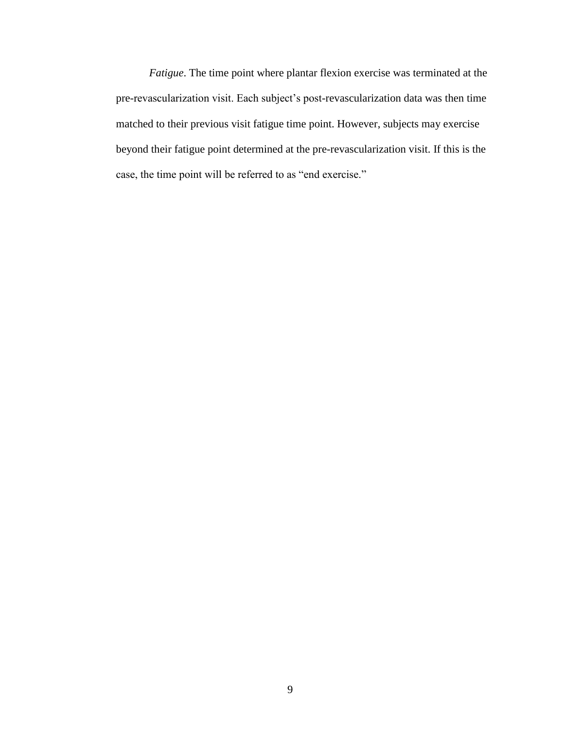*Fatigue*. The time point where plantar flexion exercise was terminated at the pre-revascularization visit. Each subject's post-revascularization data was then time matched to their previous visit fatigue time point. However, subjects may exercise beyond their fatigue point determined at the pre-revascularization visit. If this is the case, the time point will be referred to as "end exercise."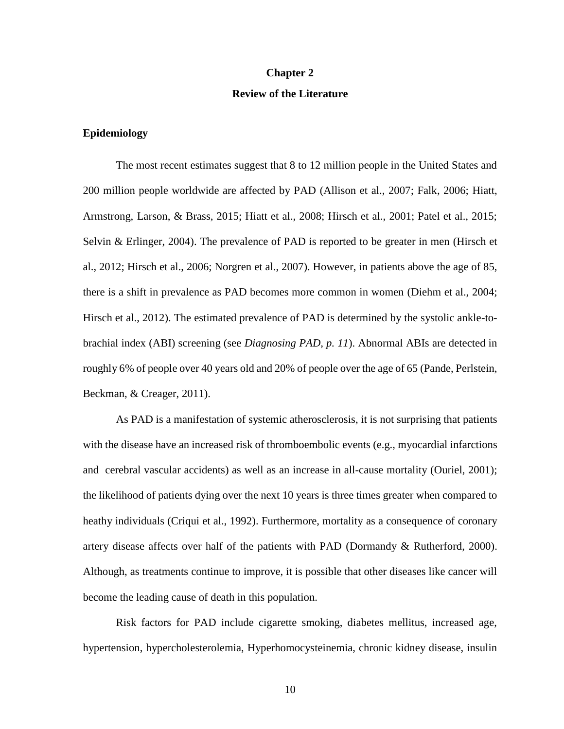#### **Chapter 2**

#### **Review of the Literature**

#### **Epidemiology**

The most recent estimates suggest that 8 to 12 million people in the United States and 200 million people worldwide are affected by PAD (Allison et al., 2007; Falk, 2006; Hiatt, Armstrong, Larson, & Brass, 2015; Hiatt et al., 2008; Hirsch et al., 2001; Patel et al., 2015; Selvin & Erlinger, 2004). The prevalence of PAD is reported to be greater in men (Hirsch et al., 2012; Hirsch et al., 2006; Norgren et al., 2007). However, in patients above the age of 85, there is a shift in prevalence as PAD becomes more common in women (Diehm et al., 2004; Hirsch et al., 2012). The estimated prevalence of PAD is determined by the systolic ankle-tobrachial index (ABI) screening (see *Diagnosing PAD, p. 11*). Abnormal ABIs are detected in roughly 6% of people over 40 years old and 20% of people over the age of 65 (Pande, Perlstein, Beckman, & Creager, 2011).

As PAD is a manifestation of systemic atherosclerosis, it is not surprising that patients with the disease have an increased risk of thromboembolic events (e.g., myocardial infarctions and cerebral vascular accidents) as well as an increase in all-cause mortality (Ouriel, 2001); the likelihood of patients dying over the next 10 years is three times greater when compared to heathy individuals (Criqui et al., 1992). Furthermore, mortality as a consequence of coronary artery disease affects over half of the patients with PAD (Dormandy & Rutherford, 2000). Although, as treatments continue to improve, it is possible that other diseases like cancer will become the leading cause of death in this population.

Risk factors for PAD include cigarette smoking, diabetes mellitus, increased age, hypertension, hypercholesterolemia, Hyperhomocysteinemia, chronic kidney disease, insulin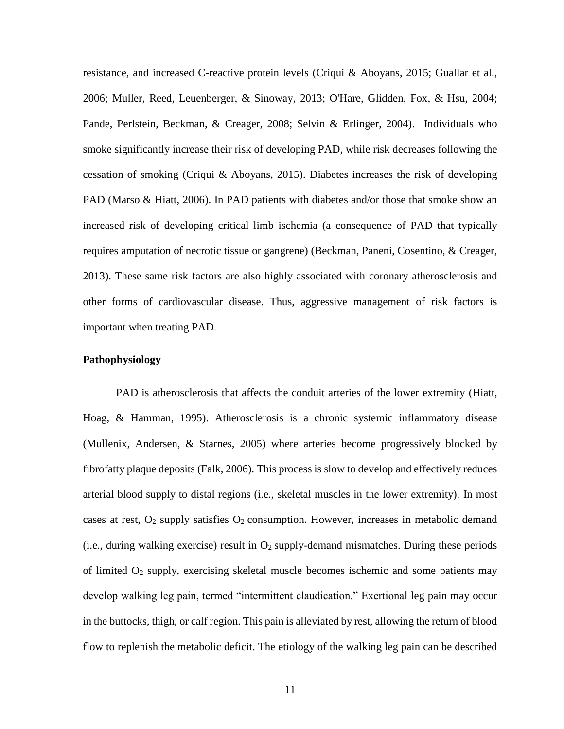resistance, and increased C-reactive protein levels (Criqui & Aboyans, 2015; Guallar et al., 2006; Muller, Reed, Leuenberger, & Sinoway, 2013; O'Hare, Glidden, Fox, & Hsu, 2004; Pande, Perlstein, Beckman, & Creager, 2008; Selvin & Erlinger, 2004). Individuals who smoke significantly increase their risk of developing PAD, while risk decreases following the cessation of smoking (Criqui & Aboyans, 2015). Diabetes increases the risk of developing PAD (Marso & Hiatt, 2006). In PAD patients with diabetes and/or those that smoke show an increased risk of developing critical limb ischemia (a consequence of PAD that typically requires amputation of necrotic tissue or gangrene) (Beckman, Paneni, Cosentino, & Creager, 2013). These same risk factors are also highly associated with coronary atherosclerosis and other forms of cardiovascular disease. Thus, aggressive management of risk factors is important when treating PAD.

#### **Pathophysiology**

PAD is atherosclerosis that affects the conduit arteries of the lower extremity (Hiatt, Hoag, & Hamman, 1995). Atherosclerosis is a chronic systemic inflammatory disease (Mullenix, Andersen, & Starnes, 2005) where arteries become progressively blocked by fibrofatty plaque deposits (Falk, 2006). This process is slow to develop and effectively reduces arterial blood supply to distal regions (i.e., skeletal muscles in the lower extremity). In most cases at rest,  $O_2$  supply satisfies  $O_2$  consumption. However, increases in metabolic demand (i.e., during walking exercise) result in  $O_2$  supply-demand mismatches. During these periods of limited  $O_2$  supply, exercising skeletal muscle becomes ischemic and some patients may develop walking leg pain, termed "intermittent claudication." Exertional leg pain may occur in the buttocks, thigh, or calf region. This pain is alleviated by rest, allowing the return of blood flow to replenish the metabolic deficit. The etiology of the walking leg pain can be described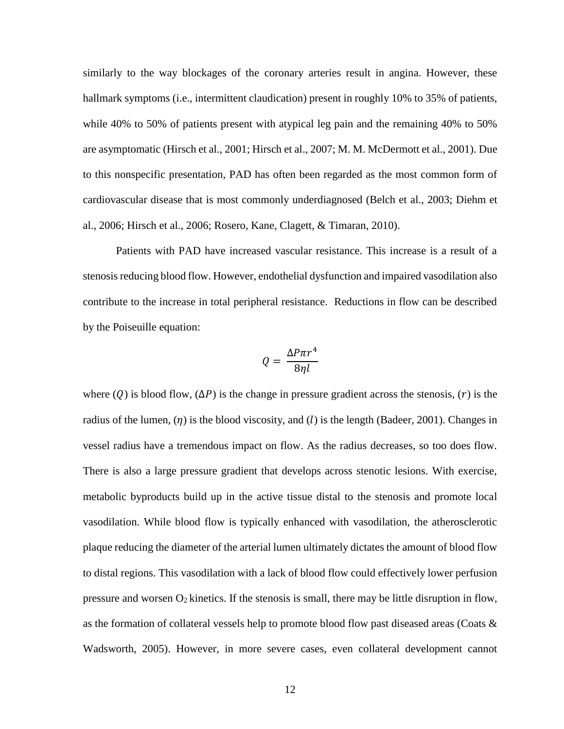similarly to the way blockages of the coronary arteries result in angina. However, these hallmark symptoms (i.e., intermittent claudication) present in roughly 10% to 35% of patients, while 40% to 50% of patients present with atypical leg pain and the remaining 40% to 50% are asymptomatic (Hirsch et al., 2001; Hirsch et al., 2007; M. M. McDermott et al., 2001). Due to this nonspecific presentation, PAD has often been regarded as the most common form of cardiovascular disease that is most commonly underdiagnosed (Belch et al., 2003; Diehm et al., 2006; Hirsch et al., 2006; Rosero, Kane, Clagett, & Timaran, 2010).

Patients with PAD have increased vascular resistance. This increase is a result of a stenosis reducing blood flow. However, endothelial dysfunction and impaired vasodilation also contribute to the increase in total peripheral resistance. Reductions in flow can be described by the Poiseuille equation:

$$
Q = \frac{\Delta P \pi r^4}{8\eta l}
$$

where (Q) is blood flow, ( $\Delta P$ ) is the change in pressure gradient across the stenosis, (r) is the radius of the lumen,  $(\eta)$  is the blood viscosity, and (l) is the length (Badeer, 2001). Changes in vessel radius have a tremendous impact on flow. As the radius decreases, so too does flow. There is also a large pressure gradient that develops across stenotic lesions. With exercise, metabolic byproducts build up in the active tissue distal to the stenosis and promote local vasodilation. While blood flow is typically enhanced with vasodilation, the atherosclerotic plaque reducing the diameter of the arterial lumen ultimately dictates the amount of blood flow to distal regions. This vasodilation with a lack of blood flow could effectively lower perfusion pressure and worsen  $O_2$  kinetics. If the stenosis is small, there may be little disruption in flow, as the formation of collateral vessels help to promote blood flow past diseased areas (Coats  $\&$ Wadsworth, 2005). However, in more severe cases, even collateral development cannot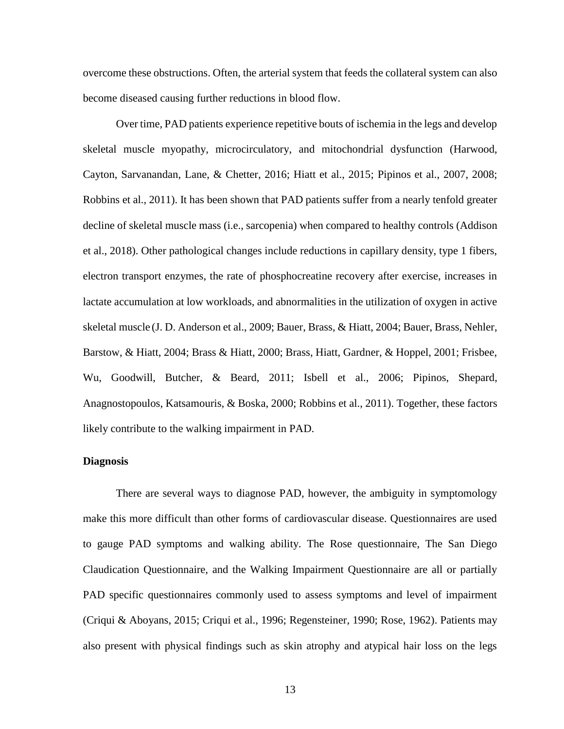overcome these obstructions. Often, the arterial system that feeds the collateral system can also become diseased causing further reductions in blood flow.

Over time, PAD patients experience repetitive bouts of ischemia in the legs and develop skeletal muscle myopathy, microcirculatory, and mitochondrial dysfunction (Harwood, Cayton, Sarvanandan, Lane, & Chetter, 2016; Hiatt et al., 2015; Pipinos et al., 2007, 2008; Robbins et al., 2011). It has been shown that PAD patients suffer from a nearly tenfold greater decline of skeletal muscle mass (i.e., sarcopenia) when compared to healthy controls (Addison et al., 2018). Other pathological changes include reductions in capillary density, type 1 fibers, electron transport enzymes, the rate of phosphocreatine recovery after exercise, increases in lactate accumulation at low workloads, and abnormalities in the utilization of oxygen in active skeletal muscle (J. D. Anderson et al., 2009; Bauer, Brass, & Hiatt, 2004; Bauer, Brass, Nehler, Barstow, & Hiatt, 2004; Brass & Hiatt, 2000; Brass, Hiatt, Gardner, & Hoppel, 2001; Frisbee, Wu, Goodwill, Butcher, & Beard, 2011; Isbell et al., 2006; Pipinos, Shepard, Anagnostopoulos, Katsamouris, & Boska, 2000; Robbins et al., 2011). Together, these factors likely contribute to the walking impairment in PAD.

#### **Diagnosis**

There are several ways to diagnose PAD, however, the ambiguity in symptomology make this more difficult than other forms of cardiovascular disease. Questionnaires are used to gauge PAD symptoms and walking ability. The Rose questionnaire, The San Diego Claudication Questionnaire, and the Walking Impairment Questionnaire are all or partially PAD specific questionnaires commonly used to assess symptoms and level of impairment (Criqui & Aboyans, 2015; Criqui et al., 1996; Regensteiner, 1990; Rose, 1962). Patients may also present with physical findings such as skin atrophy and atypical hair loss on the legs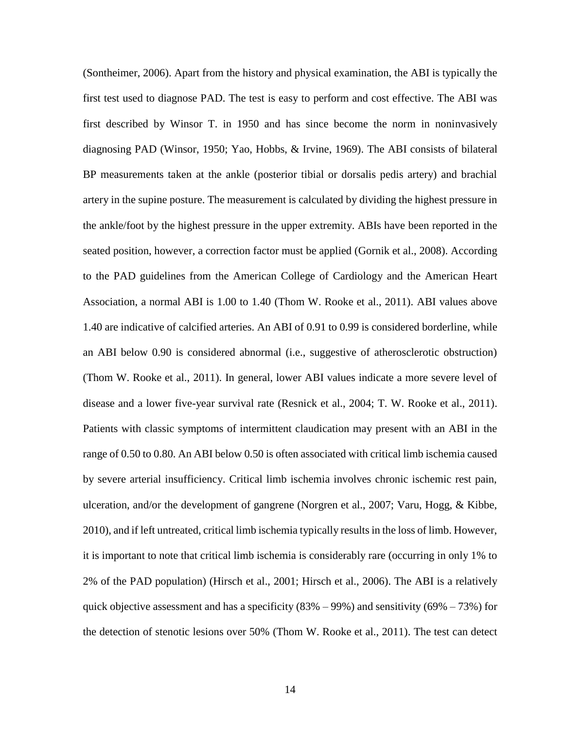(Sontheimer, 2006). Apart from the history and physical examination, the ABI is typically the first test used to diagnose PAD. The test is easy to perform and cost effective. The ABI was first described by Winsor T. in 1950 and has since become the norm in noninvasively diagnosing PAD (Winsor, 1950; Yao, Hobbs, & Irvine, 1969). The ABI consists of bilateral BP measurements taken at the ankle (posterior tibial or dorsalis pedis artery) and brachial artery in the supine posture. The measurement is calculated by dividing the highest pressure in the ankle/foot by the highest pressure in the upper extremity. ABIs have been reported in the seated position, however, a correction factor must be applied (Gornik et al., 2008). According to the PAD guidelines from the American College of Cardiology and the American Heart Association, a normal ABI is 1.00 to 1.40 (Thom W. Rooke et al., 2011). ABI values above 1.40 are indicative of calcified arteries. An ABI of 0.91 to 0.99 is considered borderline, while an ABI below 0.90 is considered abnormal (i.e., suggestive of atherosclerotic obstruction) (Thom W. Rooke et al., 2011). In general, lower ABI values indicate a more severe level of disease and a lower five-year survival rate (Resnick et al., 2004; T. W. Rooke et al., 2011). Patients with classic symptoms of intermittent claudication may present with an ABI in the range of 0.50 to 0.80. An ABI below 0.50 is often associated with critical limb ischemia caused by severe arterial insufficiency. Critical limb ischemia involves chronic ischemic rest pain, ulceration, and/or the development of gangrene (Norgren et al., 2007; Varu, Hogg, & Kibbe, 2010), and if left untreated, critical limb ischemia typically results in the loss of limb. However, it is important to note that critical limb ischemia is considerably rare (occurring in only 1% to 2% of the PAD population) (Hirsch et al., 2001; Hirsch et al., 2006). The ABI is a relatively quick objective assessment and has a specificity  $(83\% - 99\%)$  and sensitivity  $(69\% - 73\%)$  for the detection of stenotic lesions over 50% (Thom W. Rooke et al., 2011). The test can detect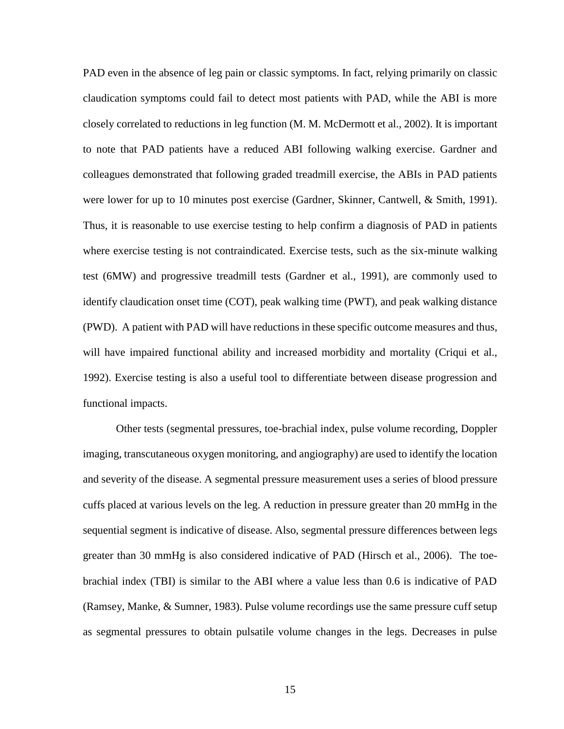PAD even in the absence of leg pain or classic symptoms. In fact, relying primarily on classic claudication symptoms could fail to detect most patients with PAD, while the ABI is more closely correlated to reductions in leg function (M. M. McDermott et al., 2002). It is important to note that PAD patients have a reduced ABI following walking exercise. Gardner and colleagues demonstrated that following graded treadmill exercise, the ABIs in PAD patients were lower for up to 10 minutes post exercise (Gardner, Skinner, Cantwell, & Smith, 1991). Thus, it is reasonable to use exercise testing to help confirm a diagnosis of PAD in patients where exercise testing is not contraindicated. Exercise tests, such as the six-minute walking test (6MW) and progressive treadmill tests (Gardner et al., 1991), are commonly used to identify claudication onset time (COT), peak walking time (PWT), and peak walking distance (PWD). A patient with PAD will have reductions in these specific outcome measures and thus, will have impaired functional ability and increased morbidity and mortality (Criqui et al., 1992). Exercise testing is also a useful tool to differentiate between disease progression and functional impacts.

Other tests (segmental pressures, toe-brachial index, pulse volume recording, Doppler imaging, transcutaneous oxygen monitoring, and angiography) are used to identify the location and severity of the disease. A segmental pressure measurement uses a series of blood pressure cuffs placed at various levels on the leg. A reduction in pressure greater than 20 mmHg in the sequential segment is indicative of disease. Also, segmental pressure differences between legs greater than 30 mmHg is also considered indicative of PAD (Hirsch et al., 2006). The toebrachial index (TBI) is similar to the ABI where a value less than 0.6 is indicative of PAD (Ramsey, Manke, & Sumner, 1983). Pulse volume recordings use the same pressure cuff setup as segmental pressures to obtain pulsatile volume changes in the legs. Decreases in pulse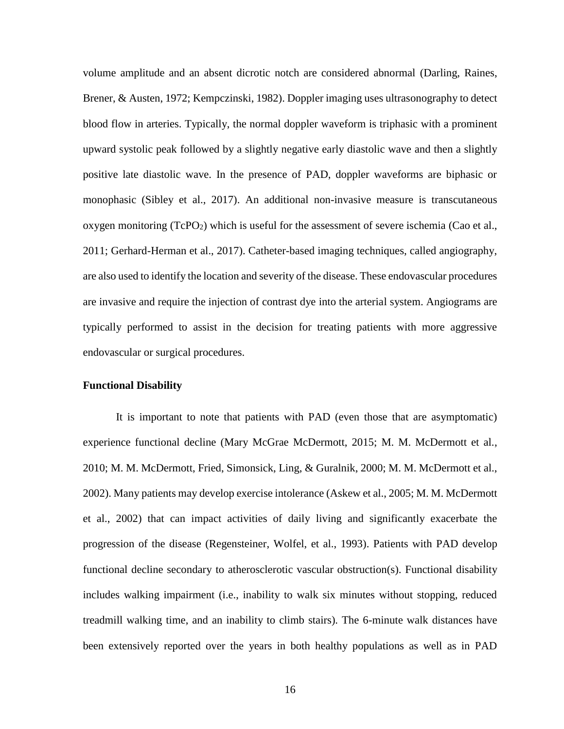volume amplitude and an absent dicrotic notch are considered abnormal (Darling, Raines, Brener, & Austen, 1972; Kempczinski, 1982). Doppler imaging uses ultrasonography to detect blood flow in arteries. Typically, the normal doppler waveform is triphasic with a prominent upward systolic peak followed by a slightly negative early diastolic wave and then a slightly positive late diastolic wave. In the presence of PAD, doppler waveforms are biphasic or monophasic (Sibley et al., 2017). An additional non-invasive measure is transcutaneous oxygen monitoring  $(TcPO<sub>2</sub>)$  which is useful for the assessment of severe ischemia (Cao et al., 2011; Gerhard-Herman et al., 2017). Catheter-based imaging techniques, called angiography, are also used to identify the location and severity of the disease. These endovascular procedures are invasive and require the injection of contrast dye into the arterial system. Angiograms are typically performed to assist in the decision for treating patients with more aggressive endovascular or surgical procedures.

#### **Functional Disability**

It is important to note that patients with PAD (even those that are asymptomatic) experience functional decline (Mary McGrae McDermott, 2015; M. M. McDermott et al., 2010; M. M. McDermott, Fried, Simonsick, Ling, & Guralnik, 2000; M. M. McDermott et al., 2002). Many patients may develop exercise intolerance (Askew et al., 2005; M. M. McDermott et al., 2002) that can impact activities of daily living and significantly exacerbate the progression of the disease (Regensteiner, Wolfel, et al., 1993). Patients with PAD develop functional decline secondary to atherosclerotic vascular obstruction(s). Functional disability includes walking impairment (i.e., inability to walk six minutes without stopping, reduced treadmill walking time, and an inability to climb stairs). The 6-minute walk distances have been extensively reported over the years in both healthy populations as well as in PAD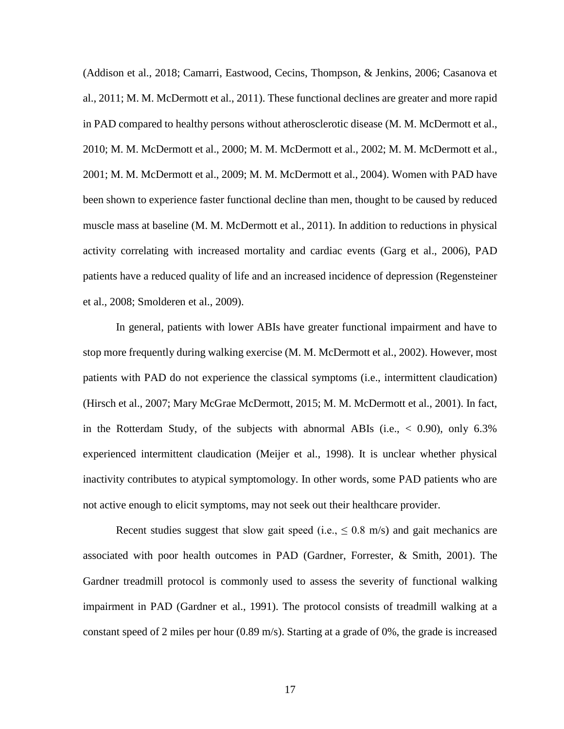(Addison et al., 2018; Camarri, Eastwood, Cecins, Thompson, & Jenkins, 2006; Casanova et al., 2011; M. M. McDermott et al., 2011). These functional declines are greater and more rapid in PAD compared to healthy persons without atherosclerotic disease (M. M. McDermott et al., 2010; M. M. McDermott et al., 2000; M. M. McDermott et al., 2002; M. M. McDermott et al., 2001; M. M. McDermott et al., 2009; M. M. McDermott et al., 2004). Women with PAD have been shown to experience faster functional decline than men, thought to be caused by reduced muscle mass at baseline (M. M. McDermott et al., 2011). In addition to reductions in physical activity correlating with increased mortality and cardiac events (Garg et al., 2006), PAD patients have a reduced quality of life and an increased incidence of depression (Regensteiner et al., 2008; Smolderen et al., 2009).

In general, patients with lower ABIs have greater functional impairment and have to stop more frequently during walking exercise (M. M. McDermott et al., 2002). However, most patients with PAD do not experience the classical symptoms (i.e., intermittent claudication) (Hirsch et al., 2007; Mary McGrae McDermott, 2015; M. M. McDermott et al., 2001). In fact, in the Rotterdam Study, of the subjects with abnormal ABIs (i.e., < 0.90), only 6.3% experienced intermittent claudication (Meijer et al., 1998). It is unclear whether physical inactivity contributes to atypical symptomology. In other words, some PAD patients who are not active enough to elicit symptoms, may not seek out their healthcare provider.

Recent studies suggest that slow gait speed (i.e.,  $\leq 0.8$  m/s) and gait mechanics are associated with poor health outcomes in PAD (Gardner, Forrester, & Smith, 2001). The Gardner treadmill protocol is commonly used to assess the severity of functional walking impairment in PAD (Gardner et al., 1991). The protocol consists of treadmill walking at a constant speed of 2 miles per hour (0.89 m/s). Starting at a grade of 0%, the grade is increased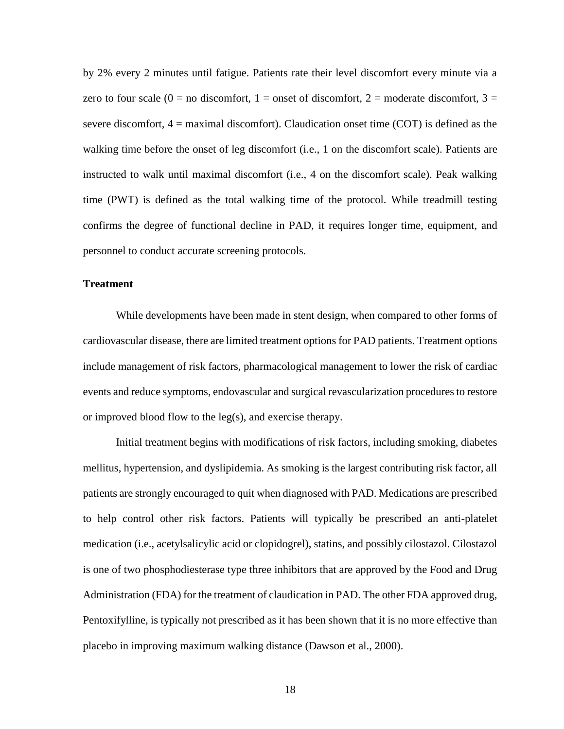by 2% every 2 minutes until fatigue. Patients rate their level discomfort every minute via a zero to four scale  $(0 = no$  discomfort,  $1 =$  onset of discomfort,  $2 =$  moderate discomfort,  $3 =$ severe discomfort, 4 = maximal discomfort). Claudication onset time (COT) is defined as the walking time before the onset of leg discomfort (i.e., 1 on the discomfort scale). Patients are instructed to walk until maximal discomfort (i.e., 4 on the discomfort scale). Peak walking time (PWT) is defined as the total walking time of the protocol. While treadmill testing confirms the degree of functional decline in PAD, it requires longer time, equipment, and personnel to conduct accurate screening protocols.

## **Treatment**

While developments have been made in stent design, when compared to other forms of cardiovascular disease, there are limited treatment options for PAD patients. Treatment options include management of risk factors, pharmacological management to lower the risk of cardiac events and reduce symptoms, endovascular and surgical revascularization procedures to restore or improved blood flow to the leg(s), and exercise therapy.

Initial treatment begins with modifications of risk factors, including smoking, diabetes mellitus, hypertension, and dyslipidemia. As smoking is the largest contributing risk factor, all patients are strongly encouraged to quit when diagnosed with PAD. Medications are prescribed to help control other risk factors. Patients will typically be prescribed an anti-platelet medication (i.e., acetylsalicylic acid or clopidogrel), statins, and possibly cilostazol. Cilostazol is one of two phosphodiesterase type three inhibitors that are approved by the Food and Drug Administration (FDA) for the treatment of claudication in PAD. The other FDA approved drug, Pentoxifylline, is typically not prescribed as it has been shown that it is no more effective than placebo in improving maximum walking distance (Dawson et al., 2000).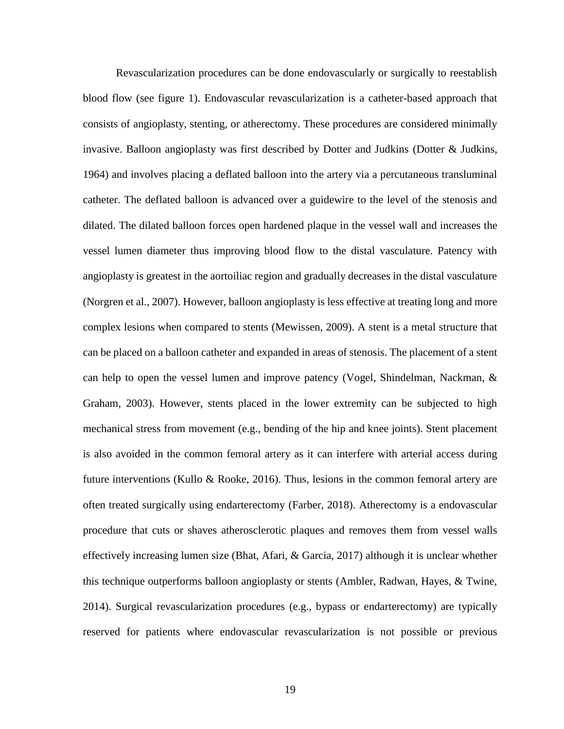Revascularization procedures can be done endovascularly or surgically to reestablish blood flow (see figure 1). Endovascular revascularization is a catheter-based approach that consists of angioplasty, stenting, or atherectomy. These procedures are considered minimally invasive. Balloon angioplasty was first described by Dotter and Judkins (Dotter & Judkins, 1964) and involves placing a deflated balloon into the artery via a percutaneous transluminal catheter. The deflated balloon is advanced over a guidewire to the level of the stenosis and dilated. The dilated balloon forces open hardened plaque in the vessel wall and increases the vessel lumen diameter thus improving blood flow to the distal vasculature. Patency with angioplasty is greatest in the aortoiliac region and gradually decreases in the distal vasculature (Norgren et al., 2007). However, balloon angioplasty is less effective at treating long and more complex lesions when compared to stents (Mewissen, 2009). A stent is a metal structure that can be placed on a balloon catheter and expanded in areas of stenosis. The placement of a stent can help to open the vessel lumen and improve patency (Vogel, Shindelman, Nackman, & Graham, 2003). However, stents placed in the lower extremity can be subjected to high mechanical stress from movement (e.g., bending of the hip and knee joints). Stent placement is also avoided in the common femoral artery as it can interfere with arterial access during future interventions (Kullo & Rooke, 2016). Thus, lesions in the common femoral artery are often treated surgically using endarterectomy (Farber, 2018). Atherectomy is a endovascular procedure that cuts or shaves atherosclerotic plaques and removes them from vessel walls effectively increasing lumen size (Bhat, Afari, & Garcia, 2017) although it is unclear whether this technique outperforms balloon angioplasty or stents (Ambler, Radwan, Hayes, & Twine, 2014). Surgical revascularization procedures (e.g., bypass or endarterectomy) are typically reserved for patients where endovascular revascularization is not possible or previous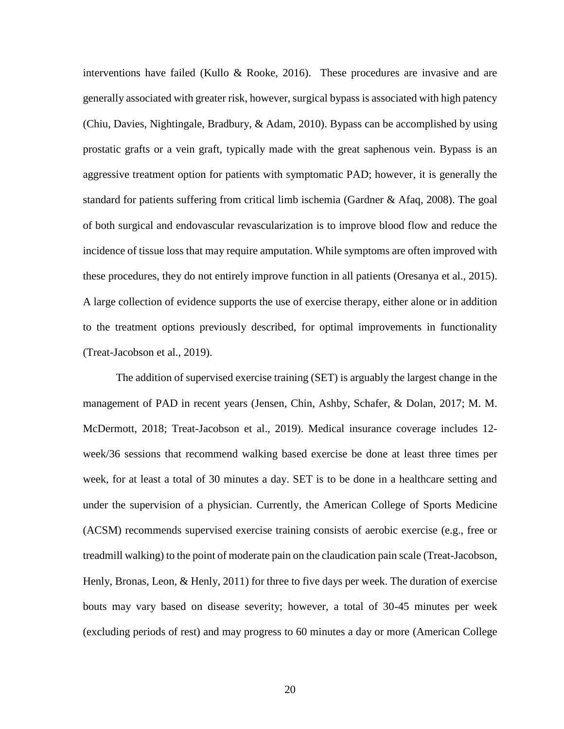interventions have failed (Kullo & Rooke, 2016). These procedures are invasive and are generally associated with greater risk, however, surgical bypass is associated with high patency (Chiu, Davies, Nightingale, Bradbury, & Adam, 2010). Bypass can be accomplished by using prostatic grafts or a vein graft, typically made with the great saphenous vein. Bypass is an aggressive treatment option for patients with symptomatic PAD; however, it is generally the standard for patients suffering from critical limb ischemia (Gardner & Afaq, 2008). The goal of both surgical and endovascular revascularization is to improve blood flow and reduce the incidence of tissue loss that may require amputation. While symptoms are often improved with these procedures, they do not entirely improve function in all patients (Oresanya et al., 2015). A large collection of evidence supports the use of exercise therapy, either alone or in addition to the treatment options previously described, for optimal improvements in functionality (Treat-Jacobson et al., 2019).

The addition of supervised exercise training (SET) is arguably the largest change in the management of PAD in recent years (Jensen, Chin, Ashby, Schafer, & Dolan, 2017; M. M. McDermott, 2018; Treat-Jacobson et al., 2019). Medical insurance coverage includes 12 week/36 sessions that recommend walking based exercise be done at least three times per week, for at least a total of 30 minutes a day. SET is to be done in a healthcare setting and under the supervision of a physician. Currently, the American College of Sports Medicine (ACSM) recommends supervised exercise training consists of aerobic exercise (e.g., free or treadmill walking) to the point of moderate pain on the claudication pain scale (Treat-Jacobson, Henly, Bronas, Leon, & Henly, 2011) for three to five days per week. The duration of exercise bouts may vary based on disease severity; however, a total of 30-45 minutes per week (excluding periods of rest) and may progress to 60 minutes a day or more (American College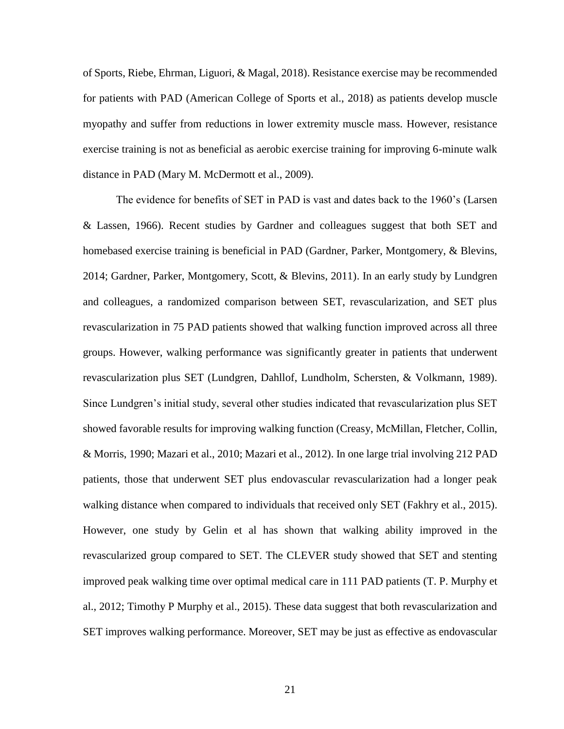of Sports, Riebe, Ehrman, Liguori, & Magal, 2018). Resistance exercise may be recommended for patients with PAD (American College of Sports et al., 2018) as patients develop muscle myopathy and suffer from reductions in lower extremity muscle mass. However, resistance exercise training is not as beneficial as aerobic exercise training for improving 6-minute walk distance in PAD (Mary M. McDermott et al., 2009).

The evidence for benefits of SET in PAD is vast and dates back to the 1960's (Larsen & Lassen, 1966). Recent studies by Gardner and colleagues suggest that both SET and homebased exercise training is beneficial in PAD (Gardner, Parker, Montgomery, & Blevins, 2014; Gardner, Parker, Montgomery, Scott, & Blevins, 2011). In an early study by Lundgren and colleagues, a randomized comparison between SET, revascularization, and SET plus revascularization in 75 PAD patients showed that walking function improved across all three groups. However, walking performance was significantly greater in patients that underwent revascularization plus SET (Lundgren, Dahllof, Lundholm, Schersten, & Volkmann, 1989). Since Lundgren's initial study, several other studies indicated that revascularization plus SET showed favorable results for improving walking function (Creasy, McMillan, Fletcher, Collin, & Morris, 1990; Mazari et al., 2010; Mazari et al., 2012). In one large trial involving 212 PAD patients, those that underwent SET plus endovascular revascularization had a longer peak walking distance when compared to individuals that received only SET (Fakhry et al., 2015). However, one study by Gelin et al has shown that walking ability improved in the revascularized group compared to SET. The CLEVER study showed that SET and stenting improved peak walking time over optimal medical care in 111 PAD patients (T. P. Murphy et al., 2012; Timothy P Murphy et al., 2015). These data suggest that both revascularization and SET improves walking performance. Moreover, SET may be just as effective as endovascular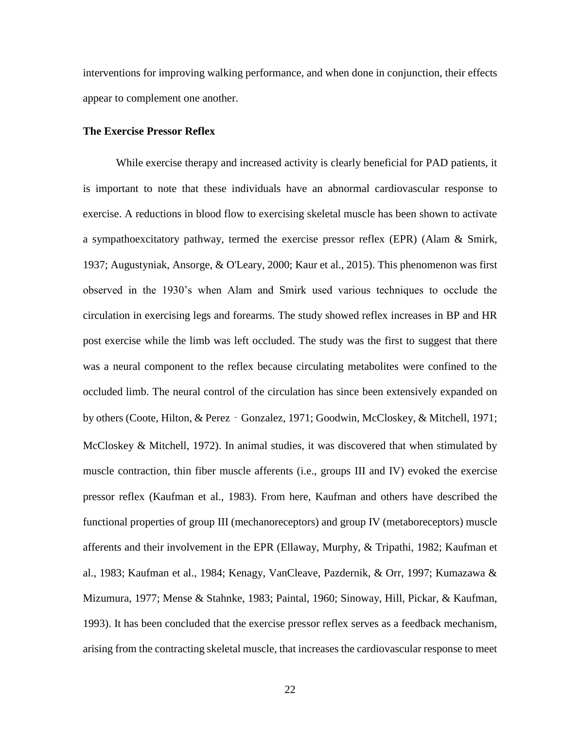interventions for improving walking performance, and when done in conjunction, their effects appear to complement one another.

#### **The Exercise Pressor Reflex**

While exercise therapy and increased activity is clearly beneficial for PAD patients, it is important to note that these individuals have an abnormal cardiovascular response to exercise. A reductions in blood flow to exercising skeletal muscle has been shown to activate a sympathoexcitatory pathway, termed the exercise pressor reflex (EPR) (Alam & Smirk, 1937; Augustyniak, Ansorge, & O'Leary, 2000; Kaur et al., 2015). This phenomenon was first observed in the 1930's when Alam and Smirk used various techniques to occlude the circulation in exercising legs and forearms. The study showed reflex increases in BP and HR post exercise while the limb was left occluded. The study was the first to suggest that there was a neural component to the reflex because circulating metabolites were confined to the occluded limb. The neural control of the circulation has since been extensively expanded on by others (Coote, Hilton, & Perez‐Gonzalez, 1971; Goodwin, McCloskey, & Mitchell, 1971; McCloskey & Mitchell, 1972). In animal studies, it was discovered that when stimulated by muscle contraction, thin fiber muscle afferents (i.e., groups III and IV) evoked the exercise pressor reflex (Kaufman et al., 1983). From here, Kaufman and others have described the functional properties of group III (mechanoreceptors) and group IV (metaboreceptors) muscle afferents and their involvement in the EPR (Ellaway, Murphy, & Tripathi, 1982; Kaufman et al., 1983; Kaufman et al., 1984; Kenagy, VanCleave, Pazdernik, & Orr, 1997; Kumazawa & Mizumura, 1977; Mense & Stahnke, 1983; Paintal, 1960; Sinoway, Hill, Pickar, & Kaufman, 1993). It has been concluded that the exercise pressor reflex serves as a feedback mechanism, arising from the contracting skeletal muscle, that increases the cardiovascular response to meet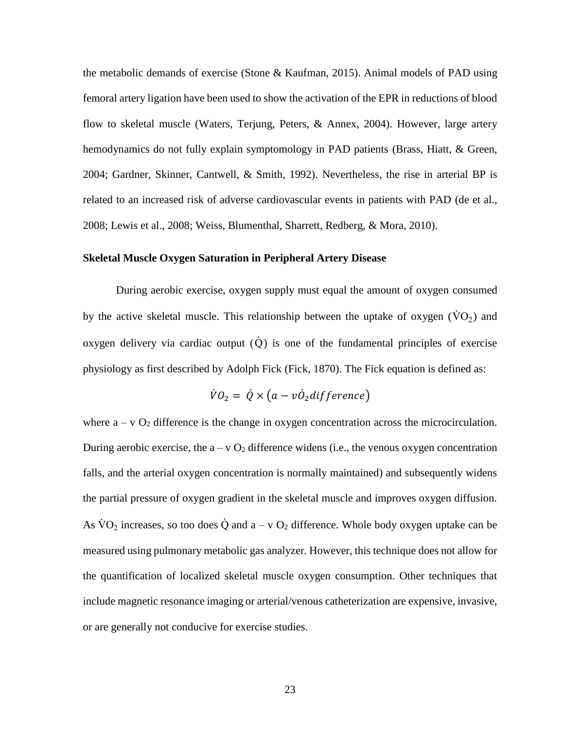the metabolic demands of exercise (Stone & Kaufman, 2015). Animal models of PAD using femoral artery ligation have been used to show the activation of the EPR in reductions of blood flow to skeletal muscle (Waters, Terjung, Peters, & Annex, 2004). However, large artery hemodynamics do not fully explain symptomology in PAD patients (Brass, Hiatt, & Green, 2004; Gardner, Skinner, Cantwell, & Smith, 1992). Nevertheless, the rise in arterial BP is related to an increased risk of adverse cardiovascular events in patients with PAD (de et al., 2008; Lewis et al., 2008; Weiss, Blumenthal, Sharrett, Redberg, & Mora, 2010).

#### **Skeletal Muscle Oxygen Saturation in Peripheral Artery Disease**

During aerobic exercise, oxygen supply must equal the amount of oxygen consumed by the active skeletal muscle. This relationship between the uptake of oxygen  $(\dot{V}O_2)$  and oxygen delivery via cardiac output  $\overrightarrow{Q}$  is one of the fundamental principles of exercise physiology as first described by Adolph Fick (Fick, 1870). The Fick equation is defined as:

$$
\dot{V}O_2 = \dot{Q} \times (a - v\dot{O}_2 \text{difference})
$$

where  $a - v O_2$  difference is the change in oxygen concentration across the microcirculation. During aerobic exercise, the  $a - v O_2$  difference widens (i.e., the venous oxygen concentration falls, and the arterial oxygen concentration is normally maintained) and subsequently widens the partial pressure of oxygen gradient in the skeletal muscle and improves oxygen diffusion. As  $\rm \dot{VO}_2$  increases, so too does  $\dot{Q}$  and  $a - v O_2$  difference. Whole body oxygen uptake can be measured using pulmonary metabolic gas analyzer. However, this technique does not allow for the quantification of localized skeletal muscle oxygen consumption. Other techniques that include magnetic resonance imaging or arterial/venous catheterization are expensive, invasive, or are generally not conducive for exercise studies.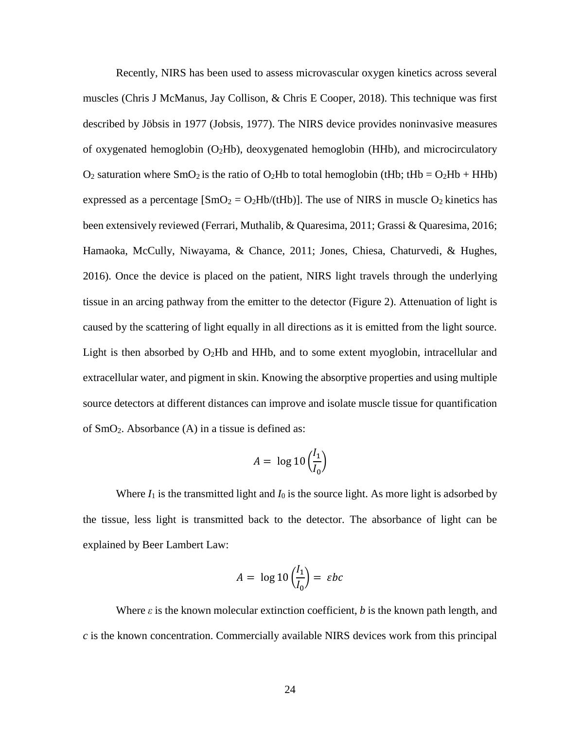Recently, NIRS has been used to assess microvascular oxygen kinetics across several muscles (Chris J McManus, Jay Collison, & Chris E Cooper, 2018). This technique was first described by Jöbsis in 1977 (Jobsis, 1977). The NIRS device provides noninvasive measures of oxygenated hemoglobin (O2Hb), deoxygenated hemoglobin (HHb), and microcirculatory  $O_2$  saturation where SmO<sub>2</sub> is the ratio of O<sub>2</sub>Hb to total hemoglobin (tHb; tHb = O<sub>2</sub>Hb + HHb) expressed as a percentage  $[SmO_2 = O_2Hb/(tHb)]$ . The use of NIRS in muscle O<sub>2</sub> kinetics has been extensively reviewed (Ferrari, Muthalib, & Quaresima, 2011; Grassi & Quaresima, 2016; Hamaoka, McCully, Niwayama, & Chance, 2011; Jones, Chiesa, Chaturvedi, & Hughes, 2016). Once the device is placed on the patient, NIRS light travels through the underlying tissue in an arcing pathway from the emitter to the detector (Figure 2). Attenuation of light is caused by the scattering of light equally in all directions as it is emitted from the light source. Light is then absorbed by  $O_2Hb$  and HHb, and to some extent myoglobin, intracellular and extracellular water, and pigment in skin. Knowing the absorptive properties and using multiple source detectors at different distances can improve and isolate muscle tissue for quantification of SmO2. Absorbance (A) in a tissue is defined as:

$$
A = \log 10 \left( \frac{I_1}{I_0} \right)
$$

Where  $I_1$  is the transmitted light and  $I_0$  is the source light. As more light is adsorbed by the tissue, less light is transmitted back to the detector. The absorbance of light can be explained by Beer Lambert Law:

$$
A = \log 10 \left( \frac{l_1}{l_0} \right) = \varepsilon bc
$$

Where  $\varepsilon$  is the known molecular extinction coefficient, *b* is the known path length, and *c* is the known concentration. Commercially available NIRS devices work from this principal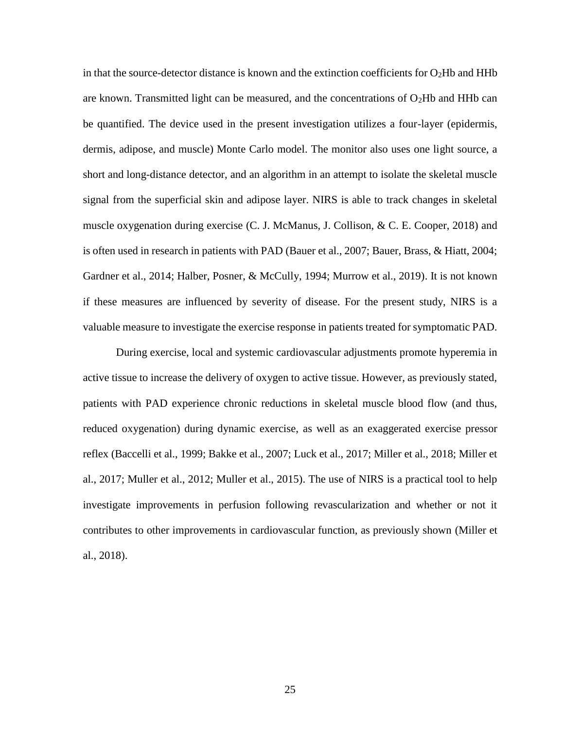in that the source-detector distance is known and the extinction coefficients for  $O<sub>2</sub>Hb$  and HHb are known. Transmitted light can be measured, and the concentrations of  $O_2Hb$  and HHb can be quantified. The device used in the present investigation utilizes a four-layer (epidermis, dermis, adipose, and muscle) Monte Carlo model. The monitor also uses one light source, a short and long-distance detector, and an algorithm in an attempt to isolate the skeletal muscle signal from the superficial skin and adipose layer. NIRS is able to track changes in skeletal muscle oxygenation during exercise (C. J. McManus, J. Collison, & C. E. Cooper, 2018) and is often used in research in patients with PAD (Bauer et al., 2007; Bauer, Brass, & Hiatt, 2004; Gardner et al., 2014; Halber, Posner, & McCully, 1994; Murrow et al., 2019). It is not known if these measures are influenced by severity of disease. For the present study, NIRS is a valuable measure to investigate the exercise response in patients treated for symptomatic PAD.

During exercise, local and systemic cardiovascular adjustments promote hyperemia in active tissue to increase the delivery of oxygen to active tissue. However, as previously stated, patients with PAD experience chronic reductions in skeletal muscle blood flow (and thus, reduced oxygenation) during dynamic exercise, as well as an exaggerated exercise pressor reflex (Baccelli et al., 1999; Bakke et al., 2007; Luck et al., 2017; Miller et al., 2018; Miller et al., 2017; Muller et al., 2012; Muller et al., 2015). The use of NIRS is a practical tool to help investigate improvements in perfusion following revascularization and whether or not it contributes to other improvements in cardiovascular function, as previously shown (Miller et al., 2018).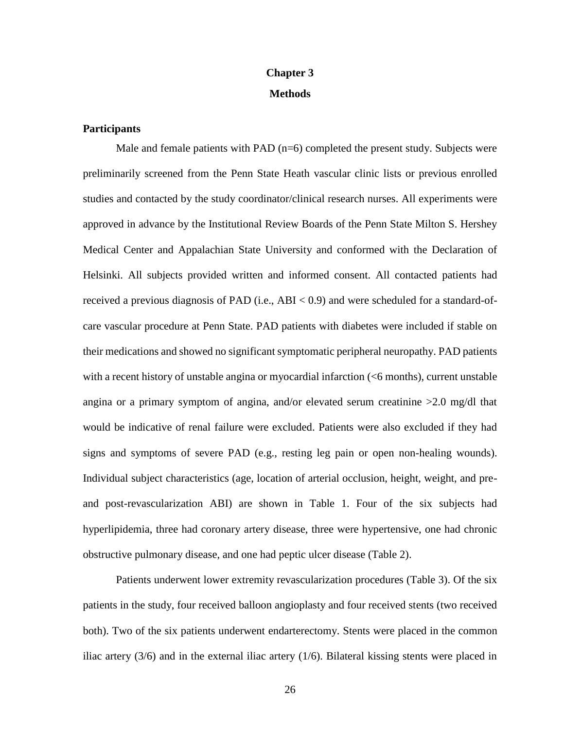# **Chapter 3 Methods**

## **Participants**

Male and female patients with PAD  $(n=6)$  completed the present study. Subjects were preliminarily screened from the Penn State Heath vascular clinic lists or previous enrolled studies and contacted by the study coordinator/clinical research nurses. All experiments were approved in advance by the Institutional Review Boards of the Penn State Milton S. Hershey Medical Center and Appalachian State University and conformed with the Declaration of Helsinki. All subjects provided written and informed consent. All contacted patients had received a previous diagnosis of PAD (i.e., ABI < 0.9) and were scheduled for a standard-ofcare vascular procedure at Penn State. PAD patients with diabetes were included if stable on their medications and showed no significant symptomatic peripheral neuropathy. PAD patients with a recent history of unstable angina or myocardial infarction (<6 months), current unstable angina or a primary symptom of angina, and/or elevated serum creatinine  $>2.0$  mg/dl that would be indicative of renal failure were excluded. Patients were also excluded if they had signs and symptoms of severe PAD (e.g., resting leg pain or open non-healing wounds). Individual subject characteristics (age, location of arterial occlusion, height, weight, and preand post-revascularization ABI) are shown in Table 1. Four of the six subjects had hyperlipidemia, three had coronary artery disease, three were hypertensive, one had chronic obstructive pulmonary disease, and one had peptic ulcer disease (Table 2).

Patients underwent lower extremity revascularization procedures (Table 3). Of the six patients in the study, four received balloon angioplasty and four received stents (two received both). Two of the six patients underwent endarterectomy. Stents were placed in the common iliac artery  $(3/6)$  and in the external iliac artery  $(1/6)$ . Bilateral kissing stents were placed in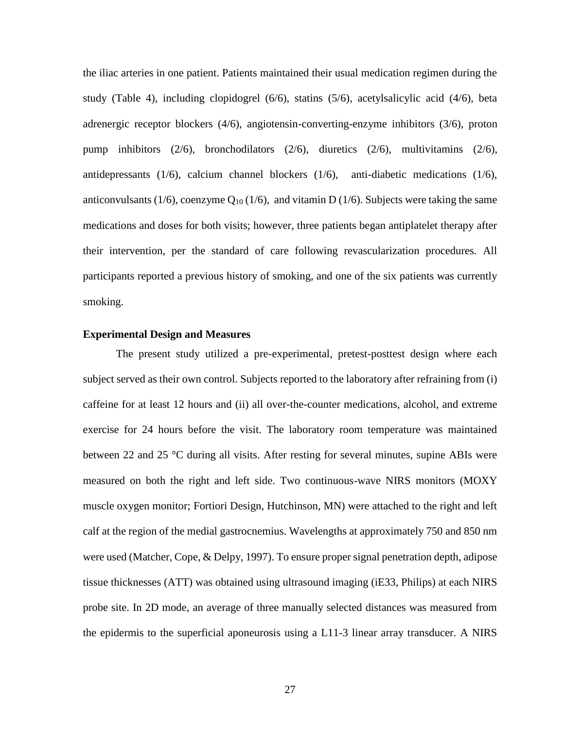the iliac arteries in one patient. Patients maintained their usual medication regimen during the study (Table 4), including clopidogrel (6/6), statins (5/6), acetylsalicylic acid (4/6), beta adrenergic receptor blockers (4/6), angiotensin-converting-enzyme inhibitors (3/6), proton pump inhibitors (2/6), bronchodilators (2/6), diuretics (2/6), multivitamins (2/6), antidepressants (1/6), calcium channel blockers (1/6), anti-diabetic medications (1/6), anticonvulsants (1/6), coenzyme  $Q_{10}$  (1/6), and vitamin D (1/6). Subjects were taking the same medications and doses for both visits; however, three patients began antiplatelet therapy after their intervention, per the standard of care following revascularization procedures. All participants reported a previous history of smoking, and one of the six patients was currently smoking.

### **Experimental Design and Measures**

The present study utilized a pre-experimental, pretest-posttest design where each subject served as their own control. Subjects reported to the laboratory after refraining from (i) caffeine for at least 12 hours and (ii) all over-the-counter medications, alcohol, and extreme exercise for 24 hours before the visit. The laboratory room temperature was maintained between 22 and 25 °C during all visits. After resting for several minutes, supine ABIs were measured on both the right and left side. Two continuous-wave NIRS monitors (MOXY muscle oxygen monitor; Fortiori Design, Hutchinson, MN) were attached to the right and left calf at the region of the medial gastrocnemius. Wavelengths at approximately 750 and 850 nm were used (Matcher, Cope, & Delpy, 1997). To ensure proper signal penetration depth, adipose tissue thicknesses (ATT) was obtained using ultrasound imaging (iE33, Philips) at each NIRS probe site. In 2D mode, an average of three manually selected distances was measured from the epidermis to the superficial aponeurosis using a L11-3 linear array transducer. A NIRS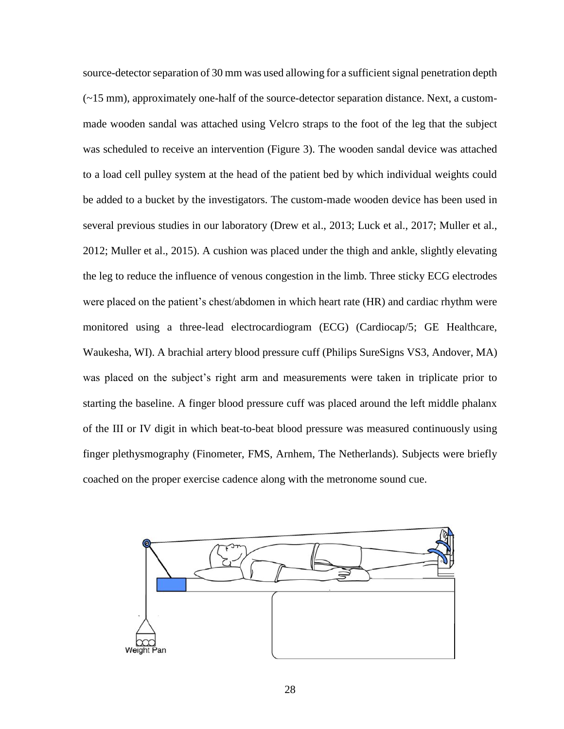source-detector separation of 30 mm was used allowing for a sufficient signal penetration depth  $(-15 \text{ mm})$ , approximately one-half of the source-detector separation distance. Next, a custommade wooden sandal was attached using Velcro straps to the foot of the leg that the subject was scheduled to receive an intervention (Figure 3). The wooden sandal device was attached to a load cell pulley system at the head of the patient bed by which individual weights could be added to a bucket by the investigators. The custom-made wooden device has been used in several previous studies in our laboratory (Drew et al., 2013; Luck et al., 2017; Muller et al., 2012; Muller et al., 2015). A cushion was placed under the thigh and ankle, slightly elevating the leg to reduce the influence of venous congestion in the limb. Three sticky ECG electrodes were placed on the patient's chest/abdomen in which heart rate (HR) and cardiac rhythm were monitored using a three-lead electrocardiogram (ECG) (Cardiocap/5; GE Healthcare, Waukesha, WI). A brachial artery blood pressure cuff (Philips SureSigns VS3, Andover, MA) was placed on the subject's right arm and measurements were taken in triplicate prior to starting the baseline. A finger blood pressure cuff was placed around the left middle phalanx of the III or IV digit in which beat-to-beat blood pressure was measured continuously using finger plethysmography (Finometer, FMS, Arnhem, The Netherlands). Subjects were briefly coached on the proper exercise cadence along with the metronome sound cue.

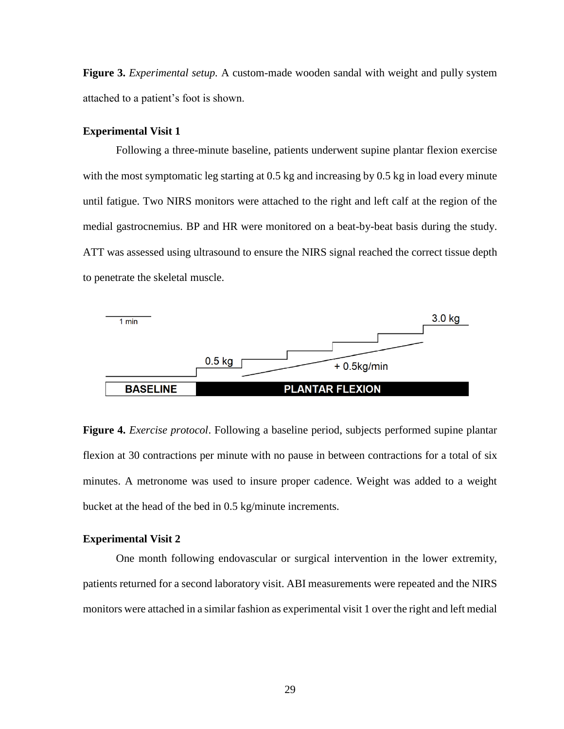**Figure 3.** *Experimental setup.* A custom-made wooden sandal with weight and pully system attached to a patient's foot is shown.

#### **Experimental Visit 1**

Following a three-minute baseline, patients underwent supine plantar flexion exercise with the most symptomatic leg starting at 0.5 kg and increasing by 0.5 kg in load every minute until fatigue. Two NIRS monitors were attached to the right and left calf at the region of the medial gastrocnemius. BP and HR were monitored on a beat-by-beat basis during the study. ATT was assessed using ultrasound to ensure the NIRS signal reached the correct tissue depth to penetrate the skeletal muscle.



**Figure 4.** *Exercise protocol*. Following a baseline period, subjects performed supine plantar flexion at 30 contractions per minute with no pause in between contractions for a total of six minutes. A metronome was used to insure proper cadence. Weight was added to a weight bucket at the head of the bed in 0.5 kg/minute increments.

#### **Experimental Visit 2**

One month following endovascular or surgical intervention in the lower extremity, patients returned for a second laboratory visit. ABI measurements were repeated and the NIRS monitors were attached in a similar fashion as experimental visit 1 over the right and left medial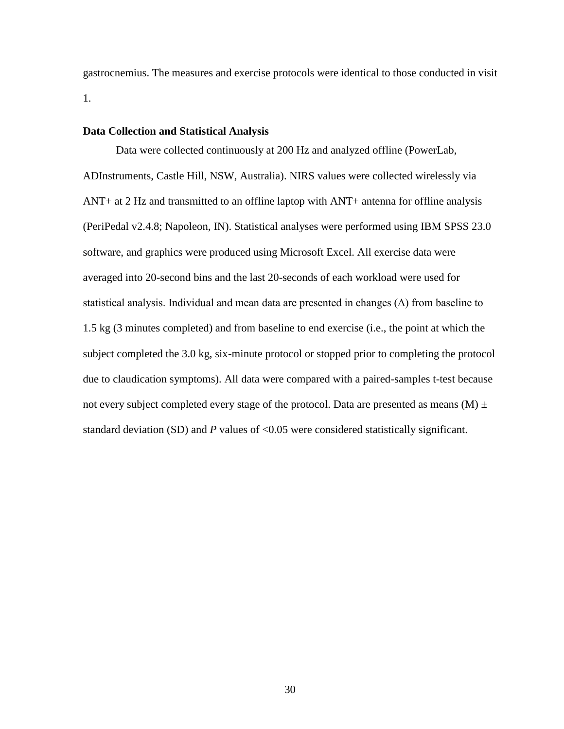gastrocnemius. The measures and exercise protocols were identical to those conducted in visit 1.

### **Data Collection and Statistical Analysis**

Data were collected continuously at 200 Hz and analyzed offline (PowerLab, ADInstruments, Castle Hill, NSW, Australia). NIRS values were collected wirelessly via ANT+ at 2 Hz and transmitted to an offline laptop with ANT+ antenna for offline analysis (PeriPedal v2.4.8; Napoleon, IN). Statistical analyses were performed using IBM SPSS 23.0 software, and graphics were produced using Microsoft Excel. All exercise data were averaged into 20-second bins and the last 20-seconds of each workload were used for statistical analysis. Individual and mean data are presented in changes  $(\Delta)$  from baseline to 1.5 kg (3 minutes completed) and from baseline to end exercise (i.e., the point at which the subject completed the 3.0 kg, six-minute protocol or stopped prior to completing the protocol due to claudication symptoms). All data were compared with a paired-samples t-test because not every subject completed every stage of the protocol. Data are presented as means  $(M) \pm$ standard deviation (SD) and *P* values of <0.05 were considered statistically significant.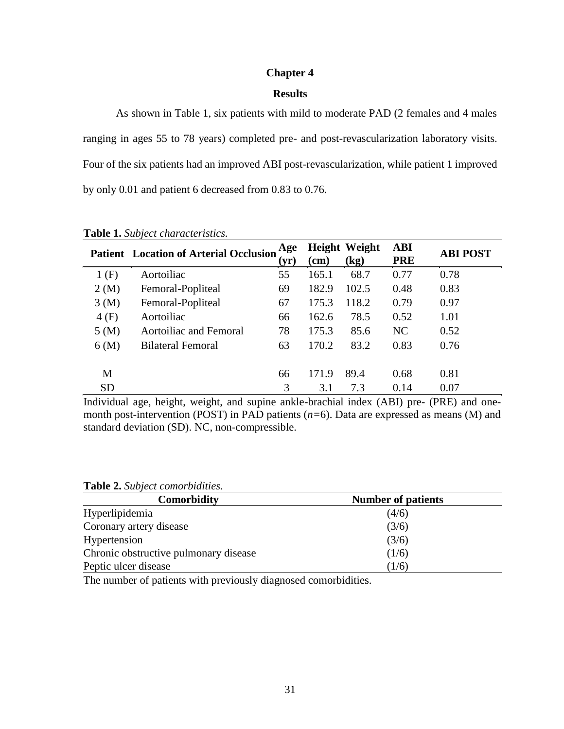# **Chapter 4**

# **Results**

As shown in Table 1, six patients with mild to moderate PAD (2 females and 4 males ranging in ages 55 to 78 years) completed pre- and post-revascularization laboratory visits. Four of the six patients had an improved ABI post-revascularization, while patient 1 improved by only 0.01 and patient 6 decreased from 0.83 to 0.76.

|           | <b>Patient Location of Arterial Occlusion</b> | Age<br>$(\mathbf{y}\mathbf{r})$ | $(cm)$ | <b>Height Weight</b><br>(kg) | <b>ABI</b><br><b>PRE</b> | <b>ABI POST</b> |
|-----------|-----------------------------------------------|---------------------------------|--------|------------------------------|--------------------------|-----------------|
| 1(F)      | Aortoiliac                                    | 55                              | 165.1  | 68.7                         | 0.77                     | 0.78            |
| 2(M)      | Femoral-Popliteal                             | 69                              | 182.9  | 102.5                        | 0.48                     | 0.83            |
| 3(M)      | Femoral-Popliteal                             | 67                              | 175.3  | 118.2                        | 0.79                     | 0.97            |
| 4(F)      | Aortoiliac                                    | 66                              | 162.6  | 78.5                         | 0.52                     | 1.01            |
| 5(M)      | <b>Aortoiliac and Femoral</b>                 | 78                              | 175.3  | 85.6                         | NC                       | 0.52            |
| 6(M)      | Bilateral Femoral                             | 63                              | 170.2  | 83.2                         | 0.83                     | 0.76            |
|           |                                               |                                 |        |                              |                          |                 |
| М         |                                               | 66                              | 171.9  | 89.4                         | 0.68                     | 0.81            |
| <b>SD</b> |                                               | 3                               | 3.1    | 7.3                          | 0.14                     | 0.07            |

**Table 1.** *Subject characteristics.*

Individual age, height, weight, and supine ankle-brachial index (ABI) pre- (PRE) and onemonth post-intervention (POST) in PAD patients (*n=*6). Data are expressed as means (M) and standard deviation (SD). NC, non-compressible.

**Table 2.** *Subject comorbidities.*

| Comorbidity                           | <b>Number of patients</b> |
|---------------------------------------|---------------------------|
| Hyperlipidemia                        | (4/6)                     |
| Coronary artery disease               | (3/6)                     |
| Hypertension                          | (3/6)                     |
| Chronic obstructive pulmonary disease | (1/6)                     |
| Peptic ulcer disease                  | (1/6)                     |

The number of patients with previously diagnosed comorbidities.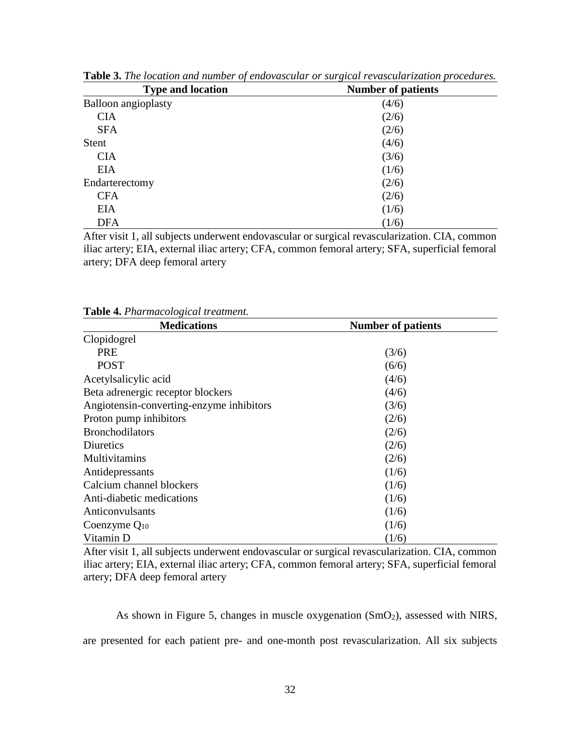| <b>Type and location</b>   | $\circ$<br><b>Number of patients</b> |  |  |  |
|----------------------------|--------------------------------------|--|--|--|
| <b>Balloon</b> angioplasty | (4/6)                                |  |  |  |
| <b>CIA</b>                 | (2/6)                                |  |  |  |
| <b>SFA</b>                 | (2/6)                                |  |  |  |
| <b>Stent</b>               | (4/6)                                |  |  |  |
| <b>CIA</b>                 | (3/6)                                |  |  |  |
| <b>EIA</b>                 | (1/6)                                |  |  |  |
| Endarterectomy             | (2/6)                                |  |  |  |
| <b>CFA</b>                 | (2/6)                                |  |  |  |
| <b>EIA</b>                 | (1/6)                                |  |  |  |
| <b>DFA</b>                 | (1/6)                                |  |  |  |

**Table 3.** *The location and number of endovascular or surgical revascularization procedures.*

After visit 1, all subjects underwent endovascular or surgical revascularization. CIA, common iliac artery; EIA, external iliac artery; CFA, common femoral artery; SFA, superficial femoral artery; DFA deep femoral artery

| <b>Medications</b>                       | <b>Number of patients</b> |  |  |
|------------------------------------------|---------------------------|--|--|
| Clopidogrel                              |                           |  |  |
| <b>PRE</b>                               | (3/6)                     |  |  |
| <b>POST</b>                              | (6/6)                     |  |  |
| Acetylsalicylic acid                     | (4/6)                     |  |  |
| Beta adrenergic receptor blockers        | (4/6)                     |  |  |
| Angiotensin-converting-enzyme inhibitors | (3/6)                     |  |  |
| Proton pump inhibitors                   | (2/6)                     |  |  |
| <b>Bronchodilators</b>                   | (2/6)                     |  |  |
| Diuretics                                | (2/6)                     |  |  |
| <b>Multivitamins</b>                     | (2/6)                     |  |  |
| Antidepressants                          | (1/6)                     |  |  |
| Calcium channel blockers                 | (1/6)                     |  |  |
| Anti-diabetic medications                | (1/6)                     |  |  |
| Anticonvulsants                          | (1/6)                     |  |  |
| Coenzyme $Q_{10}$                        | (1/6)                     |  |  |
| Vitamin D                                | (1/6)                     |  |  |

**Table 4.** *Pharmacological treatment.*

After visit 1, all subjects underwent endovascular or surgical revascularization. CIA, common iliac artery; EIA, external iliac artery; CFA, common femoral artery; SFA, superficial femoral artery; DFA deep femoral artery

As shown in Figure 5, changes in muscle oxygenation  $(SmO<sub>2</sub>)$ , assessed with NIRS, are presented for each patient pre- and one-month post revascularization. All six subjects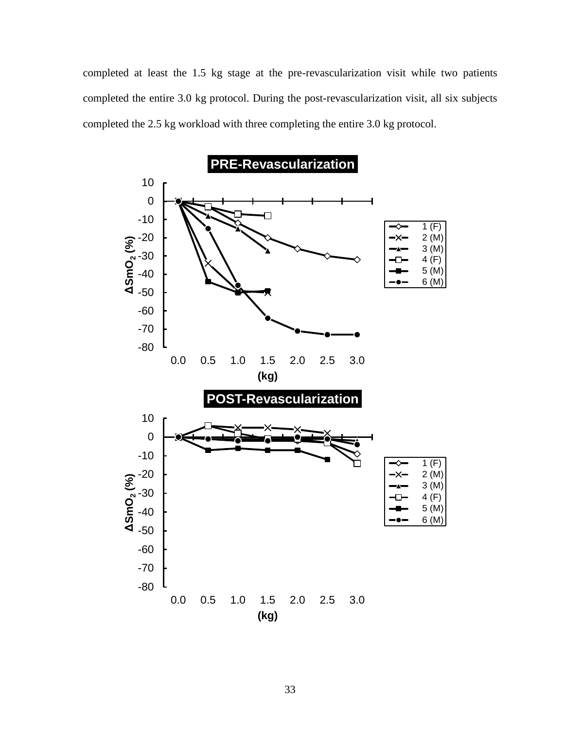completed at least the 1.5 kg stage at the pre-revascularization visit while two patients completed the entire 3.0 kg protocol. During the post-revascularization visit, all six subjects completed the 2.5 kg workload with three completing the entire 3.0 kg protocol.

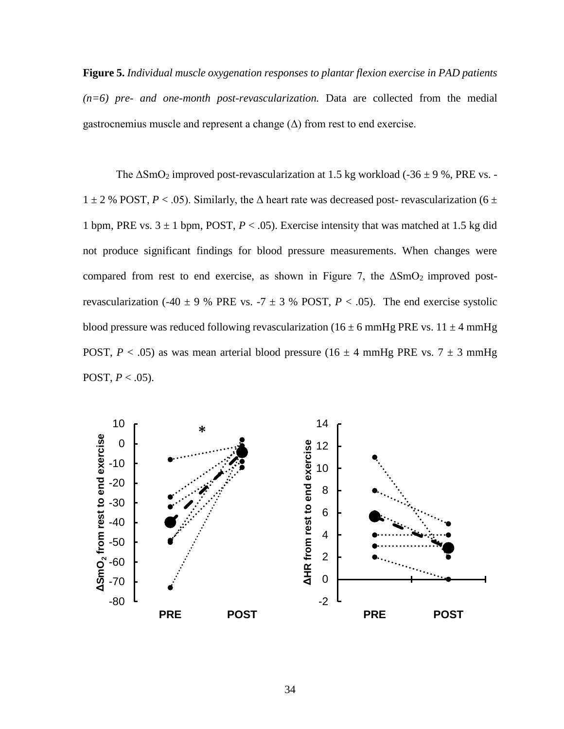**Figure 5.** *Individual muscle oxygenation responses to plantar flexion exercise in PAD patients (n=6) pre- and one-month post-revascularization.* Data are collected from the medial gastrocnemius muscle and represent a change  $(\Delta)$  from rest to end exercise.

The  $\Delta SmO_2$  improved post-revascularization at 1.5 kg workload (-36  $\pm$  9 %, PRE vs. - $1 \pm 2$  % POST,  $P < .05$ ). Similarly, the  $\Delta$  heart rate was decreased post-revascularization (6  $\pm$ 1 bpm, PRE vs.  $3 \pm 1$  bpm, POST,  $P < .05$ ). Exercise intensity that was matched at 1.5 kg did not produce significant findings for blood pressure measurements. When changes were compared from rest to end exercise, as shown in Figure 7, the  $\Delta SmO_2$  improved postrevascularization (-40  $\pm$  9 % PRE vs. -7  $\pm$  3 % POST, *P* < .05). The end exercise systolic blood pressure was reduced following revascularization (16  $\pm$  6 mmHg PRE vs. 11  $\pm$  4 mmHg POST,  $P < .05$ ) as was mean arterial blood pressure (16  $\pm$  4 mmHg PRE vs. 7  $\pm$  3 mmHg POST,  $P < .05$ ).

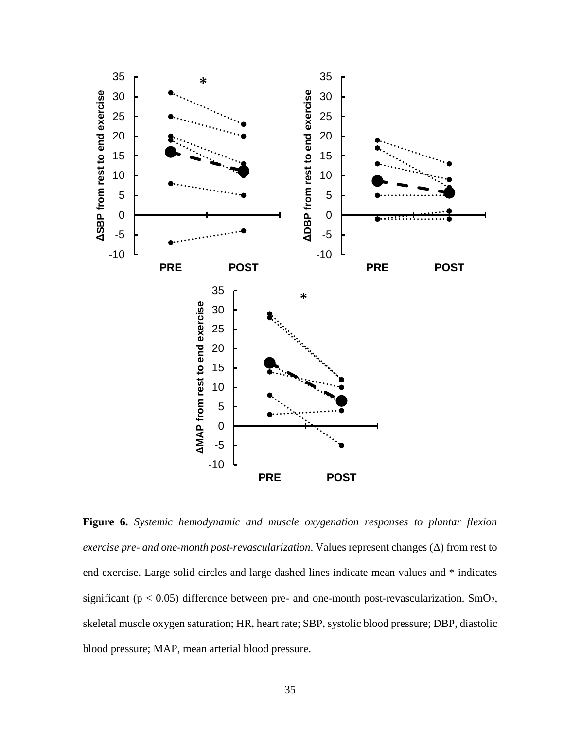

**Figure 6.** *Systemic hemodynamic and muscle oxygenation responses to plantar flexion exercise pre- and one-month post-revascularization*. Values represent changes (Δ) from rest to end exercise. Large solid circles and large dashed lines indicate mean values and \* indicates significant ( $p < 0.05$ ) difference between pre- and one-month post-revascularization. SmO<sub>2</sub>, skeletal muscle oxygen saturation; HR, heart rate; SBP, systolic blood pressure; DBP, diastolic blood pressure; MAP, mean arterial blood pressure.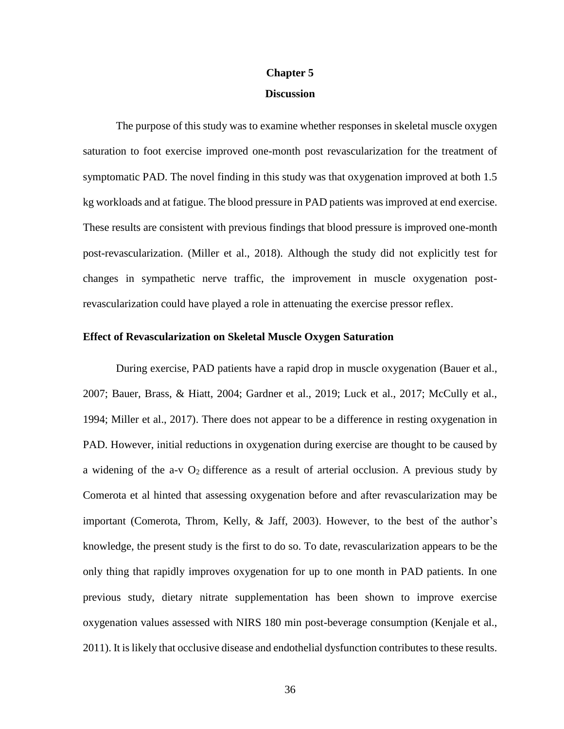#### **Chapter 5**

### **Discussion**

The purpose of this study was to examine whether responses in skeletal muscle oxygen saturation to foot exercise improved one-month post revascularization for the treatment of symptomatic PAD. The novel finding in this study was that oxygenation improved at both 1.5 kg workloads and at fatigue. The blood pressure in PAD patients was improved at end exercise. These results are consistent with previous findings that blood pressure is improved one-month post-revascularization. (Miller et al., 2018). Although the study did not explicitly test for changes in sympathetic nerve traffic, the improvement in muscle oxygenation postrevascularization could have played a role in attenuating the exercise pressor reflex.

## **Effect of Revascularization on Skeletal Muscle Oxygen Saturation**

During exercise, PAD patients have a rapid drop in muscle oxygenation (Bauer et al., 2007; Bauer, Brass, & Hiatt, 2004; Gardner et al., 2019; Luck et al., 2017; McCully et al., 1994; Miller et al., 2017). There does not appear to be a difference in resting oxygenation in PAD. However, initial reductions in oxygenation during exercise are thought to be caused by a widening of the a-v  $O_2$  difference as a result of arterial occlusion. A previous study by Comerota et al hinted that assessing oxygenation before and after revascularization may be important (Comerota, Throm, Kelly, & Jaff, 2003). However, to the best of the author's knowledge, the present study is the first to do so. To date, revascularization appears to be the only thing that rapidly improves oxygenation for up to one month in PAD patients. In one previous study, dietary nitrate supplementation has been shown to improve exercise oxygenation values assessed with NIRS 180 min post-beverage consumption (Kenjale et al., 2011). It is likely that occlusive disease and endothelial dysfunction contributes to these results.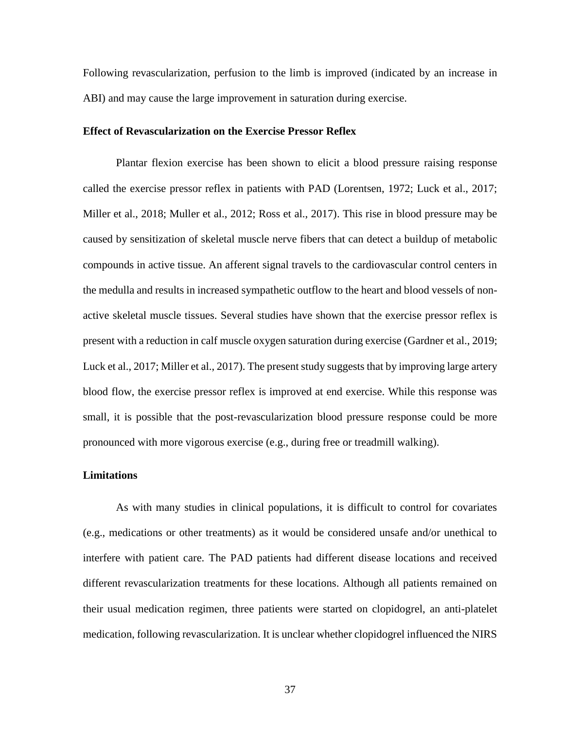Following revascularization, perfusion to the limb is improved (indicated by an increase in ABI) and may cause the large improvement in saturation during exercise.

## **Effect of Revascularization on the Exercise Pressor Reflex**

Plantar flexion exercise has been shown to elicit a blood pressure raising response called the exercise pressor reflex in patients with PAD (Lorentsen, 1972; Luck et al., 2017; Miller et al., 2018; Muller et al., 2012; Ross et al., 2017). This rise in blood pressure may be caused by sensitization of skeletal muscle nerve fibers that can detect a buildup of metabolic compounds in active tissue. An afferent signal travels to the cardiovascular control centers in the medulla and results in increased sympathetic outflow to the heart and blood vessels of nonactive skeletal muscle tissues. Several studies have shown that the exercise pressor reflex is present with a reduction in calf muscle oxygen saturation during exercise (Gardner et al., 2019; Luck et al., 2017; Miller et al., 2017). The present study suggests that by improving large artery blood flow, the exercise pressor reflex is improved at end exercise. While this response was small, it is possible that the post-revascularization blood pressure response could be more pronounced with more vigorous exercise (e.g., during free or treadmill walking).

### **Limitations**

As with many studies in clinical populations, it is difficult to control for covariates (e.g., medications or other treatments) as it would be considered unsafe and/or unethical to interfere with patient care. The PAD patients had different disease locations and received different revascularization treatments for these locations. Although all patients remained on their usual medication regimen, three patients were started on clopidogrel, an anti-platelet medication, following revascularization. It is unclear whether clopidogrel influenced the NIRS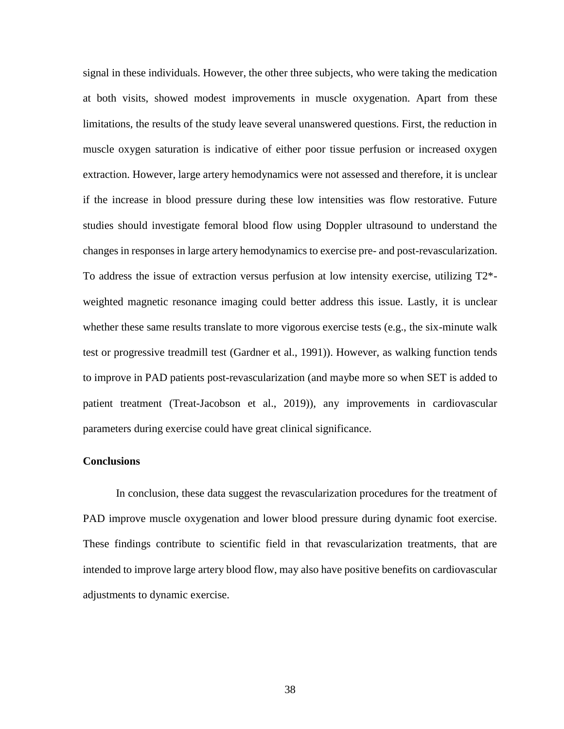signal in these individuals. However, the other three subjects, who were taking the medication at both visits, showed modest improvements in muscle oxygenation. Apart from these limitations, the results of the study leave several unanswered questions. First, the reduction in muscle oxygen saturation is indicative of either poor tissue perfusion or increased oxygen extraction. However, large artery hemodynamics were not assessed and therefore, it is unclear if the increase in blood pressure during these low intensities was flow restorative. Future studies should investigate femoral blood flow using Doppler ultrasound to understand the changes in responses in large artery hemodynamics to exercise pre- and post-revascularization. To address the issue of extraction versus perfusion at low intensity exercise, utilizing T2\* weighted magnetic resonance imaging could better address this issue. Lastly, it is unclear whether these same results translate to more vigorous exercise tests (e.g., the six-minute walk test or progressive treadmill test (Gardner et al., 1991)). However, as walking function tends to improve in PAD patients post-revascularization (and maybe more so when SET is added to patient treatment (Treat-Jacobson et al., 2019)), any improvements in cardiovascular parameters during exercise could have great clinical significance.

### **Conclusions**

In conclusion, these data suggest the revascularization procedures for the treatment of PAD improve muscle oxygenation and lower blood pressure during dynamic foot exercise. These findings contribute to scientific field in that revascularization treatments, that are intended to improve large artery blood flow, may also have positive benefits on cardiovascular adjustments to dynamic exercise.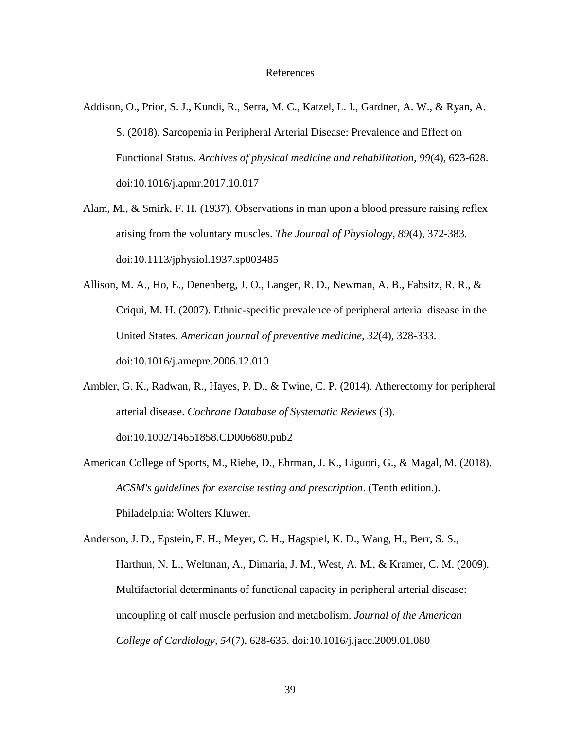#### References

- Addison, O., Prior, S. J., Kundi, R., Serra, M. C., Katzel, L. I., Gardner, A. W., & Ryan, A. S. (2018). Sarcopenia in Peripheral Arterial Disease: Prevalence and Effect on Functional Status. *Archives of physical medicine and rehabilitation, 99*(4), 623-628. doi:10.1016/j.apmr.2017.10.017
- Alam, M., & Smirk, F. H. (1937). Observations in man upon a blood pressure raising reflex arising from the voluntary muscles. *The Journal of Physiology, 89*(4), 372-383. doi:10.1113/jphysiol.1937.sp003485
- Allison, M. A., Ho, E., Denenberg, J. O., Langer, R. D., Newman, A. B., Fabsitz, R. R., & Criqui, M. H. (2007). Ethnic-specific prevalence of peripheral arterial disease in the United States. *American journal of preventive medicine, 32*(4), 328-333. doi:10.1016/j.amepre.2006.12.010
- Ambler, G. K., Radwan, R., Hayes, P. D., & Twine, C. P. (2014). Atherectomy for peripheral arterial disease. *Cochrane Database of Systematic Reviews* (3). doi:10.1002/14651858.CD006680.pub2
- American College of Sports, M., Riebe, D., Ehrman, J. K., Liguori, G., & Magal, M. (2018). *ACSM's guidelines for exercise testing and prescription*. (Tenth edition.). Philadelphia: Wolters Kluwer.

Anderson, J. D., Epstein, F. H., Meyer, C. H., Hagspiel, K. D., Wang, H., Berr, S. S., Harthun, N. L., Weltman, A., Dimaria, J. M., West, A. M., & Kramer, C. M. (2009). Multifactorial determinants of functional capacity in peripheral arterial disease: uncoupling of calf muscle perfusion and metabolism. *Journal of the American College of Cardiology, 54*(7), 628-635. doi:10.1016/j.jacc.2009.01.080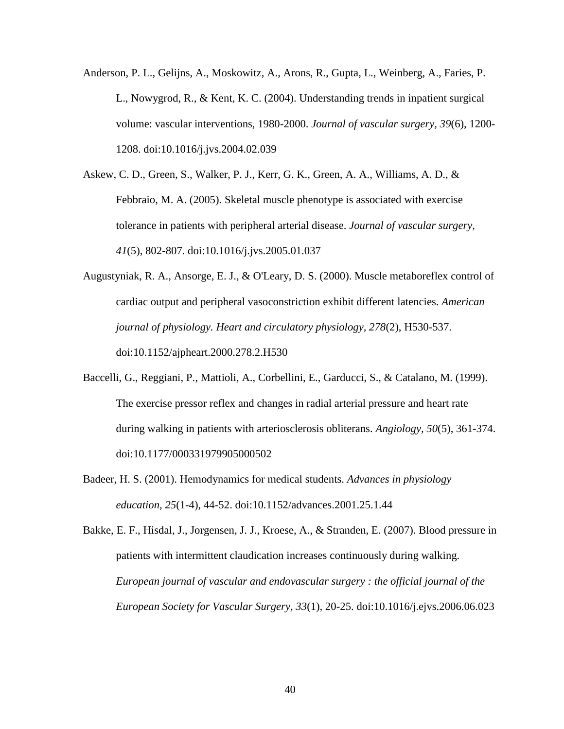- Anderson, P. L., Gelijns, A., Moskowitz, A., Arons, R., Gupta, L., Weinberg, A., Faries, P. L., Nowygrod, R., & Kent, K. C. (2004). Understanding trends in inpatient surgical volume: vascular interventions, 1980-2000. *Journal of vascular surgery, 39*(6), 1200- 1208. doi:10.1016/j.jvs.2004.02.039
- Askew, C. D., Green, S., Walker, P. J., Kerr, G. K., Green, A. A., Williams, A. D., & Febbraio, M. A. (2005). Skeletal muscle phenotype is associated with exercise tolerance in patients with peripheral arterial disease. *Journal of vascular surgery, 41*(5), 802-807. doi:10.1016/j.jvs.2005.01.037
- Augustyniak, R. A., Ansorge, E. J., & O'Leary, D. S. (2000). Muscle metaboreflex control of cardiac output and peripheral vasoconstriction exhibit different latencies. *American journal of physiology. Heart and circulatory physiology, 278*(2), H530-537. doi:10.1152/ajpheart.2000.278.2.H530
- Baccelli, G., Reggiani, P., Mattioli, A., Corbellini, E., Garducci, S., & Catalano, M. (1999). The exercise pressor reflex and changes in radial arterial pressure and heart rate during walking in patients with arteriosclerosis obliterans. *Angiology, 50*(5), 361-374. doi:10.1177/000331979905000502
- Badeer, H. S. (2001). Hemodynamics for medical students. *Advances in physiology education, 25*(1-4), 44-52. doi:10.1152/advances.2001.25.1.44

Bakke, E. F., Hisdal, J., Jorgensen, J. J., Kroese, A., & Stranden, E. (2007). Blood pressure in patients with intermittent claudication increases continuously during walking. *European journal of vascular and endovascular surgery : the official journal of the European Society for Vascular Surgery, 33*(1), 20-25. doi:10.1016/j.ejvs.2006.06.023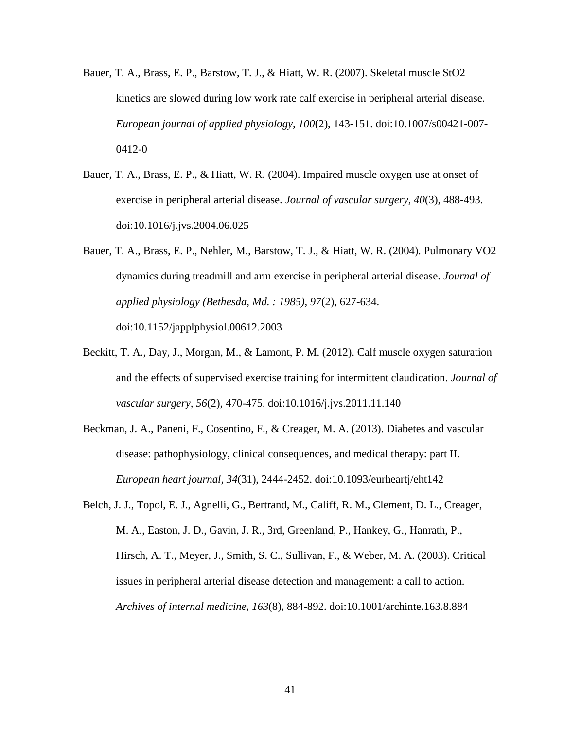- Bauer, T. A., Brass, E. P., Barstow, T. J., & Hiatt, W. R. (2007). Skeletal muscle StO2 kinetics are slowed during low work rate calf exercise in peripheral arterial disease. *European journal of applied physiology, 100*(2), 143-151. doi:10.1007/s00421-007- 0412-0
- Bauer, T. A., Brass, E. P., & Hiatt, W. R. (2004). Impaired muscle oxygen use at onset of exercise in peripheral arterial disease. *Journal of vascular surgery, 40*(3), 488-493. doi:10.1016/j.jvs.2004.06.025
- Bauer, T. A., Brass, E. P., Nehler, M., Barstow, T. J., & Hiatt, W. R. (2004). Pulmonary VO2 dynamics during treadmill and arm exercise in peripheral arterial disease. *Journal of applied physiology (Bethesda, Md. : 1985), 97*(2), 627-634. doi:10.1152/japplphysiol.00612.2003
- Beckitt, T. A., Day, J., Morgan, M., & Lamont, P. M. (2012). Calf muscle oxygen saturation and the effects of supervised exercise training for intermittent claudication. *Journal of vascular surgery, 56*(2), 470-475. doi:10.1016/j.jvs.2011.11.140
- Beckman, J. A., Paneni, F., Cosentino, F., & Creager, M. A. (2013). Diabetes and vascular disease: pathophysiology, clinical consequences, and medical therapy: part II. *European heart journal, 34*(31), 2444-2452. doi:10.1093/eurheartj/eht142
- Belch, J. J., Topol, E. J., Agnelli, G., Bertrand, M., Califf, R. M., Clement, D. L., Creager, M. A., Easton, J. D., Gavin, J. R., 3rd, Greenland, P., Hankey, G., Hanrath, P., Hirsch, A. T., Meyer, J., Smith, S. C., Sullivan, F., & Weber, M. A. (2003). Critical issues in peripheral arterial disease detection and management: a call to action. *Archives of internal medicine, 163*(8), 884-892. doi:10.1001/archinte.163.8.884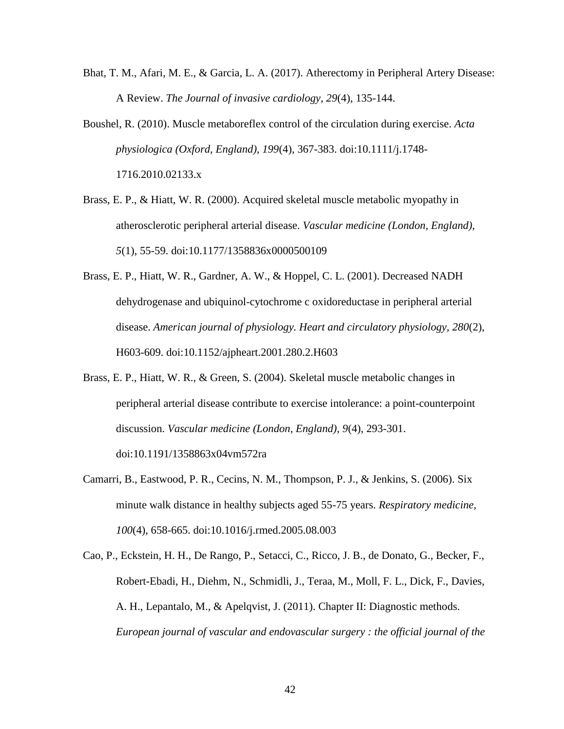- Bhat, T. M., Afari, M. E., & Garcia, L. A. (2017). Atherectomy in Peripheral Artery Disease: A Review. *The Journal of invasive cardiology, 29*(4), 135-144.
- Boushel, R. (2010). Muscle metaboreflex control of the circulation during exercise. *Acta physiologica (Oxford, England), 199*(4), 367-383. doi:10.1111/j.1748- 1716.2010.02133.x
- Brass, E. P., & Hiatt, W. R. (2000). Acquired skeletal muscle metabolic myopathy in atherosclerotic peripheral arterial disease. *Vascular medicine (London, England), 5*(1), 55-59. doi:10.1177/1358836x0000500109
- Brass, E. P., Hiatt, W. R., Gardner, A. W., & Hoppel, C. L. (2001). Decreased NADH dehydrogenase and ubiquinol-cytochrome c oxidoreductase in peripheral arterial disease. *American journal of physiology. Heart and circulatory physiology, 280*(2), H603-609. doi:10.1152/ajpheart.2001.280.2.H603
- Brass, E. P., Hiatt, W. R., & Green, S. (2004). Skeletal muscle metabolic changes in peripheral arterial disease contribute to exercise intolerance: a point-counterpoint discussion. *Vascular medicine (London, England), 9*(4), 293-301. doi:10.1191/1358863x04vm572ra
- Camarri, B., Eastwood, P. R., Cecins, N. M., Thompson, P. J., & Jenkins, S. (2006). Six minute walk distance in healthy subjects aged 55-75 years. *Respiratory medicine, 100*(4), 658-665. doi:10.1016/j.rmed.2005.08.003
- Cao, P., Eckstein, H. H., De Rango, P., Setacci, C., Ricco, J. B., de Donato, G., Becker, F., Robert-Ebadi, H., Diehm, N., Schmidli, J., Teraa, M., Moll, F. L., Dick, F., Davies, A. H., Lepantalo, M., & Apelqvist, J. (2011). Chapter II: Diagnostic methods. *European journal of vascular and endovascular surgery : the official journal of the*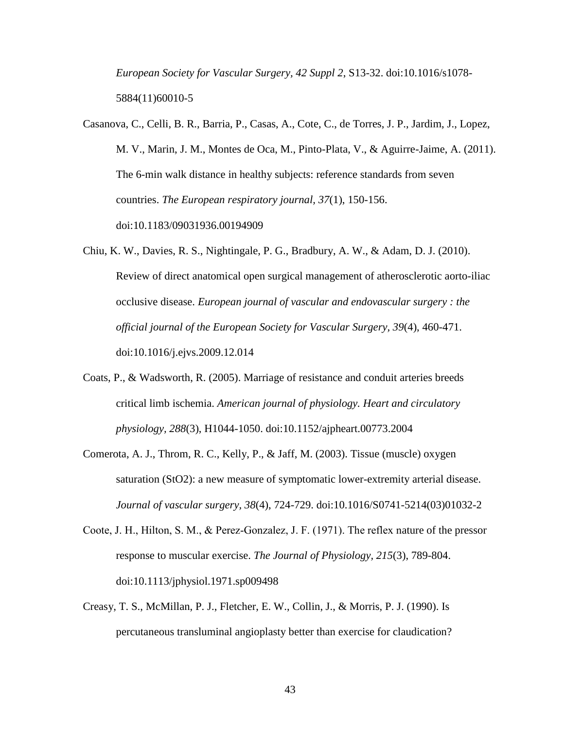*European Society for Vascular Surgery, 42 Suppl 2*, S13-32. doi:10.1016/s1078- 5884(11)60010-5

- Casanova, C., Celli, B. R., Barria, P., Casas, A., Cote, C., de Torres, J. P., Jardim, J., Lopez, M. V., Marin, J. M., Montes de Oca, M., Pinto-Plata, V., & Aguirre-Jaime, A. (2011). The 6-min walk distance in healthy subjects: reference standards from seven countries. *The European respiratory journal, 37*(1), 150-156. doi:10.1183/09031936.00194909
- Chiu, K. W., Davies, R. S., Nightingale, P. G., Bradbury, A. W., & Adam, D. J. (2010). Review of direct anatomical open surgical management of atherosclerotic aorto-iliac occlusive disease. *European journal of vascular and endovascular surgery : the official journal of the European Society for Vascular Surgery, 39*(4), 460-471. doi:10.1016/j.ejvs.2009.12.014
- Coats, P., & Wadsworth, R. (2005). Marriage of resistance and conduit arteries breeds critical limb ischemia. *American journal of physiology. Heart and circulatory physiology, 288*(3), H1044-1050. doi:10.1152/ajpheart.00773.2004
- Comerota, A. J., Throm, R. C., Kelly, P., & Jaff, M. (2003). Tissue (muscle) oxygen saturation (StO2): a new measure of symptomatic lower-extremity arterial disease. *Journal of vascular surgery, 38*(4), 724-729. doi:10.1016/S0741-5214(03)01032-2
- Coote, J. H., Hilton, S. M., & Perez‐Gonzalez, J. F. (1971). The reflex nature of the pressor response to muscular exercise. *The Journal of Physiology, 215*(3), 789-804. doi:10.1113/jphysiol.1971.sp009498
- Creasy, T. S., McMillan, P. J., Fletcher, E. W., Collin, J., & Morris, P. J. (1990). Is percutaneous transluminal angioplasty better than exercise for claudication?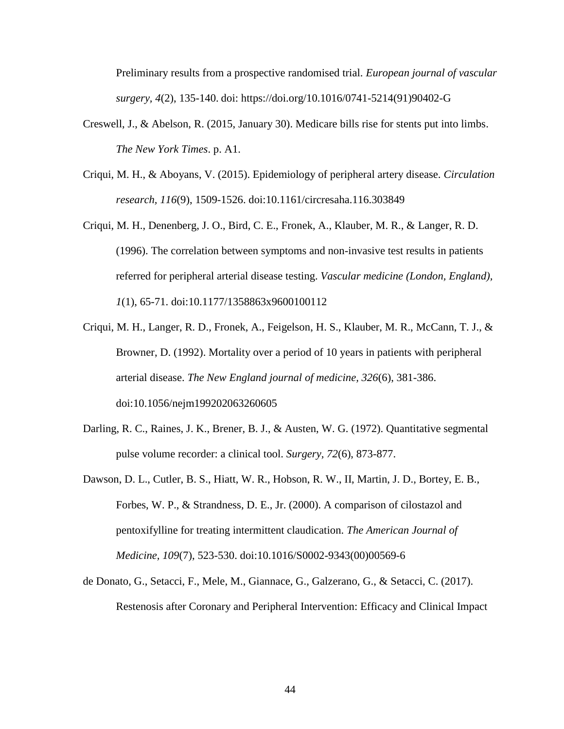Preliminary results from a prospective randomised trial. *European journal of vascular surgery, 4*(2), 135-140. doi: https://doi.org/10.1016/0741-5214(91)90402-G

- Creswell, J., & Abelson, R. (2015, January 30). Medicare bills rise for stents put into limbs. *The New York Times*. p. A1.
- Criqui, M. H., & Aboyans, V. (2015). Epidemiology of peripheral artery disease. *Circulation research, 116*(9), 1509-1526. doi:10.1161/circresaha.116.303849
- Criqui, M. H., Denenberg, J. O., Bird, C. E., Fronek, A., Klauber, M. R., & Langer, R. D. (1996). The correlation between symptoms and non-invasive test results in patients referred for peripheral arterial disease testing. *Vascular medicine (London, England), 1*(1), 65-71. doi:10.1177/1358863x9600100112
- Criqui, M. H., Langer, R. D., Fronek, A., Feigelson, H. S., Klauber, M. R., McCann, T. J., & Browner, D. (1992). Mortality over a period of 10 years in patients with peripheral arterial disease. *The New England journal of medicine, 326*(6), 381-386. doi:10.1056/nejm199202063260605
- Darling, R. C., Raines, J. K., Brener, B. J., & Austen, W. G. (1972). Quantitative segmental pulse volume recorder: a clinical tool. *Surgery, 72*(6), 873-877.
- Dawson, D. L., Cutler, B. S., Hiatt, W. R., Hobson, R. W., II, Martin, J. D., Bortey, E. B., Forbes, W. P., & Strandness, D. E., Jr. (2000). A comparison of cilostazol and pentoxifylline for treating intermittent claudication. *The American Journal of Medicine, 109*(7), 523-530. doi:10.1016/S0002-9343(00)00569-6
- de Donato, G., Setacci, F., Mele, M., Giannace, G., Galzerano, G., & Setacci, C. (2017). Restenosis after Coronary and Peripheral Intervention: Efficacy and Clinical Impact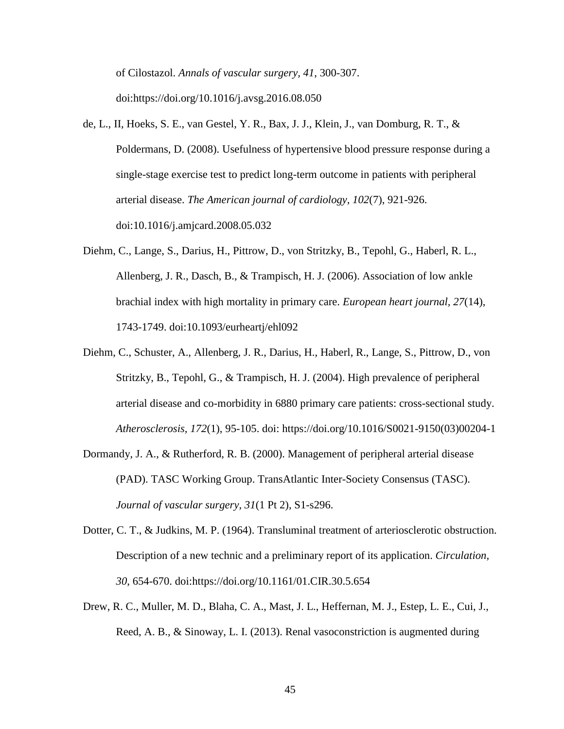of Cilostazol. *Annals of vascular surgery, 41*, 300-307. doi[:https://doi.org/10.1016/j.avsg.2016.08.050](https://doi.org/10.1016/j.avsg.2016.08.050)

- de, L., II, Hoeks, S. E., van Gestel, Y. R., Bax, J. J., Klein, J., van Domburg, R. T., & Poldermans, D. (2008). Usefulness of hypertensive blood pressure response during a single-stage exercise test to predict long-term outcome in patients with peripheral arterial disease. *The American journal of cardiology, 102*(7), 921-926. doi:10.1016/j.amjcard.2008.05.032
- Diehm, C., Lange, S., Darius, H., Pittrow, D., von Stritzky, B., Tepohl, G., Haberl, R. L., Allenberg, J. R., Dasch, B., & Trampisch, H. J. (2006). Association of low ankle brachial index with high mortality in primary care. *European heart journal, 27*(14), 1743-1749. doi:10.1093/eurheartj/ehl092
- Diehm, C., Schuster, A., Allenberg, J. R., Darius, H., Haberl, R., Lange, S., Pittrow, D., von Stritzky, B., Tepohl, G., & Trampisch, H. J. (2004). High prevalence of peripheral arterial disease and co-morbidity in 6880 primary care patients: cross-sectional study. *Atherosclerosis, 172*(1), 95-105. doi: https://doi.org/10.1016/S0021-9150(03)00204-1
- Dormandy, J. A., & Rutherford, R. B. (2000). Management of peripheral arterial disease (PAD). TASC Working Group. TransAtlantic Inter-Society Consensus (TASC). *Journal of vascular surgery, 31*(1 Pt 2), S1-s296.
- Dotter, C. T., & Judkins, M. P. (1964). Transluminal treatment of arteriosclerotic obstruction. Description of a new technic and a preliminary report of its application. *Circulation, 30*, 654-670. doi:https://doi.org/10.1161/01.CIR.30.5.654
- Drew, R. C., Muller, M. D., Blaha, C. A., Mast, J. L., Heffernan, M. J., Estep, L. E., Cui, J., Reed, A. B., & Sinoway, L. I. (2013). Renal vasoconstriction is augmented during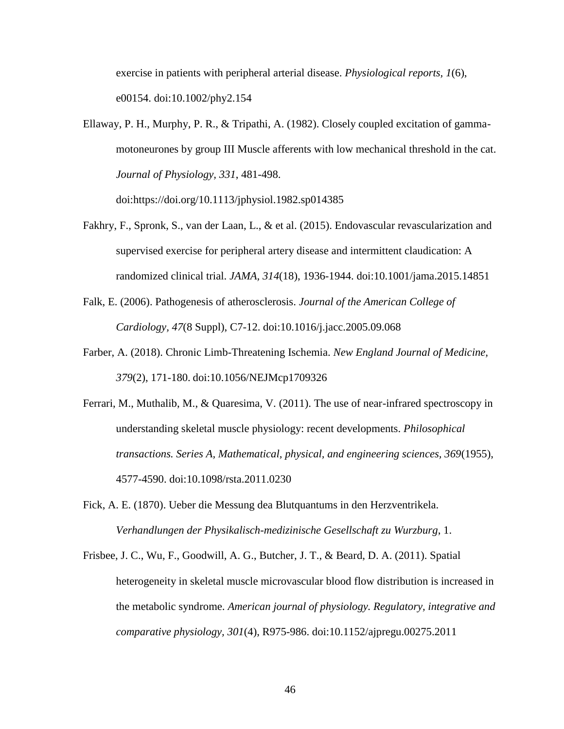exercise in patients with peripheral arterial disease. *Physiological reports, 1*(6), e00154. doi:10.1002/phy2.154

Ellaway, P. H., Murphy, P. R., & Tripathi, A. (1982). Closely coupled excitation of gammamotoneurones by group III Muscle afferents with low mechanical threshold in the cat. *Journal of Physiology, 331*, 481-498.

doi:https://doi.org/10.1113/jphysiol.1982.sp014385

- Fakhry, F., Spronk, S., van der Laan, L., & et al. (2015). Endovascular revascularization and supervised exercise for peripheral artery disease and intermittent claudication: A randomized clinical trial. *JAMA, 314*(18), 1936-1944. doi:10.1001/jama.2015.14851
- Falk, E. (2006). Pathogenesis of atherosclerosis. *Journal of the American College of Cardiology, 47*(8 Suppl), C7-12. doi:10.1016/j.jacc.2005.09.068
- Farber, A. (2018). Chronic Limb-Threatening Ischemia. *New England Journal of Medicine, 379*(2), 171-180. doi:10.1056/NEJMcp1709326
- Ferrari, M., Muthalib, M., & Quaresima, V. (2011). The use of near-infrared spectroscopy in understanding skeletal muscle physiology: recent developments. *Philosophical transactions. Series A, Mathematical, physical, and engineering sciences, 369*(1955), 4577-4590. doi:10.1098/rsta.2011.0230
- Fick, A. E. (1870). Ueber die Messung dea Blutquantums in den Herzventrikela. *Verhandlungen der Physikalisch-medizinische Gesellschaft zu Wurzburg*, 1.
- Frisbee, J. C., Wu, F., Goodwill, A. G., Butcher, J. T., & Beard, D. A. (2011). Spatial heterogeneity in skeletal muscle microvascular blood flow distribution is increased in the metabolic syndrome. *American journal of physiology. Regulatory, integrative and comparative physiology, 301*(4), R975-986. doi:10.1152/ajpregu.00275.2011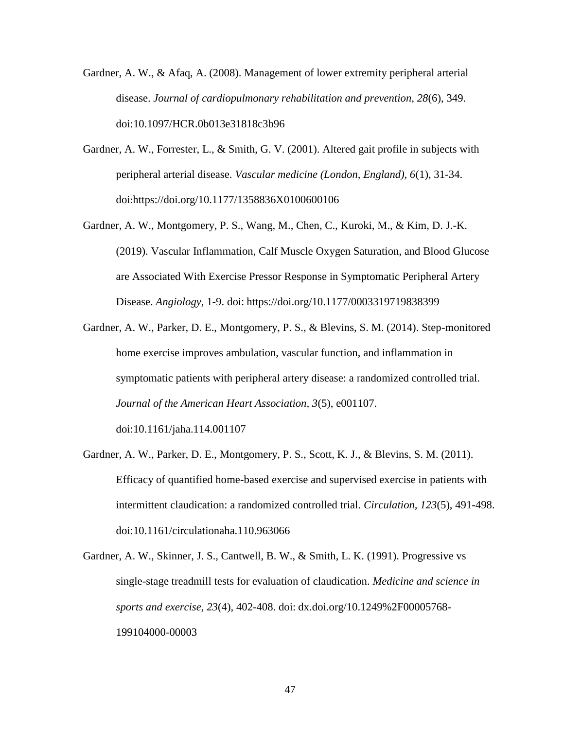- Gardner, A. W., & Afaq, A. (2008). Management of lower extremity peripheral arterial disease. *Journal of cardiopulmonary rehabilitation and prevention, 28*(6), 349. doi:10.1097/HCR.0b013e31818c3b96
- Gardner, A. W., Forrester, L., & Smith, G. V. (2001). Altered gait profile in subjects with peripheral arterial disease. *Vascular medicine (London, England), 6*(1), 31-34. doi:https://doi.org/10.1177/1358836X0100600106
- Gardner, A. W., Montgomery, P. S., Wang, M., Chen, C., Kuroki, M., & Kim, D. J.-K. (2019). Vascular Inflammation, Calf Muscle Oxygen Saturation, and Blood Glucose are Associated With Exercise Pressor Response in Symptomatic Peripheral Artery Disease. *Angiology*, 1-9. doi: https://doi.org/10.1177/0003319719838399
- Gardner, A. W., Parker, D. E., Montgomery, P. S., & Blevins, S. M. (2014). Step-monitored home exercise improves ambulation, vascular function, and inflammation in symptomatic patients with peripheral artery disease: a randomized controlled trial. *Journal of the American Heart Association, 3*(5), e001107.

doi:10.1161/jaha.114.001107

- Gardner, A. W., Parker, D. E., Montgomery, P. S., Scott, K. J., & Blevins, S. M. (2011). Efficacy of quantified home-based exercise and supervised exercise in patients with intermittent claudication: a randomized controlled trial. *Circulation, 123*(5), 491-498. doi:10.1161/circulationaha.110.963066
- Gardner, A. W., Skinner, J. S., Cantwell, B. W., & Smith, L. K. (1991). Progressive vs single-stage treadmill tests for evaluation of claudication. *Medicine and science in sports and exercise, 23*(4), 402-408. doi: dx.doi.org/10.1249%2F00005768- 199104000-00003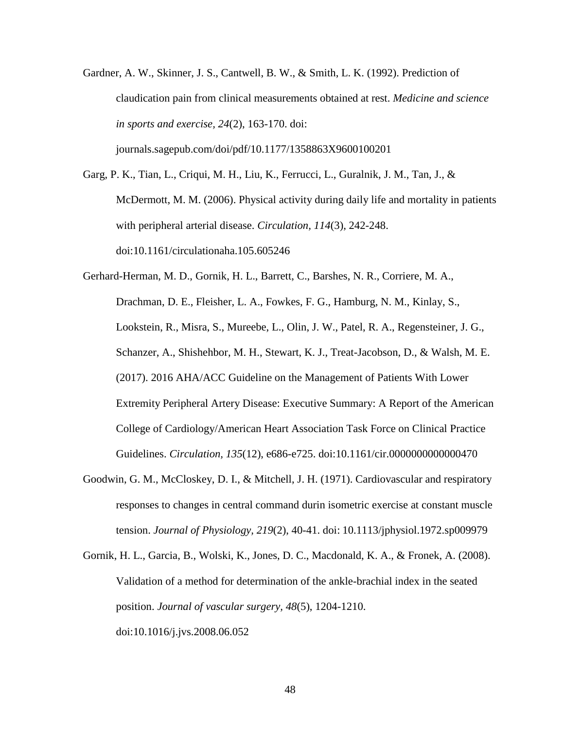Gardner, A. W., Skinner, J. S., Cantwell, B. W., & Smith, L. K. (1992). Prediction of claudication pain from clinical measurements obtained at rest. *Medicine and science in sports and exercise, 24*(2), 163-170. doi: journals.sagepub.com/doi/pdf/10.1177/1358863X9600100201

Garg, P. K., Tian, L., Criqui, M. H., Liu, K., Ferrucci, L., Guralnik, J. M., Tan, J., & McDermott, M. M. (2006). Physical activity during daily life and mortality in patients with peripheral arterial disease. *Circulation, 114*(3), 242-248. doi:10.1161/circulationaha.105.605246

Gerhard-Herman, M. D., Gornik, H. L., Barrett, C., Barshes, N. R., Corriere, M. A., Drachman, D. E., Fleisher, L. A., Fowkes, F. G., Hamburg, N. M., Kinlay, S., Lookstein, R., Misra, S., Mureebe, L., Olin, J. W., Patel, R. A., Regensteiner, J. G., Schanzer, A., Shishehbor, M. H., Stewart, K. J., Treat-Jacobson, D., & Walsh, M. E. (2017). 2016 AHA/ACC Guideline on the Management of Patients With Lower Extremity Peripheral Artery Disease: Executive Summary: A Report of the American College of Cardiology/American Heart Association Task Force on Clinical Practice Guidelines. *Circulation, 135*(12), e686-e725. doi:10.1161/cir.0000000000000470

Goodwin, G. M., McCloskey, D. I., & Mitchell, J. H. (1971). Cardiovascular and respiratory responses to changes in central command durin isometric exercise at constant muscle tension. *Journal of Physiology, 219*(2), 40-41. doi: 10.1113/jphysiol.1972.sp009979

Gornik, H. L., Garcia, B., Wolski, K., Jones, D. C., Macdonald, K. A., & Fronek, A. (2008). Validation of a method for determination of the ankle-brachial index in the seated position. *Journal of vascular surgery, 48*(5), 1204-1210. doi:10.1016/j.jvs.2008.06.052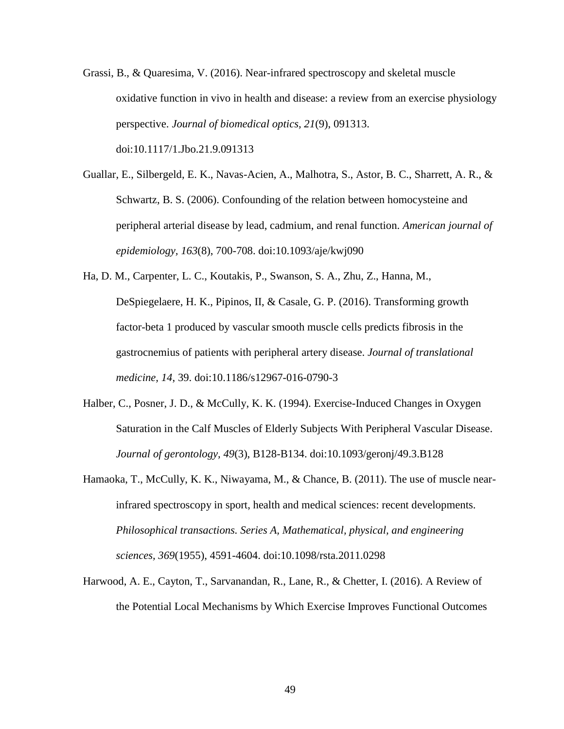- Grassi, B., & Quaresima, V. (2016). Near-infrared spectroscopy and skeletal muscle oxidative function in vivo in health and disease: a review from an exercise physiology perspective. *Journal of biomedical optics, 21*(9), 091313. doi:10.1117/1.Jbo.21.9.091313
- Guallar, E., Silbergeld, E. K., Navas-Acien, A., Malhotra, S., Astor, B. C., Sharrett, A. R., & Schwartz, B. S. (2006). Confounding of the relation between homocysteine and peripheral arterial disease by lead, cadmium, and renal function. *American journal of epidemiology, 163*(8), 700-708. doi:10.1093/aje/kwj090
- Ha, D. M., Carpenter, L. C., Koutakis, P., Swanson, S. A., Zhu, Z., Hanna, M., DeSpiegelaere, H. K., Pipinos, II, & Casale, G. P. (2016). Transforming growth factor-beta 1 produced by vascular smooth muscle cells predicts fibrosis in the gastrocnemius of patients with peripheral artery disease. *Journal of translational medicine, 14*, 39. doi:10.1186/s12967-016-0790-3
- Halber, C., Posner, J. D., & McCully, K. K. (1994). Exercise-Induced Changes in Oxygen Saturation in the Calf Muscles of Elderly Subjects With Peripheral Vascular Disease. *Journal of gerontology, 49*(3), B128-B134. doi:10.1093/geronj/49.3.B128
- Hamaoka, T., McCully, K. K., Niwayama, M., & Chance, B. (2011). The use of muscle nearinfrared spectroscopy in sport, health and medical sciences: recent developments. *Philosophical transactions. Series A, Mathematical, physical, and engineering sciences, 369*(1955), 4591-4604. doi:10.1098/rsta.2011.0298
- Harwood, A. E., Cayton, T., Sarvanandan, R., Lane, R., & Chetter, I. (2016). A Review of the Potential Local Mechanisms by Which Exercise Improves Functional Outcomes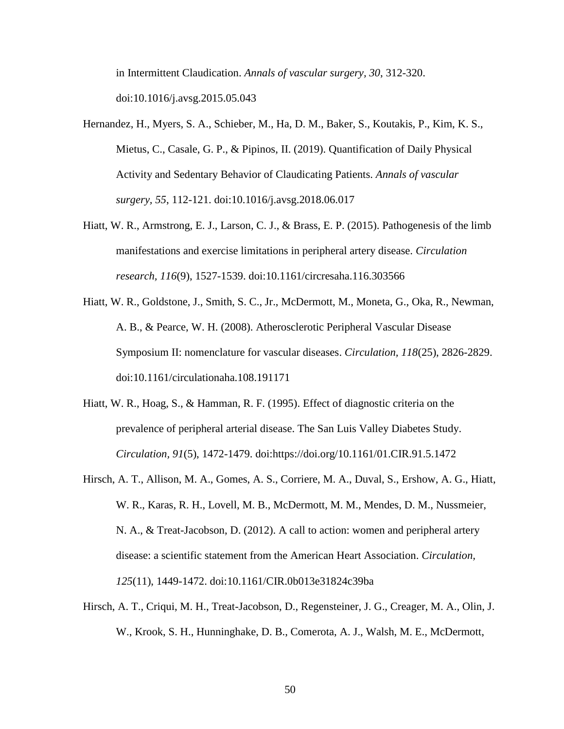in Intermittent Claudication. *Annals of vascular surgery, 30*, 312-320. doi:10.1016/j.avsg.2015.05.043

- Hernandez, H., Myers, S. A., Schieber, M., Ha, D. M., Baker, S., Koutakis, P., Kim, K. S., Mietus, C., Casale, G. P., & Pipinos, II. (2019). Quantification of Daily Physical Activity and Sedentary Behavior of Claudicating Patients. *Annals of vascular surgery, 55*, 112-121. doi:10.1016/j.avsg.2018.06.017
- Hiatt, W. R., Armstrong, E. J., Larson, C. J., & Brass, E. P. (2015). Pathogenesis of the limb manifestations and exercise limitations in peripheral artery disease. *Circulation research, 116*(9), 1527-1539. doi:10.1161/circresaha.116.303566
- Hiatt, W. R., Goldstone, J., Smith, S. C., Jr., McDermott, M., Moneta, G., Oka, R., Newman, A. B., & Pearce, W. H. (2008). Atherosclerotic Peripheral Vascular Disease Symposium II: nomenclature for vascular diseases. *Circulation, 118*(25), 2826-2829. doi:10.1161/circulationaha.108.191171
- Hiatt, W. R., Hoag, S., & Hamman, R. F. (1995). Effect of diagnostic criteria on the prevalence of peripheral arterial disease. The San Luis Valley Diabetes Study. *Circulation, 91*(5), 1472-1479. doi:https://doi.org/10.1161/01.CIR.91.5.1472
- Hirsch, A. T., Allison, M. A., Gomes, A. S., Corriere, M. A., Duval, S., Ershow, A. G., Hiatt, W. R., Karas, R. H., Lovell, M. B., McDermott, M. M., Mendes, D. M., Nussmeier, N. A., & Treat-Jacobson, D. (2012). A call to action: women and peripheral artery disease: a scientific statement from the American Heart Association. *Circulation, 125*(11), 1449-1472. doi:10.1161/CIR.0b013e31824c39ba
- Hirsch, A. T., Criqui, M. H., Treat-Jacobson, D., Regensteiner, J. G., Creager, M. A., Olin, J. W., Krook, S. H., Hunninghake, D. B., Comerota, A. J., Walsh, M. E., McDermott,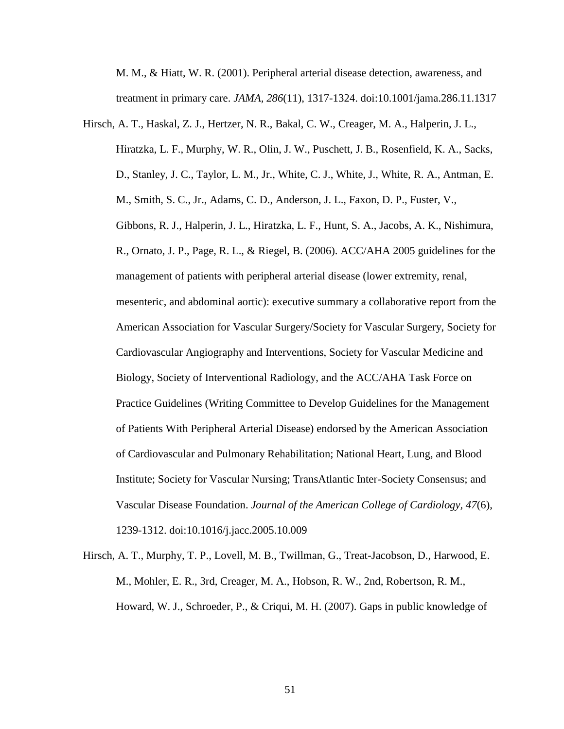M. M., & Hiatt, W. R. (2001). Peripheral arterial disease detection, awareness, and treatment in primary care. *JAMA, 286*(11), 1317-1324. doi:10.1001/jama.286.11.1317

Hirsch, A. T., Haskal, Z. J., Hertzer, N. R., Bakal, C. W., Creager, M. A., Halperin, J. L., Hiratzka, L. F., Murphy, W. R., Olin, J. W., Puschett, J. B., Rosenfield, K. A., Sacks, D., Stanley, J. C., Taylor, L. M., Jr., White, C. J., White, J., White, R. A., Antman, E. M., Smith, S. C., Jr., Adams, C. D., Anderson, J. L., Faxon, D. P., Fuster, V., Gibbons, R. J., Halperin, J. L., Hiratzka, L. F., Hunt, S. A., Jacobs, A. K., Nishimura, R., Ornato, J. P., Page, R. L., & Riegel, B. (2006). ACC/AHA 2005 guidelines for the management of patients with peripheral arterial disease (lower extremity, renal, mesenteric, and abdominal aortic): executive summary a collaborative report from the American Association for Vascular Surgery/Society for Vascular Surgery, Society for Cardiovascular Angiography and Interventions, Society for Vascular Medicine and Biology, Society of Interventional Radiology, and the ACC/AHA Task Force on Practice Guidelines (Writing Committee to Develop Guidelines for the Management of Patients With Peripheral Arterial Disease) endorsed by the American Association of Cardiovascular and Pulmonary Rehabilitation; National Heart, Lung, and Blood Institute; Society for Vascular Nursing; TransAtlantic Inter-Society Consensus; and Vascular Disease Foundation. *Journal of the American College of Cardiology, 47*(6), 1239-1312. doi:10.1016/j.jacc.2005.10.009

Hirsch, A. T., Murphy, T. P., Lovell, M. B., Twillman, G., Treat-Jacobson, D., Harwood, E. M., Mohler, E. R., 3rd, Creager, M. A., Hobson, R. W., 2nd, Robertson, R. M., Howard, W. J., Schroeder, P., & Criqui, M. H. (2007). Gaps in public knowledge of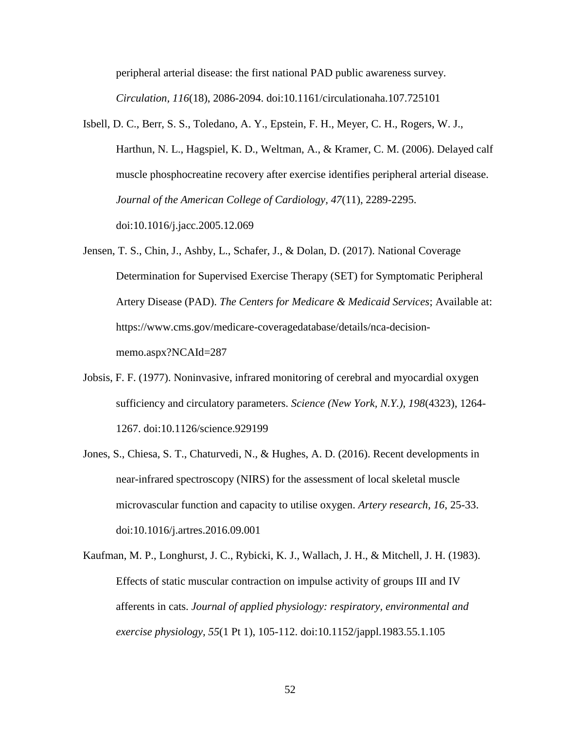peripheral arterial disease: the first national PAD public awareness survey. *Circulation, 116*(18), 2086-2094. doi:10.1161/circulationaha.107.725101

- Isbell, D. C., Berr, S. S., Toledano, A. Y., Epstein, F. H., Meyer, C. H., Rogers, W. J., Harthun, N. L., Hagspiel, K. D., Weltman, A., & Kramer, C. M. (2006). Delayed calf muscle phosphocreatine recovery after exercise identifies peripheral arterial disease. *Journal of the American College of Cardiology, 47*(11), 2289-2295. doi:10.1016/j.jacc.2005.12.069
- Jensen, T. S., Chin, J., Ashby, L., Schafer, J., & Dolan, D. (2017). National Coverage Determination for Supervised Exercise Therapy (SET) for Symptomatic Peripheral Artery Disease (PAD). *The Centers for Medicare & Medicaid Services*; Available at: https://www.cms.gov/medicare-coveragedatabase/details/nca-decisionmemo.aspx?NCAId=287
- Jobsis, F. F. (1977). Noninvasive, infrared monitoring of cerebral and myocardial oxygen sufficiency and circulatory parameters. *Science (New York, N.Y.), 198*(4323), 1264- 1267. doi:10.1126/science.929199
- Jones, S., Chiesa, S. T., Chaturvedi, N., & Hughes, A. D. (2016). Recent developments in near-infrared spectroscopy (NIRS) for the assessment of local skeletal muscle microvascular function and capacity to utilise oxygen. *Artery research, 16*, 25-33. doi:10.1016/j.artres.2016.09.001
- Kaufman, M. P., Longhurst, J. C., Rybicki, K. J., Wallach, J. H., & Mitchell, J. H. (1983). Effects of static muscular contraction on impulse activity of groups III and IV afferents in cats. *Journal of applied physiology: respiratory, environmental and exercise physiology, 55*(1 Pt 1), 105-112. doi:10.1152/jappl.1983.55.1.105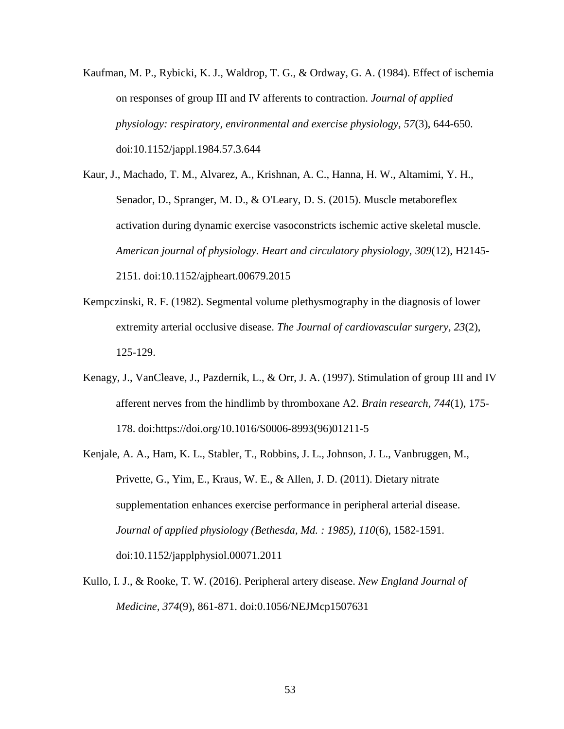Kaufman, M. P., Rybicki, K. J., Waldrop, T. G., & Ordway, G. A. (1984). Effect of ischemia on responses of group III and IV afferents to contraction. *Journal of applied physiology: respiratory, environmental and exercise physiology, 57*(3), 644-650. doi:10.1152/jappl.1984.57.3.644

Kaur, J., Machado, T. M., Alvarez, A., Krishnan, A. C., Hanna, H. W., Altamimi, Y. H., Senador, D., Spranger, M. D., & O'Leary, D. S. (2015). Muscle metaboreflex activation during dynamic exercise vasoconstricts ischemic active skeletal muscle. *American journal of physiology. Heart and circulatory physiology, 309*(12), H2145- 2151. doi:10.1152/ajpheart.00679.2015

- Kempczinski, R. F. (1982). Segmental volume plethysmography in the diagnosis of lower extremity arterial occlusive disease. *The Journal of cardiovascular surgery, 23*(2), 125-129.
- Kenagy, J., VanCleave, J., Pazdernik, L., & Orr, J. A. (1997). Stimulation of group III and IV afferent nerves from the hindlimb by thromboxane A2. *Brain research, 744*(1), 175- 178. doi:https://doi.org/10.1016/S0006-8993(96)01211-5
- Kenjale, A. A., Ham, K. L., Stabler, T., Robbins, J. L., Johnson, J. L., Vanbruggen, M., Privette, G., Yim, E., Kraus, W. E., & Allen, J. D. (2011). Dietary nitrate supplementation enhances exercise performance in peripheral arterial disease. *Journal of applied physiology (Bethesda, Md. : 1985), 110*(6), 1582-1591. doi:10.1152/japplphysiol.00071.2011
- Kullo, I. J., & Rooke, T. W. (2016). Peripheral artery disease. *New England Journal of Medicine, 374*(9), 861-871. doi:0.1056/NEJMcp1507631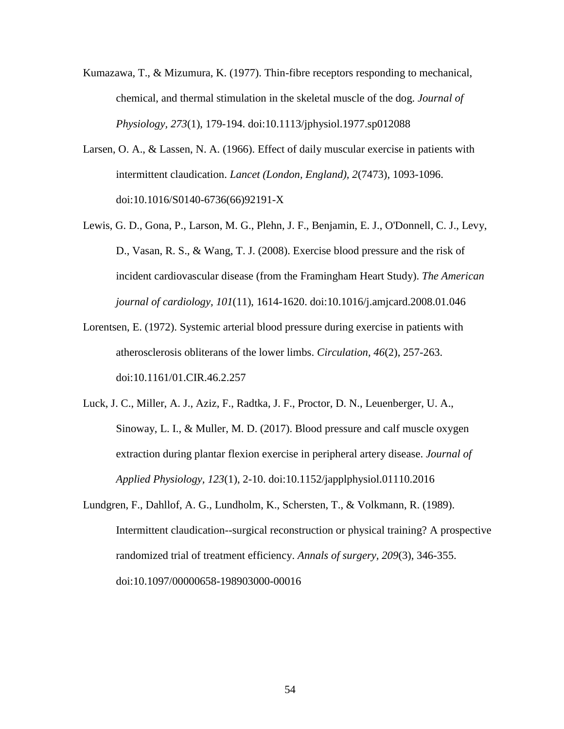- Kumazawa, T., & Mizumura, K. (1977). Thin-fibre receptors responding to mechanical, chemical, and thermal stimulation in the skeletal muscle of the dog. *Journal of Physiology, 273*(1), 179-194. doi:10.1113/jphysiol.1977.sp012088
- Larsen, O. A., & Lassen, N. A. (1966). Effect of daily muscular exercise in patients with intermittent claudication. *Lancet (London, England), 2*(7473), 1093-1096. doi:10.1016/S0140-6736(66)92191-X
- Lewis, G. D., Gona, P., Larson, M. G., Plehn, J. F., Benjamin, E. J., O'Donnell, C. J., Levy, D., Vasan, R. S., & Wang, T. J. (2008). Exercise blood pressure and the risk of incident cardiovascular disease (from the Framingham Heart Study). *The American journal of cardiology, 101*(11), 1614-1620. doi:10.1016/j.amjcard.2008.01.046
- Lorentsen, E. (1972). Systemic arterial blood pressure during exercise in patients with atherosclerosis obliterans of the lower limbs. *Circulation, 46*(2), 257-263. doi:10.1161/01.CIR.46.2.257
- Luck, J. C., Miller, A. J., Aziz, F., Radtka, J. F., Proctor, D. N., Leuenberger, U. A., Sinoway, L. I., & Muller, M. D. (2017). Blood pressure and calf muscle oxygen extraction during plantar flexion exercise in peripheral artery disease. *Journal of Applied Physiology, 123*(1), 2-10. doi:10.1152/japplphysiol.01110.2016
- Lundgren, F., Dahllof, A. G., Lundholm, K., Schersten, T., & Volkmann, R. (1989). Intermittent claudication--surgical reconstruction or physical training? A prospective randomized trial of treatment efficiency. *Annals of surgery, 209*(3), 346-355. doi:10.1097/00000658-198903000-00016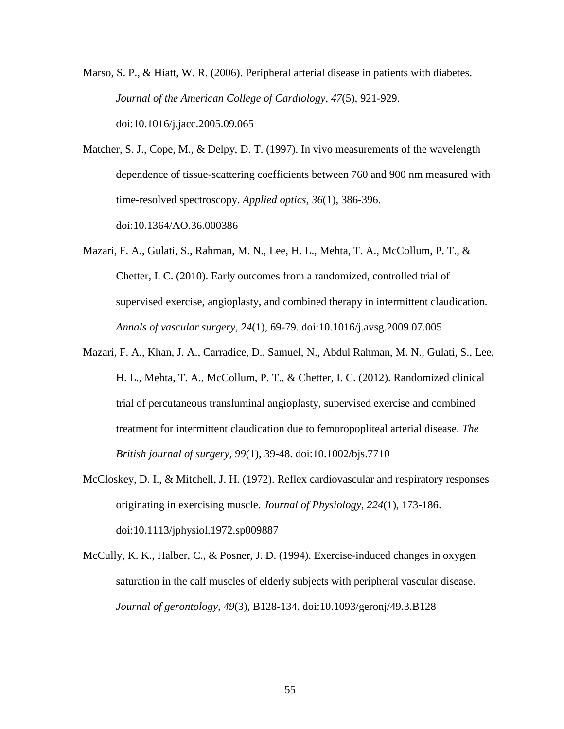Marso, S. P., & Hiatt, W. R. (2006). Peripheral arterial disease in patients with diabetes. *Journal of the American College of Cardiology, 47*(5), 921-929. doi:10.1016/j.jacc.2005.09.065

Matcher, S. J., Cope, M., & Delpy, D. T. (1997). In vivo measurements of the wavelength dependence of tissue-scattering coefficients between 760 and 900 nm measured with time-resolved spectroscopy. *Applied optics, 36*(1), 386-396. doi:10.1364/AO.36.000386

Mazari, F. A., Gulati, S., Rahman, M. N., Lee, H. L., Mehta, T. A., McCollum, P. T., & Chetter, I. C. (2010). Early outcomes from a randomized, controlled trial of supervised exercise, angioplasty, and combined therapy in intermittent claudication. *Annals of vascular surgery, 24*(1), 69-79. doi:10.1016/j.avsg.2009.07.005

- Mazari, F. A., Khan, J. A., Carradice, D., Samuel, N., Abdul Rahman, M. N., Gulati, S., Lee, H. L., Mehta, T. A., McCollum, P. T., & Chetter, I. C. (2012). Randomized clinical trial of percutaneous transluminal angioplasty, supervised exercise and combined treatment for intermittent claudication due to femoropopliteal arterial disease. *The British journal of surgery, 99*(1), 39-48. doi:10.1002/bjs.7710
- McCloskey, D. I., & Mitchell, J. H. (1972). Reflex cardiovascular and respiratory responses originating in exercising muscle. *Journal of Physiology, 224*(1), 173-186. doi:10.1113/jphysiol.1972.sp009887

McCully, K. K., Halber, C., & Posner, J. D. (1994). Exercise-induced changes in oxygen saturation in the calf muscles of elderly subjects with peripheral vascular disease. *Journal of gerontology, 49*(3), B128-134. doi:10.1093/geronj/49.3.B128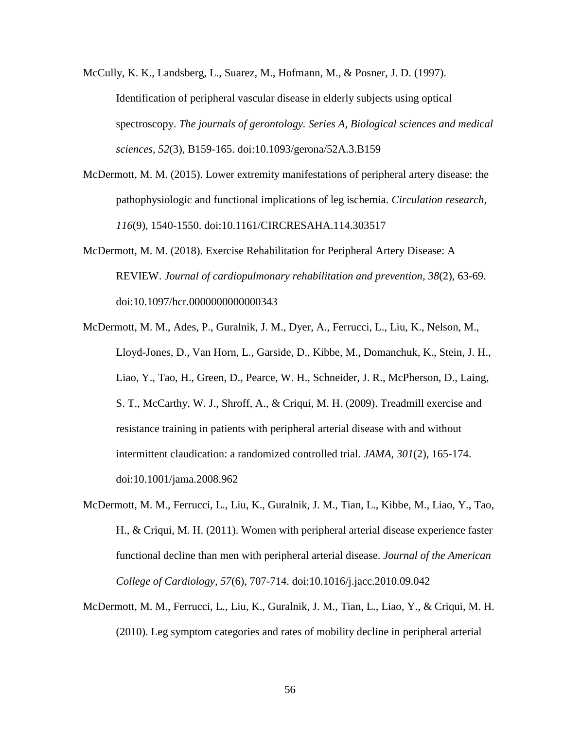McCully, K. K., Landsberg, L., Suarez, M., Hofmann, M., & Posner, J. D. (1997). Identification of peripheral vascular disease in elderly subjects using optical spectroscopy. *The journals of gerontology. Series A, Biological sciences and medical sciences, 52*(3), B159-165. doi:10.1093/gerona/52A.3.B159

McDermott, M. M. (2015). Lower extremity manifestations of peripheral artery disease: the pathophysiologic and functional implications of leg ischemia. *Circulation research, 116*(9), 1540-1550. doi:10.1161/CIRCRESAHA.114.303517

McDermott, M. M. (2018). Exercise Rehabilitation for Peripheral Artery Disease: A REVIEW. *Journal of cardiopulmonary rehabilitation and prevention, 38*(2), 63-69. doi:10.1097/hcr.0000000000000343

McDermott, M. M., Ades, P., Guralnik, J. M., Dyer, A., Ferrucci, L., Liu, K., Nelson, M., Lloyd-Jones, D., Van Horn, L., Garside, D., Kibbe, M., Domanchuk, K., Stein, J. H., Liao, Y., Tao, H., Green, D., Pearce, W. H., Schneider, J. R., McPherson, D., Laing, S. T., McCarthy, W. J., Shroff, A., & Criqui, M. H. (2009). Treadmill exercise and resistance training in patients with peripheral arterial disease with and without intermittent claudication: a randomized controlled trial. *JAMA, 301*(2), 165-174. doi:10.1001/jama.2008.962

- McDermott, M. M., Ferrucci, L., Liu, K., Guralnik, J. M., Tian, L., Kibbe, M., Liao, Y., Tao, H., & Criqui, M. H. (2011). Women with peripheral arterial disease experience faster functional decline than men with peripheral arterial disease. *Journal of the American College of Cardiology, 57*(6), 707-714. doi:10.1016/j.jacc.2010.09.042
- McDermott, M. M., Ferrucci, L., Liu, K., Guralnik, J. M., Tian, L., Liao, Y., & Criqui, M. H. (2010). Leg symptom categories and rates of mobility decline in peripheral arterial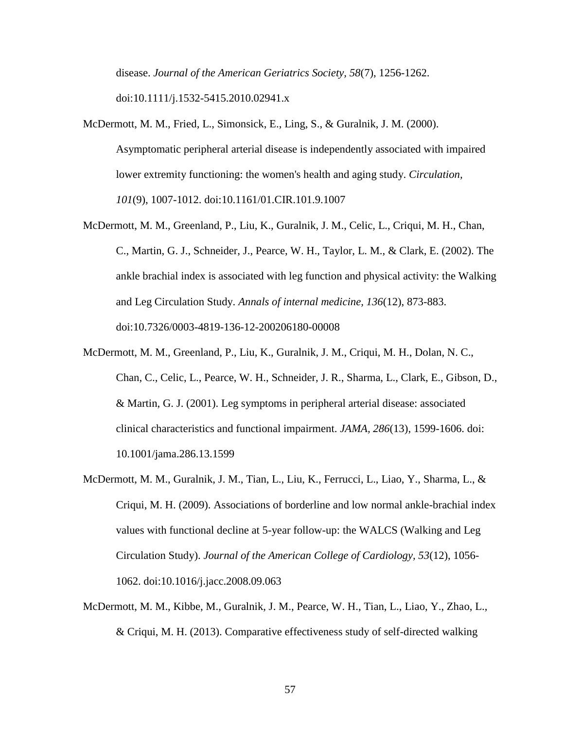disease. *Journal of the American Geriatrics Society, 58*(7), 1256-1262. doi:10.1111/j.1532-5415.2010.02941.x

- McDermott, M. M., Fried, L., Simonsick, E., Ling, S., & Guralnik, J. M. (2000). Asymptomatic peripheral arterial disease is independently associated with impaired lower extremity functioning: the women's health and aging study. *Circulation, 101*(9), 1007-1012. doi:10.1161/01.CIR.101.9.1007
- McDermott, M. M., Greenland, P., Liu, K., Guralnik, J. M., Celic, L., Criqui, M. H., Chan, C., Martin, G. J., Schneider, J., Pearce, W. H., Taylor, L. M., & Clark, E. (2002). The ankle brachial index is associated with leg function and physical activity: the Walking and Leg Circulation Study. *Annals of internal medicine, 136*(12), 873-883. doi:10.7326/0003-4819-136-12-200206180-00008
- McDermott, M. M., Greenland, P., Liu, K., Guralnik, J. M., Criqui, M. H., Dolan, N. C., Chan, C., Celic, L., Pearce, W. H., Schneider, J. R., Sharma, L., Clark, E., Gibson, D., & Martin, G. J. (2001). Leg symptoms in peripheral arterial disease: associated clinical characteristics and functional impairment. *JAMA, 286*(13), 1599-1606. doi: 10.1001/jama.286.13.1599
- McDermott, M. M., Guralnik, J. M., Tian, L., Liu, K., Ferrucci, L., Liao, Y., Sharma, L., & Criqui, M. H. (2009). Associations of borderline and low normal ankle-brachial index values with functional decline at 5-year follow-up: the WALCS (Walking and Leg Circulation Study). *Journal of the American College of Cardiology, 53*(12), 1056- 1062. doi:10.1016/j.jacc.2008.09.063
- McDermott, M. M., Kibbe, M., Guralnik, J. M., Pearce, W. H., Tian, L., Liao, Y., Zhao, L., & Criqui, M. H. (2013). Comparative effectiveness study of self-directed walking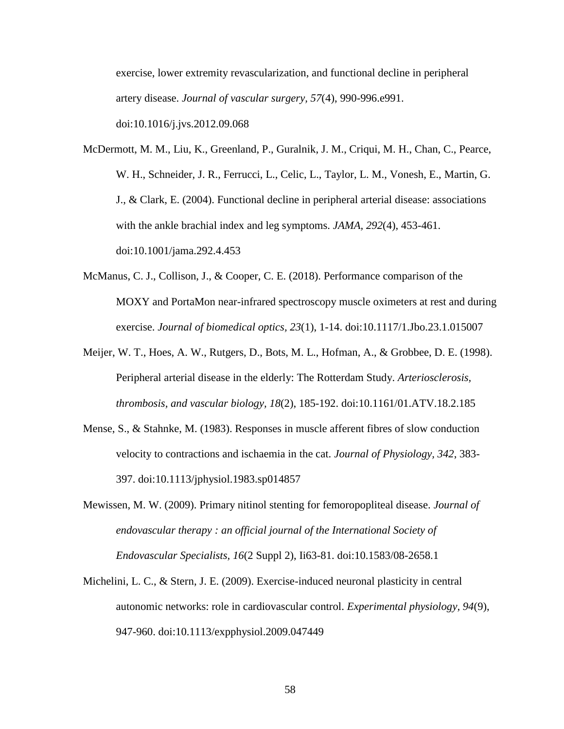exercise, lower extremity revascularization, and functional decline in peripheral artery disease. *Journal of vascular surgery, 57*(4), 990-996.e991.

doi:10.1016/j.jvs.2012.09.068

McDermott, M. M., Liu, K., Greenland, P., Guralnik, J. M., Criqui, M. H., Chan, C., Pearce, W. H., Schneider, J. R., Ferrucci, L., Celic, L., Taylor, L. M., Vonesh, E., Martin, G. J., & Clark, E. (2004). Functional decline in peripheral arterial disease: associations with the ankle brachial index and leg symptoms. *JAMA, 292*(4), 453-461. doi:10.1001/jama.292.4.453

- McManus, C. J., Collison, J., & Cooper, C. E. (2018). Performance comparison of the MOXY and PortaMon near-infrared spectroscopy muscle oximeters at rest and during exercise. *Journal of biomedical optics, 23*(1), 1-14. doi:10.1117/1.Jbo.23.1.015007
- Meijer, W. T., Hoes, A. W., Rutgers, D., Bots, M. L., Hofman, A., & Grobbee, D. E. (1998). Peripheral arterial disease in the elderly: The Rotterdam Study. *Arteriosclerosis, thrombosis, and vascular biology, 18*(2), 185-192. doi:10.1161/01.ATV.18.2.185
- Mense, S., & Stahnke, M. (1983). Responses in muscle afferent fibres of slow conduction velocity to contractions and ischaemia in the cat. *Journal of Physiology, 342*, 383- 397. doi:10.1113/jphysiol.1983.sp014857
- Mewissen, M. W. (2009). Primary nitinol stenting for femoropopliteal disease. *Journal of endovascular therapy : an official journal of the International Society of Endovascular Specialists, 16*(2 Suppl 2), Ii63-81. doi:10.1583/08-2658.1
- Michelini, L. C., & Stern, J. E. (2009). Exercise-induced neuronal plasticity in central autonomic networks: role in cardiovascular control. *Experimental physiology, 94*(9), 947-960. doi:10.1113/expphysiol.2009.047449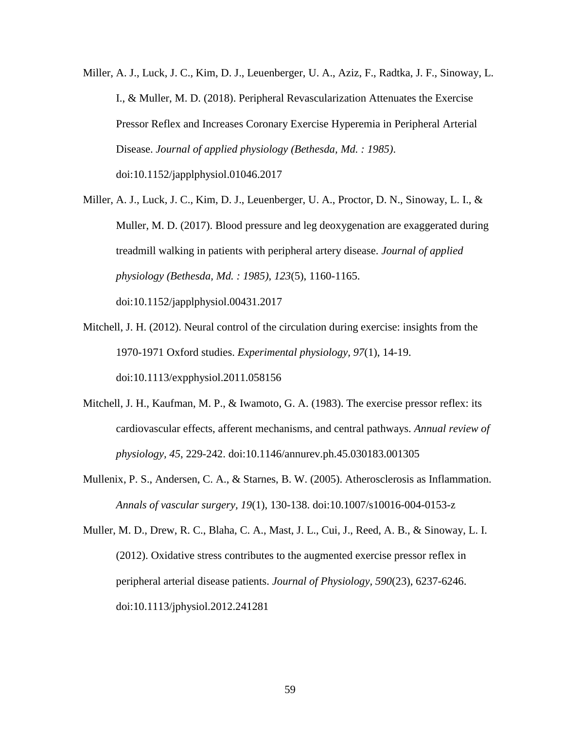- Miller, A. J., Luck, J. C., Kim, D. J., Leuenberger, U. A., Aziz, F., Radtka, J. F., Sinoway, L. I., & Muller, M. D. (2018). Peripheral Revascularization Attenuates the Exercise Pressor Reflex and Increases Coronary Exercise Hyperemia in Peripheral Arterial Disease. *Journal of applied physiology (Bethesda, Md. : 1985)*. doi:10.1152/japplphysiol.01046.2017
- Miller, A. J., Luck, J. C., Kim, D. J., Leuenberger, U. A., Proctor, D. N., Sinoway, L. I., & Muller, M. D. (2017). Blood pressure and leg deoxygenation are exaggerated during treadmill walking in patients with peripheral artery disease. *Journal of applied physiology (Bethesda, Md. : 1985), 123*(5), 1160-1165.

doi:10.1152/japplphysiol.00431.2017

- Mitchell, J. H. (2012). Neural control of the circulation during exercise: insights from the 1970-1971 Oxford studies. *Experimental physiology, 97*(1), 14-19. doi:10.1113/expphysiol.2011.058156
- Mitchell, J. H., Kaufman, M. P., & Iwamoto, G. A. (1983). The exercise pressor reflex: its cardiovascular effects, afferent mechanisms, and central pathways. *Annual review of physiology, 45*, 229-242. doi:10.1146/annurev.ph.45.030183.001305
- Mullenix, P. S., Andersen, C. A., & Starnes, B. W. (2005). Atherosclerosis as Inflammation. *Annals of vascular surgery, 19*(1), 130-138. doi:10.1007/s10016-004-0153-z

Muller, M. D., Drew, R. C., Blaha, C. A., Mast, J. L., Cui, J., Reed, A. B., & Sinoway, L. I. (2012). Oxidative stress contributes to the augmented exercise pressor reflex in peripheral arterial disease patients. *Journal of Physiology, 590*(23), 6237-6246. doi:10.1113/jphysiol.2012.241281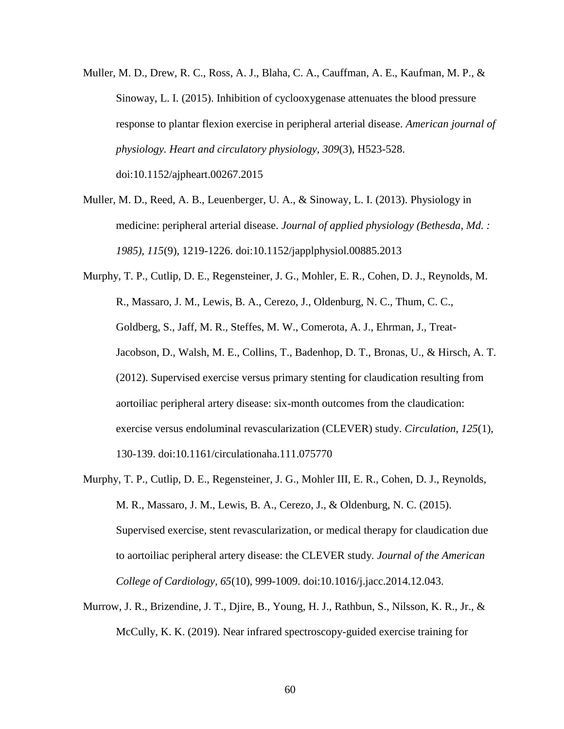- Muller, M. D., Drew, R. C., Ross, A. J., Blaha, C. A., Cauffman, A. E., Kaufman, M. P., & Sinoway, L. I. (2015). Inhibition of cyclooxygenase attenuates the blood pressure response to plantar flexion exercise in peripheral arterial disease. *American journal of physiology. Heart and circulatory physiology, 309*(3), H523-528. doi:10.1152/ajpheart.00267.2015
- Muller, M. D., Reed, A. B., Leuenberger, U. A., & Sinoway, L. I. (2013). Physiology in medicine: peripheral arterial disease. *Journal of applied physiology (Bethesda, Md. : 1985), 115*(9), 1219-1226. doi:10.1152/japplphysiol.00885.2013
- Murphy, T. P., Cutlip, D. E., Regensteiner, J. G., Mohler, E. R., Cohen, D. J., Reynolds, M. R., Massaro, J. M., Lewis, B. A., Cerezo, J., Oldenburg, N. C., Thum, C. C., Goldberg, S., Jaff, M. R., Steffes, M. W., Comerota, A. J., Ehrman, J., Treat-Jacobson, D., Walsh, M. E., Collins, T., Badenhop, D. T., Bronas, U., & Hirsch, A. T. (2012). Supervised exercise versus primary stenting for claudication resulting from aortoiliac peripheral artery disease: six-month outcomes from the claudication: exercise versus endoluminal revascularization (CLEVER) study. *Circulation, 125*(1), 130-139. doi:10.1161/circulationaha.111.075770
- Murphy, T. P., Cutlip, D. E., Regensteiner, J. G., Mohler III, E. R., Cohen, D. J., Reynolds, M. R., Massaro, J. M., Lewis, B. A., Cerezo, J., & Oldenburg, N. C. (2015). Supervised exercise, stent revascularization, or medical therapy for claudication due to aortoiliac peripheral artery disease: the CLEVER study. *Journal of the American College of Cardiology, 65*(10), 999-1009. doi:10.1016/j.jacc.2014.12.043.
- Murrow, J. R., Brizendine, J. T., Djire, B., Young, H. J., Rathbun, S., Nilsson, K. R., Jr., & McCully, K. K. (2019). Near infrared spectroscopy-guided exercise training for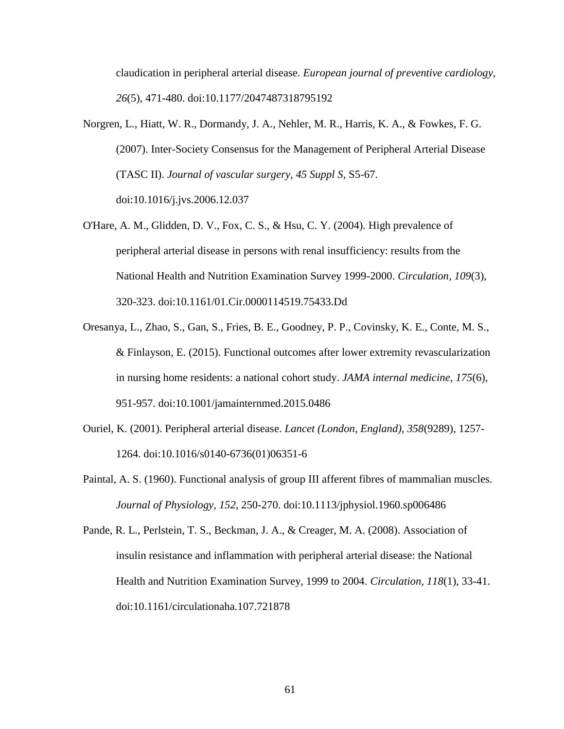claudication in peripheral arterial disease. *European journal of preventive cardiology, 26*(5), 471-480. doi:10.1177/2047487318795192

- Norgren, L., Hiatt, W. R., Dormandy, J. A., Nehler, M. R., Harris, K. A., & Fowkes, F. G. (2007). Inter-Society Consensus for the Management of Peripheral Arterial Disease (TASC II). *Journal of vascular surgery, 45 Suppl S*, S5-67. doi:10.1016/j.jvs.2006.12.037
- O'Hare, A. M., Glidden, D. V., Fox, C. S., & Hsu, C. Y. (2004). High prevalence of peripheral arterial disease in persons with renal insufficiency: results from the National Health and Nutrition Examination Survey 1999-2000. *Circulation, 109*(3), 320-323. doi:10.1161/01.Cir.0000114519.75433.Dd
- Oresanya, L., Zhao, S., Gan, S., Fries, B. E., Goodney, P. P., Covinsky, K. E., Conte, M. S., & Finlayson, E. (2015). Functional outcomes after lower extremity revascularization in nursing home residents: a national cohort study. *JAMA internal medicine, 175*(6), 951-957. doi:10.1001/jamainternmed.2015.0486
- Ouriel, K. (2001). Peripheral arterial disease. *Lancet (London, England), 358*(9289), 1257- 1264. doi:10.1016/s0140-6736(01)06351-6
- Paintal, A. S. (1960). Functional analysis of group III afferent fibres of mammalian muscles. *Journal of Physiology, 152*, 250-270. doi:10.1113/jphysiol.1960.sp006486

Pande, R. L., Perlstein, T. S., Beckman, J. A., & Creager, M. A. (2008). Association of insulin resistance and inflammation with peripheral arterial disease: the National Health and Nutrition Examination Survey, 1999 to 2004. *Circulation, 118*(1), 33-41. doi:10.1161/circulationaha.107.721878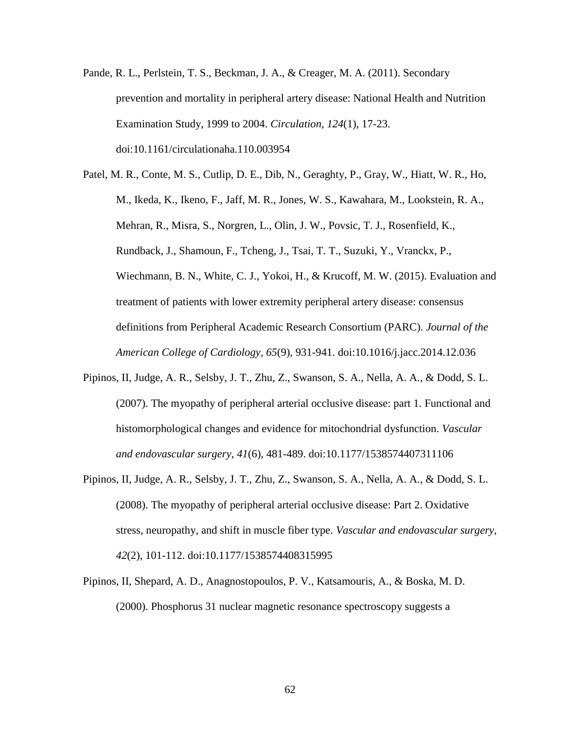Pande, R. L., Perlstein, T. S., Beckman, J. A., & Creager, M. A. (2011). Secondary prevention and mortality in peripheral artery disease: National Health and Nutrition Examination Study, 1999 to 2004. *Circulation, 124*(1), 17-23. doi:10.1161/circulationaha.110.003954

Patel, M. R., Conte, M. S., Cutlip, D. E., Dib, N., Geraghty, P., Gray, W., Hiatt, W. R., Ho, M., Ikeda, K., Ikeno, F., Jaff, M. R., Jones, W. S., Kawahara, M., Lookstein, R. A., Mehran, R., Misra, S., Norgren, L., Olin, J. W., Povsic, T. J., Rosenfield, K., Rundback, J., Shamoun, F., Tcheng, J., Tsai, T. T., Suzuki, Y., Vranckx, P., Wiechmann, B. N., White, C. J., Yokoi, H., & Krucoff, M. W. (2015). Evaluation and treatment of patients with lower extremity peripheral artery disease: consensus definitions from Peripheral Academic Research Consortium (PARC). *Journal of the American College of Cardiology, 65*(9), 931-941. doi:10.1016/j.jacc.2014.12.036

- Pipinos, II, Judge, A. R., Selsby, J. T., Zhu, Z., Swanson, S. A., Nella, A. A., & Dodd, S. L. (2007). The myopathy of peripheral arterial occlusive disease: part 1. Functional and histomorphological changes and evidence for mitochondrial dysfunction. *Vascular and endovascular surgery, 41*(6), 481-489. doi:10.1177/1538574407311106
- Pipinos, II, Judge, A. R., Selsby, J. T., Zhu, Z., Swanson, S. A., Nella, A. A., & Dodd, S. L. (2008). The myopathy of peripheral arterial occlusive disease: Part 2. Oxidative stress, neuropathy, and shift in muscle fiber type. *Vascular and endovascular surgery, 42*(2), 101-112. doi:10.1177/1538574408315995
- Pipinos, II, Shepard, A. D., Anagnostopoulos, P. V., Katsamouris, A., & Boska, M. D. (2000). Phosphorus 31 nuclear magnetic resonance spectroscopy suggests a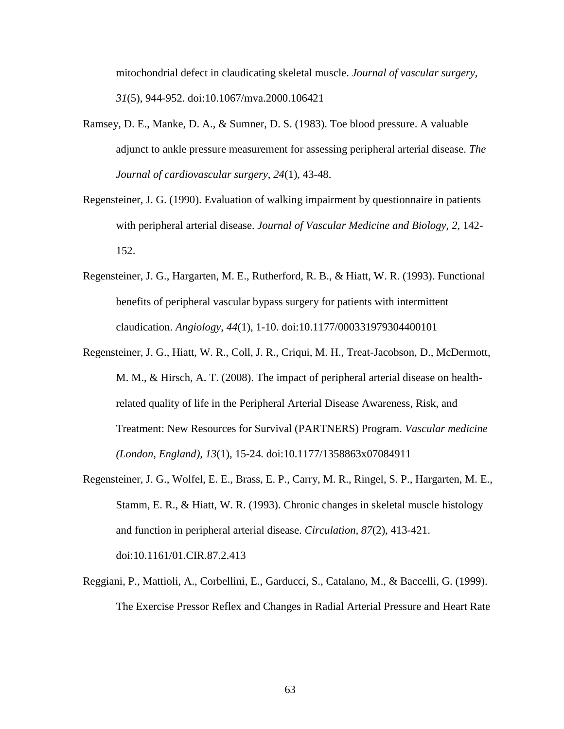mitochondrial defect in claudicating skeletal muscle. *Journal of vascular surgery, 31*(5), 944-952. doi:10.1067/mva.2000.106421

- Ramsey, D. E., Manke, D. A., & Sumner, D. S. (1983). Toe blood pressure. A valuable adjunct to ankle pressure measurement for assessing peripheral arterial disease. *The Journal of cardiovascular surgery, 24*(1), 43-48.
- Regensteiner, J. G. (1990). Evaluation of walking impairment by questionnaire in patients with peripheral arterial disease. *Journal of Vascular Medicine and Biology, 2*, 142- 152.
- Regensteiner, J. G., Hargarten, M. E., Rutherford, R. B., & Hiatt, W. R. (1993). Functional benefits of peripheral vascular bypass surgery for patients with intermittent claudication. *Angiology, 44*(1), 1-10. doi:10.1177/000331979304400101
- Regensteiner, J. G., Hiatt, W. R., Coll, J. R., Criqui, M. H., Treat-Jacobson, D., McDermott, M. M., & Hirsch, A. T. (2008). The impact of peripheral arterial disease on healthrelated quality of life in the Peripheral Arterial Disease Awareness, Risk, and Treatment: New Resources for Survival (PARTNERS) Program. *Vascular medicine (London, England), 13*(1), 15-24. doi:10.1177/1358863x07084911
- Regensteiner, J. G., Wolfel, E. E., Brass, E. P., Carry, M. R., Ringel, S. P., Hargarten, M. E., Stamm, E. R., & Hiatt, W. R. (1993). Chronic changes in skeletal muscle histology and function in peripheral arterial disease. *Circulation, 87*(2), 413-421. doi:10.1161/01.CIR.87.2.413
- Reggiani, P., Mattioli, A., Corbellini, E., Garducci, S., Catalano, M., & Baccelli, G. (1999). The Exercise Pressor Reflex and Changes in Radial Arterial Pressure and Heart Rate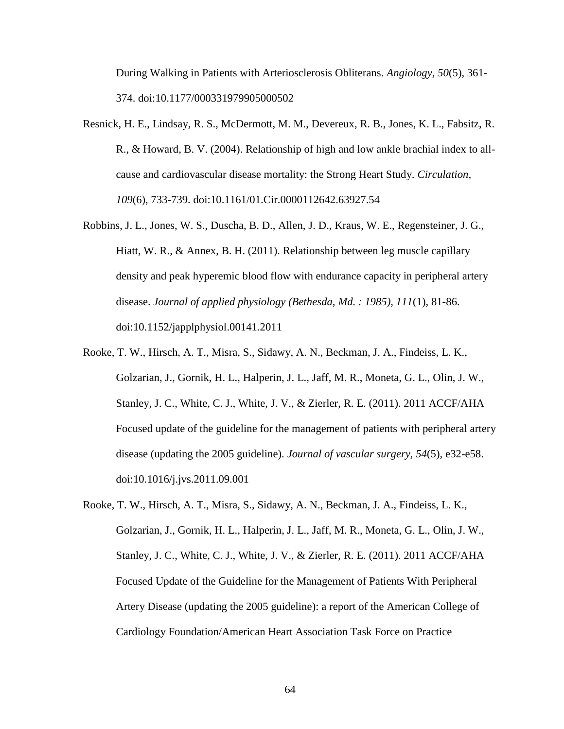During Walking in Patients with Arteriosclerosis Obliterans. *Angiology, 50*(5), 361- 374. doi:10.1177/000331979905000502

- Resnick, H. E., Lindsay, R. S., McDermott, M. M., Devereux, R. B., Jones, K. L., Fabsitz, R. R., & Howard, B. V. (2004). Relationship of high and low ankle brachial index to allcause and cardiovascular disease mortality: the Strong Heart Study. *Circulation, 109*(6), 733-739. doi:10.1161/01.Cir.0000112642.63927.54
- Robbins, J. L., Jones, W. S., Duscha, B. D., Allen, J. D., Kraus, W. E., Regensteiner, J. G., Hiatt, W. R., & Annex, B. H. (2011). Relationship between leg muscle capillary density and peak hyperemic blood flow with endurance capacity in peripheral artery disease. *Journal of applied physiology (Bethesda, Md. : 1985), 111*(1), 81-86. doi:10.1152/japplphysiol.00141.2011
- Rooke, T. W., Hirsch, A. T., Misra, S., Sidawy, A. N., Beckman, J. A., Findeiss, L. K., Golzarian, J., Gornik, H. L., Halperin, J. L., Jaff, M. R., Moneta, G. L., Olin, J. W., Stanley, J. C., White, C. J., White, J. V., & Zierler, R. E. (2011). 2011 ACCF/AHA Focused update of the guideline for the management of patients with peripheral artery disease (updating the 2005 guideline). *Journal of vascular surgery, 54*(5), e32-e58. doi:10.1016/j.jvs.2011.09.001
- Rooke, T. W., Hirsch, A. T., Misra, S., Sidawy, A. N., Beckman, J. A., Findeiss, L. K., Golzarian, J., Gornik, H. L., Halperin, J. L., Jaff, M. R., Moneta, G. L., Olin, J. W., Stanley, J. C., White, C. J., White, J. V., & Zierler, R. E. (2011). 2011 ACCF/AHA Focused Update of the Guideline for the Management of Patients With Peripheral Artery Disease (updating the 2005 guideline): a report of the American College of Cardiology Foundation/American Heart Association Task Force on Practice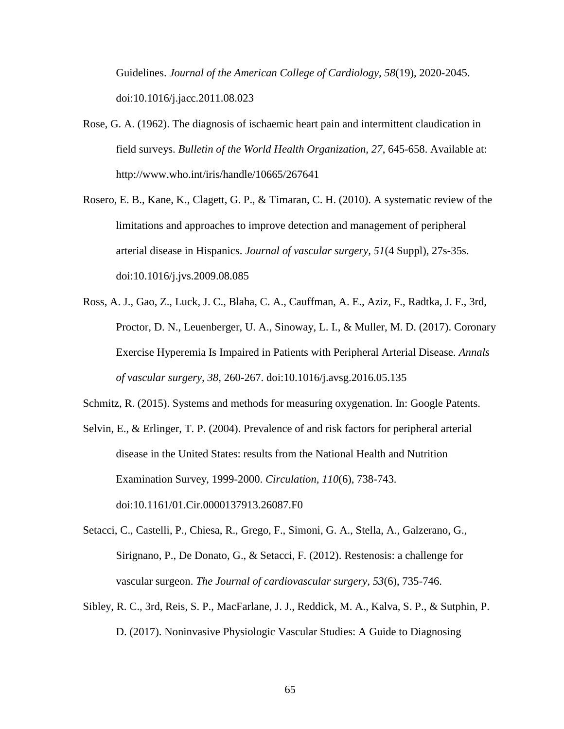Guidelines. *Journal of the American College of Cardiology, 58*(19), 2020-2045. doi:10.1016/j.jacc.2011.08.023

- Rose, G. A. (1962). The diagnosis of ischaemic heart pain and intermittent claudication in field surveys. *Bulletin of the World Health Organization, 27*, 645-658. Available at: http://www.who.int/iris/handle/10665/267641
- Rosero, E. B., Kane, K., Clagett, G. P., & Timaran, C. H. (2010). A systematic review of the limitations and approaches to improve detection and management of peripheral arterial disease in Hispanics. *Journal of vascular surgery, 51*(4 Suppl), 27s-35s. doi:10.1016/j.jvs.2009.08.085
- Ross, A. J., Gao, Z., Luck, J. C., Blaha, C. A., Cauffman, A. E., Aziz, F., Radtka, J. F., 3rd, Proctor, D. N., Leuenberger, U. A., Sinoway, L. I., & Muller, M. D. (2017). Coronary Exercise Hyperemia Is Impaired in Patients with Peripheral Arterial Disease. *Annals of vascular surgery, 38*, 260-267. doi:10.1016/j.avsg.2016.05.135

Schmitz, R. (2015). Systems and methods for measuring oxygenation. In: Google Patents.

- Selvin, E., & Erlinger, T. P. (2004). Prevalence of and risk factors for peripheral arterial disease in the United States: results from the National Health and Nutrition Examination Survey, 1999-2000. *Circulation, 110*(6), 738-743. doi:10.1161/01.Cir.0000137913.26087.F0
- Setacci, C., Castelli, P., Chiesa, R., Grego, F., Simoni, G. A., Stella, A., Galzerano, G., Sirignano, P., De Donato, G., & Setacci, F. (2012). Restenosis: a challenge for vascular surgeon. *The Journal of cardiovascular surgery, 53*(6), 735-746.
- Sibley, R. C., 3rd, Reis, S. P., MacFarlane, J. J., Reddick, M. A., Kalva, S. P., & Sutphin, P. D. (2017). Noninvasive Physiologic Vascular Studies: A Guide to Diagnosing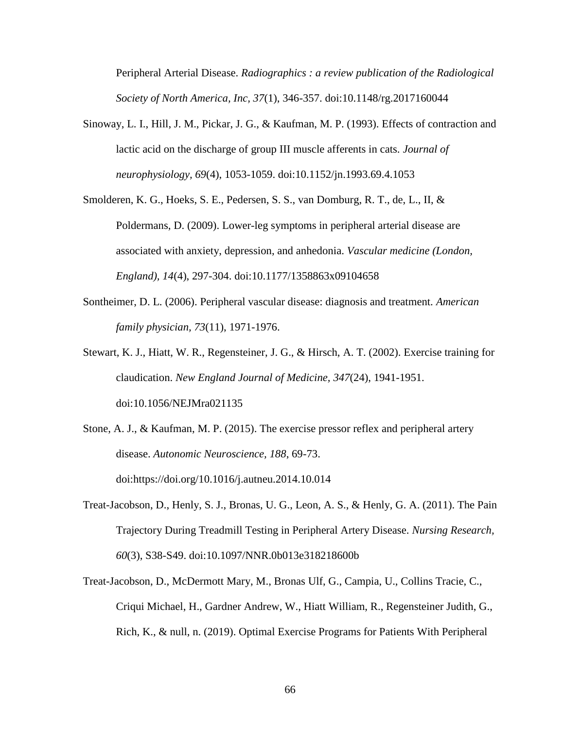Peripheral Arterial Disease. *Radiographics : a review publication of the Radiological Society of North America, Inc, 37*(1), 346-357. doi:10.1148/rg.2017160044

- Sinoway, L. I., Hill, J. M., Pickar, J. G., & Kaufman, M. P. (1993). Effects of contraction and lactic acid on the discharge of group III muscle afferents in cats. *Journal of neurophysiology, 69*(4), 1053-1059. doi:10.1152/jn.1993.69.4.1053
- Smolderen, K. G., Hoeks, S. E., Pedersen, S. S., van Domburg, R. T., de, L., II, & Poldermans, D. (2009). Lower-leg symptoms in peripheral arterial disease are associated with anxiety, depression, and anhedonia. *Vascular medicine (London, England), 14*(4), 297-304. doi:10.1177/1358863x09104658
- Sontheimer, D. L. (2006). Peripheral vascular disease: diagnosis and treatment. *American family physician, 73*(11), 1971-1976.
- Stewart, K. J., Hiatt, W. R., Regensteiner, J. G., & Hirsch, A. T. (2002). Exercise training for claudication. *New England Journal of Medicine, 347*(24), 1941-1951. doi:10.1056/NEJMra021135
- Stone, A. J., & Kaufman, M. P. (2015). The exercise pressor reflex and peripheral artery disease. *Autonomic Neuroscience, 188*, 69-73. doi[:https://doi.org/10.1016/j.autneu.2014.10.014](https://doi.org/10.1016/j.autneu.2014.10.014)
- Treat-Jacobson, D., Henly, S. J., Bronas, U. G., Leon, A. S., & Henly, G. A. (2011). The Pain Trajectory During Treadmill Testing in Peripheral Artery Disease. *Nursing Research, 60*(3), S38-S49. doi:10.1097/NNR.0b013e318218600b
- Treat-Jacobson, D., McDermott Mary, M., Bronas Ulf, G., Campia, U., Collins Tracie, C., Criqui Michael, H., Gardner Andrew, W., Hiatt William, R., Regensteiner Judith, G., Rich, K., & null, n. (2019). Optimal Exercise Programs for Patients With Peripheral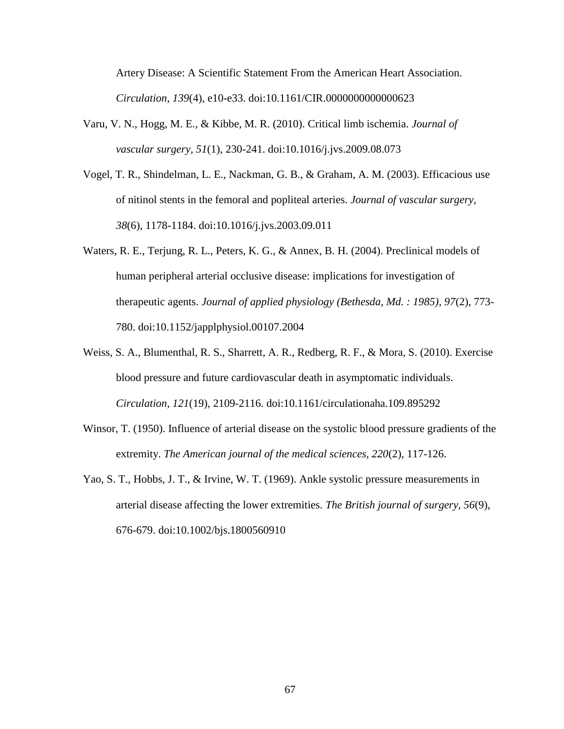Artery Disease: A Scientific Statement From the American Heart Association. *Circulation, 139*(4), e10-e33. doi:10.1161/CIR.0000000000000623

- Varu, V. N., Hogg, M. E., & Kibbe, M. R. (2010). Critical limb ischemia. *Journal of vascular surgery, 51*(1), 230-241. doi:10.1016/j.jvs.2009.08.073
- Vogel, T. R., Shindelman, L. E., Nackman, G. B., & Graham, A. M. (2003). Efficacious use of nitinol stents in the femoral and popliteal arteries. *Journal of vascular surgery, 38*(6), 1178-1184. doi:10.1016/j.jvs.2003.09.011
- Waters, R. E., Terjung, R. L., Peters, K. G., & Annex, B. H. (2004). Preclinical models of human peripheral arterial occlusive disease: implications for investigation of therapeutic agents. *Journal of applied physiology (Bethesda, Md. : 1985), 97*(2), 773- 780. doi:10.1152/japplphysiol.00107.2004
- Weiss, S. A., Blumenthal, R. S., Sharrett, A. R., Redberg, R. F., & Mora, S. (2010). Exercise blood pressure and future cardiovascular death in asymptomatic individuals. *Circulation, 121*(19), 2109-2116. doi:10.1161/circulationaha.109.895292
- Winsor, T. (1950). Influence of arterial disease on the systolic blood pressure gradients of the extremity. *The American journal of the medical sciences, 220*(2), 117-126.
- Yao, S. T., Hobbs, J. T., & Irvine, W. T. (1969). Ankle systolic pressure measurements in arterial disease affecting the lower extremities. *The British journal of surgery, 56*(9), 676-679. doi:10.1002/bjs.1800560910